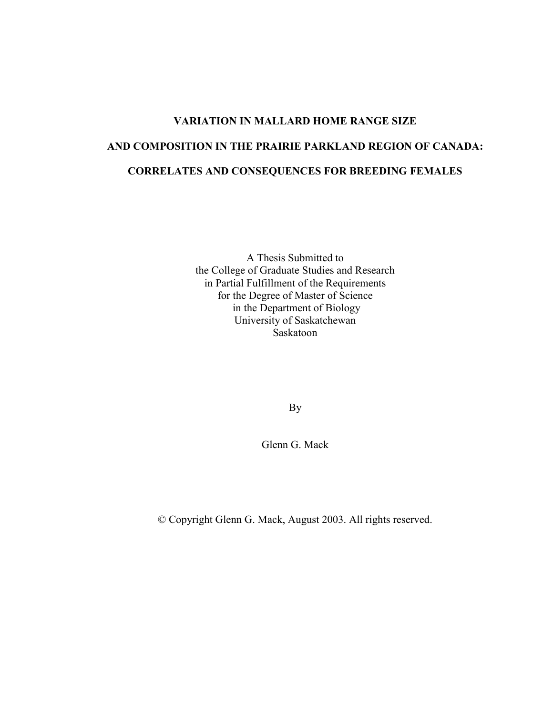# **VARIATION IN MALLARD HOME RANGE SIZE AND COMPOSITION IN THE PRAIRIE PARKLAND REGION OF CANADA: CORRELATES AND CONSEQUENCES FOR BREEDING FEMALES**

A Thesis Submitted to the College of Graduate Studies and Research in Partial Fulfillment of the Requirements for the Degree of Master of Science in the Department of Biology University of Saskatchewan Saskatoon

By

Glenn G. Mack

© Copyright Glenn G. Mack, August 2003. All rights reserved.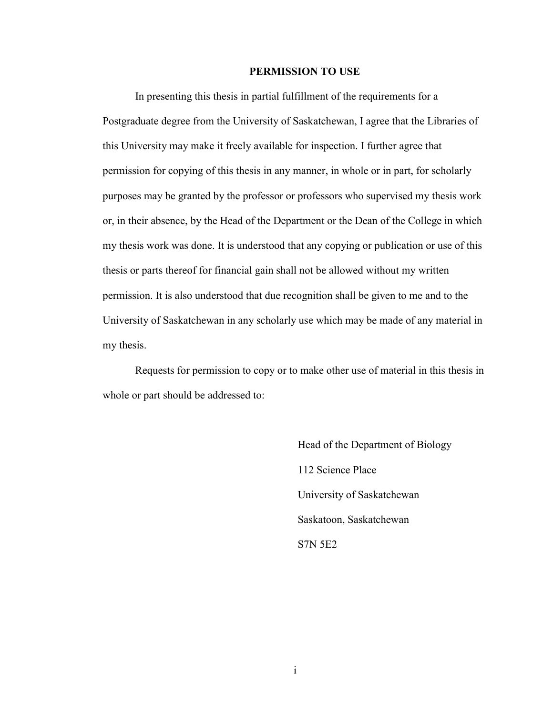### **PERMISSION TO USE**

In presenting this thesis in partial fulfillment of the requirements for a Postgraduate degree from the University of Saskatchewan, I agree that the Libraries of this University may make it freely available for inspection. I further agree that permission for copying of this thesis in any manner, in whole or in part, for scholarly purposes may be granted by the professor or professors who supervised my thesis work or, in their absence, by the Head of the Department or the Dean of the College in which my thesis work was done. It is understood that any copying or publication or use of this thesis or parts thereof for financial gain shall not be allowed without my written permission. It is also understood that due recognition shall be given to me and to the University of Saskatchewan in any scholarly use which may be made of any material in my thesis.

Requests for permission to copy or to make other use of material in this thesis in whole or part should be addressed to:

> Head of the Department of Biology 112 Science Place University of Saskatchewan Saskatoon, Saskatchewan S7N 5E2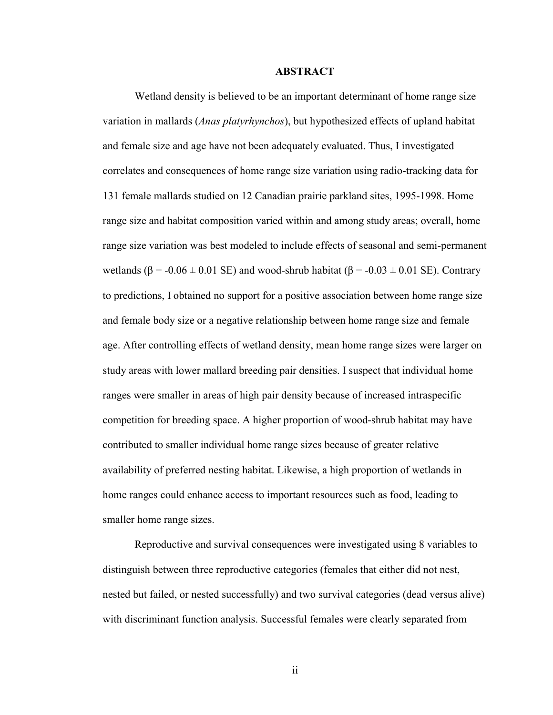### **ABSTRACT**

Wetland density is believed to be an important determinant of home range size variation in mallards (*Anas platyrhynchos*), but hypothesized effects of upland habitat and female size and age have not been adequately evaluated. Thus, I investigated correlates and consequences of home range size variation using radio-tracking data for 131 female mallards studied on 12 Canadian prairie parkland sites, 1995-1998. Home range size and habitat composition varied within and among study areas; overall, home range size variation was best modeled to include effects of seasonal and semi-permanent wetlands ( $\beta$  = -0.06  $\pm$  0.01 SE) and wood-shrub habitat ( $\beta$  = -0.03  $\pm$  0.01 SE). Contrary to predictions, I obtained no support for a positive association between home range size and female body size or a negative relationship between home range size and female age. After controlling effects of wetland density, mean home range sizes were larger on study areas with lower mallard breeding pair densities. I suspect that individual home ranges were smaller in areas of high pair density because of increased intraspecific competition for breeding space. A higher proportion of wood-shrub habitat may have contributed to smaller individual home range sizes because of greater relative availability of preferred nesting habitat. Likewise, a high proportion of wetlands in home ranges could enhance access to important resources such as food, leading to smaller home range sizes.

Reproductive and survival consequences were investigated using 8 variables to distinguish between three reproductive categories (females that either did not nest, nested but failed, or nested successfully) and two survival categories (dead versus alive) with discriminant function analysis. Successful females were clearly separated from

ii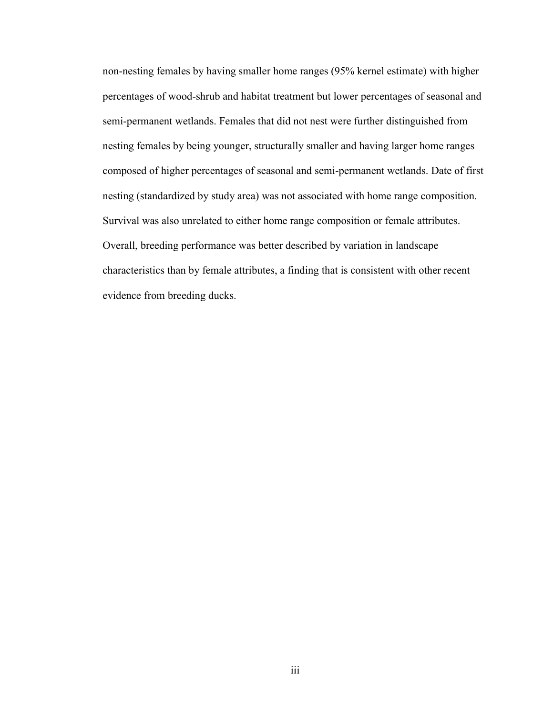non-nesting females by having smaller home ranges (95% kernel estimate) with higher percentages of wood-shrub and habitat treatment but lower percentages of seasonal and semi-permanent wetlands. Females that did not nest were further distinguished from nesting females by being younger, structurally smaller and having larger home ranges composed of higher percentages of seasonal and semi-permanent wetlands. Date of first nesting (standardized by study area) was not associated with home range composition. Survival was also unrelated to either home range composition or female attributes. Overall, breeding performance was better described by variation in landscape characteristics than by female attributes, a finding that is consistent with other recent evidence from breeding ducks.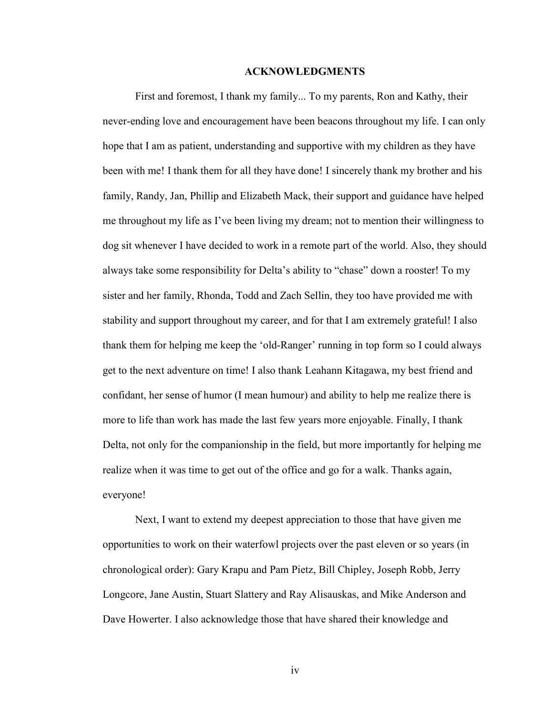### **ACKNOWLEDGMENTS**

 First and foremost, I thank my family... To my parents, Ron and Kathy, their never-ending love and encouragement have been beacons throughout my life. I can only hope that I am as patient, understanding and supportive with my children as they have been with me! I thank them for all they have done! I sincerely thank my brother and his family, Randy, Jan, Phillip and Elizabeth Mack, their support and guidance have helped me throughout my life as I've been living my dream; not to mention their willingness to dog sit whenever I have decided to work in a remote part of the world. Also, they should always take some responsibility for Delta's ability to "chase" down a rooster! To my sister and her family, Rhonda, Todd and Zach Sellin, they too have provided me with stability and support throughout my career, and for that I am extremely grateful! I also thank them for helping me keep the 'old-Ranger' running in top form so I could always get to the next adventure on time! I also thank Leahann Kitagawa, my best friend and confidant, her sense of humor (I mean humour) and ability to help me realize there is more to life than work has made the last few years more enjoyable. Finally, I thank Delta, not only for the companionship in the field, but more importantly for helping me realize when it was time to get out of the office and go for a walk. Thanks again, everyone!

 Next, I want to extend my deepest appreciation to those that have given me opportunities to work on their waterfowl projects over the past eleven or so years (in chronological order): Gary Krapu and Pam Pietz, Bill Chipley, Joseph Robb, Jerry Longcore, Jane Austin, Stuart Slattery and Ray Alisauskas, and Mike Anderson and Dave Howerter. I also acknowledge those that have shared their knowledge and

iv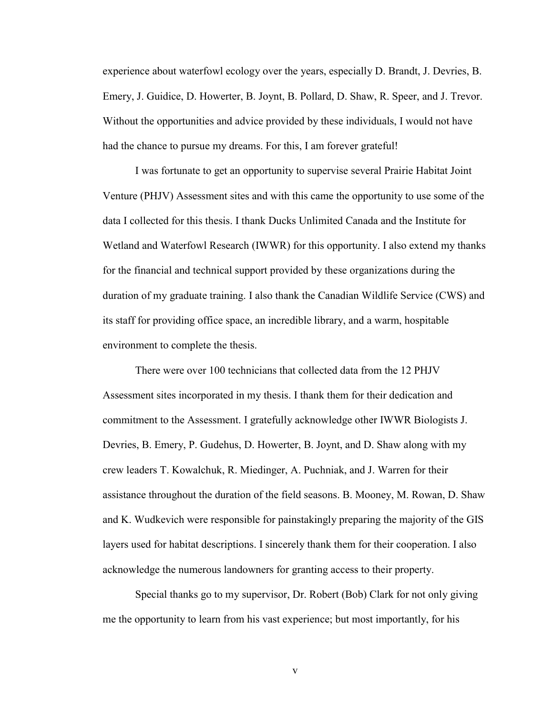experience about waterfowl ecology over the years, especially D. Brandt, J. Devries, B. Emery, J. Guidice, D. Howerter, B. Joynt, B. Pollard, D. Shaw, R. Speer, and J. Trevor. Without the opportunities and advice provided by these individuals, I would not have had the chance to pursue my dreams. For this, I am forever grateful!

 I was fortunate to get an opportunity to supervise several Prairie Habitat Joint Venture (PHJV) Assessment sites and with this came the opportunity to use some of the data I collected for this thesis. I thank Ducks Unlimited Canada and the Institute for Wetland and Waterfowl Research (IWWR) for this opportunity. I also extend my thanks for the financial and technical support provided by these organizations during the duration of my graduate training. I also thank the Canadian Wildlife Service (CWS) and its staff for providing office space, an incredible library, and a warm, hospitable environment to complete the thesis.

 There were over 100 technicians that collected data from the 12 PHJV Assessment sites incorporated in my thesis. I thank them for their dedication and commitment to the Assessment. I gratefully acknowledge other IWWR Biologists J. Devries, B. Emery, P. Gudehus, D. Howerter, B. Joynt, and D. Shaw along with my crew leaders T. Kowalchuk, R. Miedinger, A. Puchniak, and J. Warren for their assistance throughout the duration of the field seasons. B. Mooney, M. Rowan, D. Shaw and K. Wudkevich were responsible for painstakingly preparing the majority of the GIS layers used for habitat descriptions. I sincerely thank them for their cooperation. I also acknowledge the numerous landowners for granting access to their property.

 Special thanks go to my supervisor, Dr. Robert (Bob) Clark for not only giving me the opportunity to learn from his vast experience; but most importantly, for his

v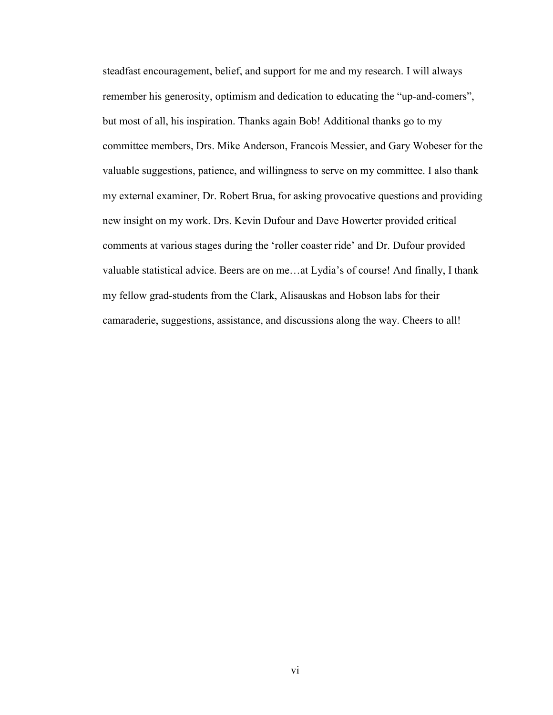steadfast encouragement, belief, and support for me and my research. I will always remember his generosity, optimism and dedication to educating the "up-and-comers", but most of all, his inspiration. Thanks again Bob! Additional thanks go to my committee members, Drs. Mike Anderson, Francois Messier, and Gary Wobeser for the valuable suggestions, patience, and willingness to serve on my committee. I also thank my external examiner, Dr. Robert Brua, for asking provocative questions and providing new insight on my work. Drs. Kevin Dufour and Dave Howerter provided critical comments at various stages during the 'roller coaster ride' and Dr. Dufour provided valuable statistical advice. Beers are on me…at Lydia's of course! And finally, I thank my fellow grad-students from the Clark, Alisauskas and Hobson labs for their camaraderie, suggestions, assistance, and discussions along the way. Cheers to all!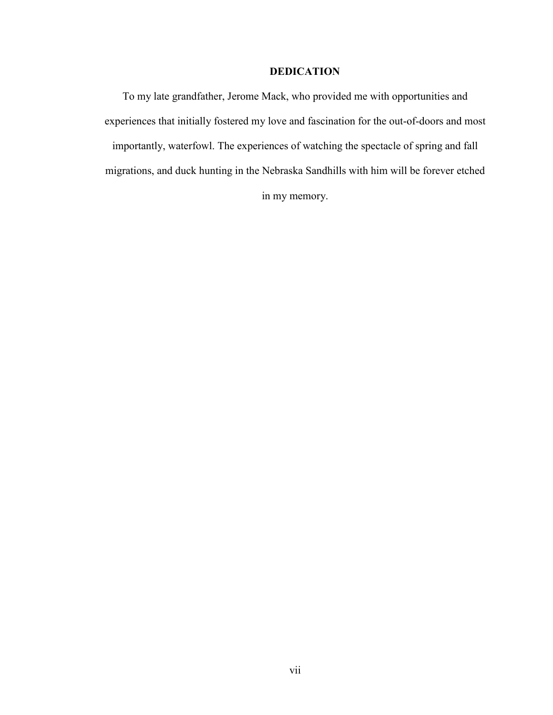## **DEDICATION**

To my late grandfather, Jerome Mack, who provided me with opportunities and experiences that initially fostered my love and fascination for the out-of-doors and most importantly, waterfowl. The experiences of watching the spectacle of spring and fall migrations, and duck hunting in the Nebraska Sandhills with him will be forever etched in my memory.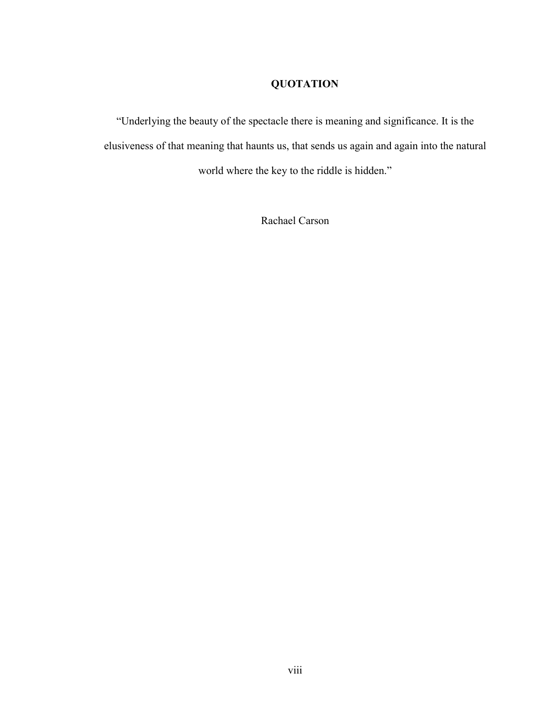# **QUOTATION**

"Underlying the beauty of the spectacle there is meaning and significance. It is the elusiveness of that meaning that haunts us, that sends us again and again into the natural world where the key to the riddle is hidden."

Rachael Carson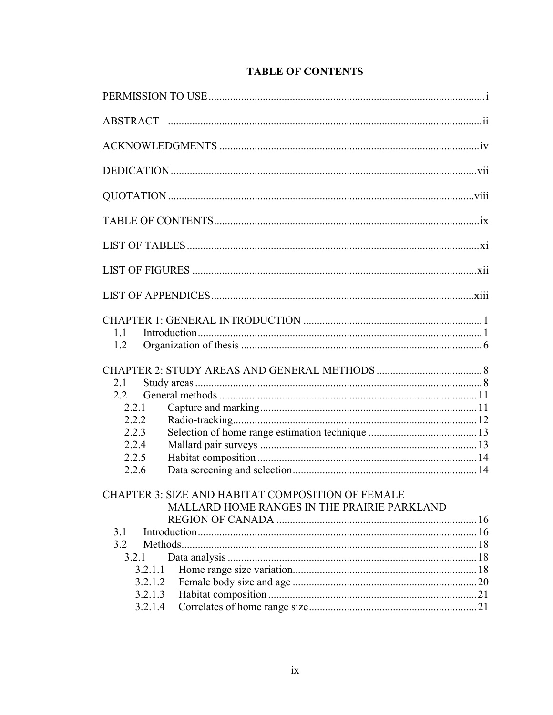| 1.1<br>1.2                                                                                              |  |
|---------------------------------------------------------------------------------------------------------|--|
| 21                                                                                                      |  |
| 2.2                                                                                                     |  |
| 2.2.1                                                                                                   |  |
| 2.2.2                                                                                                   |  |
| 2.2.3                                                                                                   |  |
| 2.2.4                                                                                                   |  |
| 2.2.5                                                                                                   |  |
| 2.2.6                                                                                                   |  |
| <b>CHAPTER 3: SIZE AND HABITAT COMPOSITION OF FEMALE</b><br>MALLARD HOME RANGES IN THE PRAIRIE PARKLAND |  |
|                                                                                                         |  |
| 3.1                                                                                                     |  |
| 3.2                                                                                                     |  |
| 3.2.1                                                                                                   |  |
| 3.2.1.1                                                                                                 |  |
| 3.2.1.2                                                                                                 |  |
| 3.2.1.3                                                                                                 |  |
| 3.2.1.4                                                                                                 |  |

# **TABLE OF CONTENTS**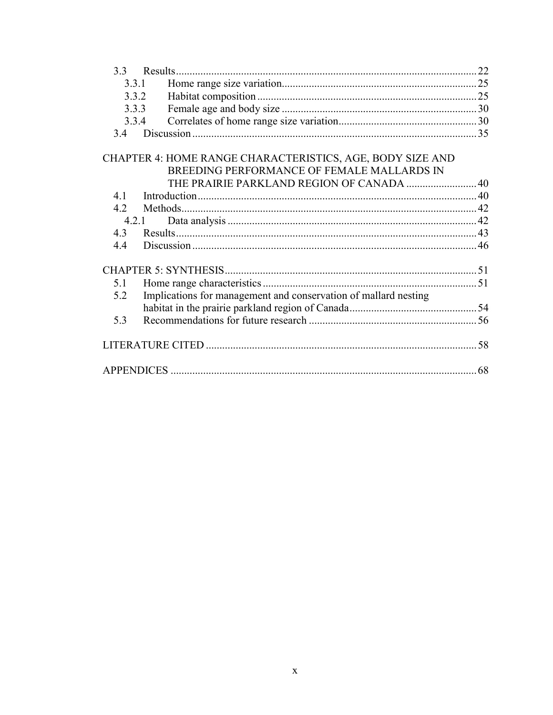| 3.3.1 |                                                                                                         |     |
|-------|---------------------------------------------------------------------------------------------------------|-----|
|       | 3.3.2                                                                                                   |     |
| 3.3.3 |                                                                                                         |     |
| 3.3.4 |                                                                                                         |     |
| 3.4   |                                                                                                         |     |
|       | CHAPTER 4: HOME RANGE CHARACTERISTICS, AGE, BODY SIZE AND<br>BREEDING PERFORMANCE OF FEMALE MALLARDS IN |     |
|       | THE PRAIRIE PARKLAND REGION OF CANADA  40                                                               |     |
| 4.1   |                                                                                                         |     |
| 4.2   |                                                                                                         |     |
|       | 4.2.1                                                                                                   |     |
| 4.3   |                                                                                                         |     |
| 4.4   |                                                                                                         |     |
|       |                                                                                                         |     |
| 5.1   |                                                                                                         |     |
| 5.2   | Implications for management and conservation of mallard nesting                                         |     |
|       |                                                                                                         |     |
| 5.3   |                                                                                                         |     |
|       |                                                                                                         | .58 |
|       |                                                                                                         |     |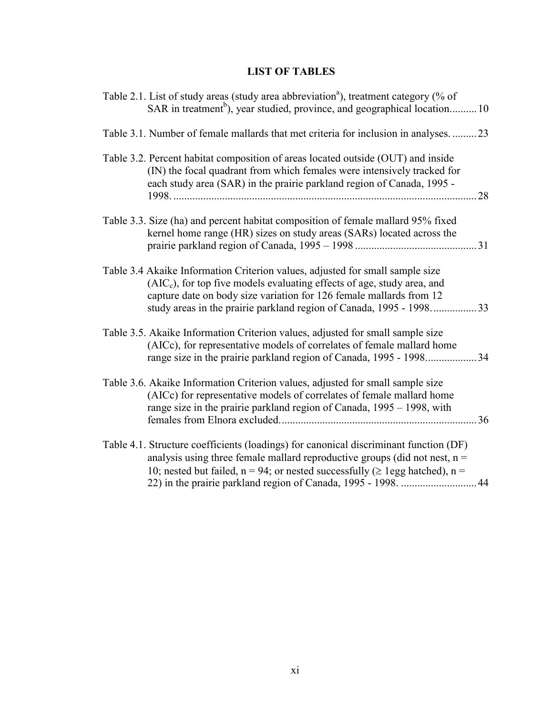# **LIST OF TABLES**

| Table 2.1. List of study areas (study area abbreviation <sup>a</sup> ), treatment category (% of<br>SAR in treatment <sup>b</sup> ), year studied, province, and geographical location10                                                                                                                      |
|---------------------------------------------------------------------------------------------------------------------------------------------------------------------------------------------------------------------------------------------------------------------------------------------------------------|
| Table 3.1. Number of female mallards that met criteria for inclusion in analyses.  23                                                                                                                                                                                                                         |
| Table 3.2. Percent habitat composition of areas located outside (OUT) and inside<br>(IN) the focal quadrant from which females were intensively tracked for<br>each study area (SAR) in the prairie parkland region of Canada, 1995 -<br>28                                                                   |
| Table 3.3. Size (ha) and percent habitat composition of female mallard 95% fixed<br>kernel home range (HR) sizes on study areas (SARs) located across the                                                                                                                                                     |
| Table 3.4 Akaike Information Criterion values, adjusted for small sample size<br>$(AICc)$ , for top five models evaluating effects of age, study area, and<br>capture date on body size variation for 126 female mallards from 12<br>study areas in the prairie parkland region of Canada, 1995 - 1998<br>.33 |
| Table 3.5. Akaike Information Criterion values, adjusted for small sample size<br>(AICc), for representative models of correlates of female mallard home<br>range size in the prairie parkland region of Canada, 1995 - 199834                                                                                |
| Table 3.6. Akaike Information Criterion values, adjusted for small sample size<br>(AICc) for representative models of correlates of female mallard home<br>range size in the prairie parkland region of Canada, 1995 – 1998, with                                                                             |
| Table 4.1. Structure coefficients (loadings) for canonical discriminant function (DF)<br>analysis using three female mallard reproductive groups (did not nest, $n =$<br>10; nested but failed, $n = 94$ ; or nested successfully ( $\geq$ 1egg hatched), $n =$                                               |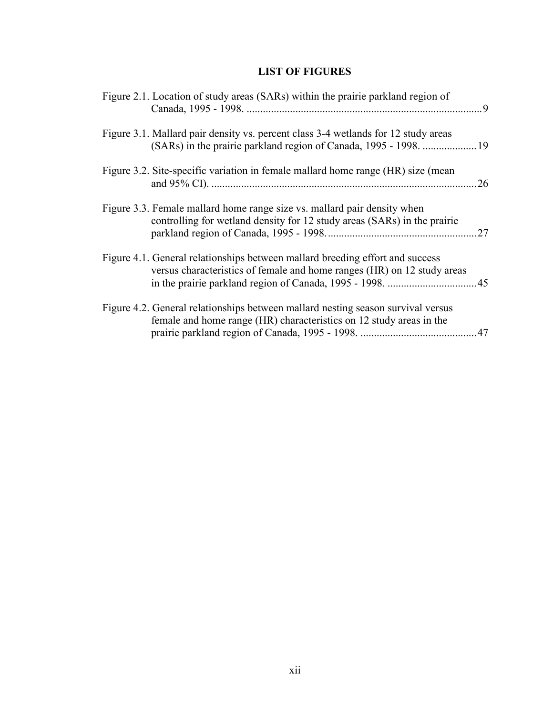# **LIST OF FIGURES**

| Figure 2.1. Location of study areas (SARs) within the prairie parkland region of                                                                         |     |
|----------------------------------------------------------------------------------------------------------------------------------------------------------|-----|
| Figure 3.1. Mallard pair density vs. percent class 3-4 wetlands for 12 study areas                                                                       |     |
| Figure 3.2. Site-specific variation in female mallard home range (HR) size (mean                                                                         | .26 |
| Figure 3.3. Female mallard home range size vs. mallard pair density when<br>controlling for wetland density for 12 study areas (SARs) in the prairie     | .27 |
| Figure 4.1. General relationships between mallard breeding effort and success<br>versus characteristics of female and home ranges (HR) on 12 study areas |     |
| Figure 4.2. General relationships between mallard nesting season survival versus<br>female and home range (HR) characteristics on 12 study areas in the  |     |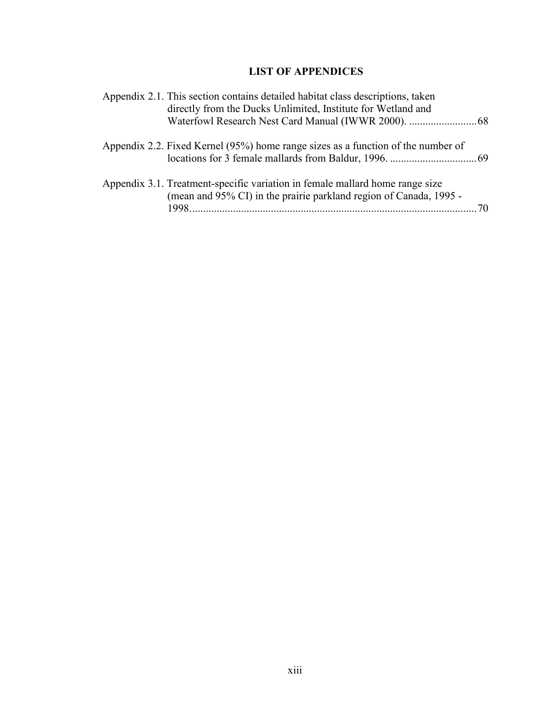# **LIST OF APPENDICES**

| Appendix 2.1. This section contains detailed habitat class descriptions, taken<br>directly from the Ducks Unlimited, Institute for Wetland and     |  |
|----------------------------------------------------------------------------------------------------------------------------------------------------|--|
| Appendix 2.2. Fixed Kernel (95%) home range sizes as a function of the number of                                                                   |  |
| Appendix 3.1. Treatment-specific variation in female mallard home range size<br>(mean and 95% CI) in the prairie parkland region of Canada, 1995 - |  |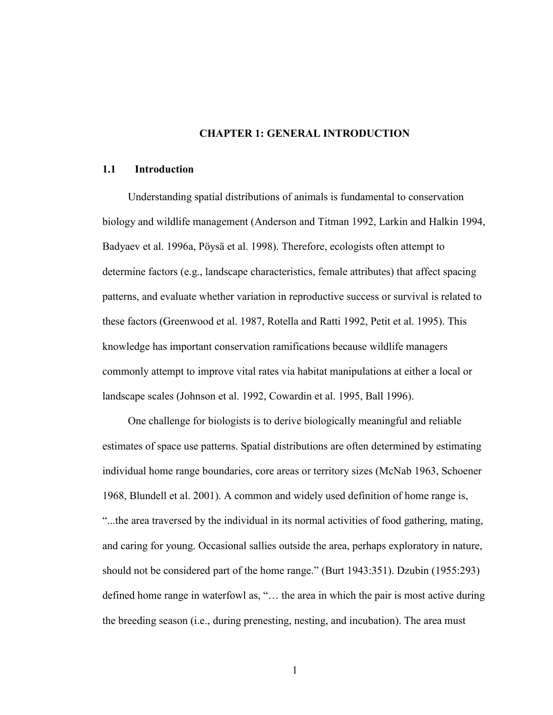## **CHAPTER 1: GENERAL INTRODUCTION**

## **1.1 Introduction**

Understanding spatial distributions of animals is fundamental to conservation biology and wildlife management (Anderson and Titman 1992, Larkin and Halkin 1994, Badyaev et al. 1996a, Pöysä et al. 1998). Therefore, ecologists often attempt to determine factors (e.g., landscape characteristics, female attributes) that affect spacing patterns, and evaluate whether variation in reproductive success or survival is related to these factors (Greenwood et al. 1987, Rotella and Ratti 1992, Petit et al. 1995). This knowledge has important conservation ramifications because wildlife managers commonly attempt to improve vital rates via habitat manipulations at either a local or landscape scales (Johnson et al. 1992, Cowardin et al. 1995, Ball 1996).

One challenge for biologists is to derive biologically meaningful and reliable estimates of space use patterns. Spatial distributions are often determined by estimating individual home range boundaries, core areas or territory sizes (McNab 1963, Schoener 1968, Blundell et al. 2001). A common and widely used definition of home range is, "...the area traversed by the individual in its normal activities of food gathering, mating, and caring for young. Occasional sallies outside the area, perhaps exploratory in nature, should not be considered part of the home range." (Burt 1943:351). Dzubin (1955:293) defined home range in waterfowl as, "… the area in which the pair is most active during the breeding season (i.e., during prenesting, nesting, and incubation). The area must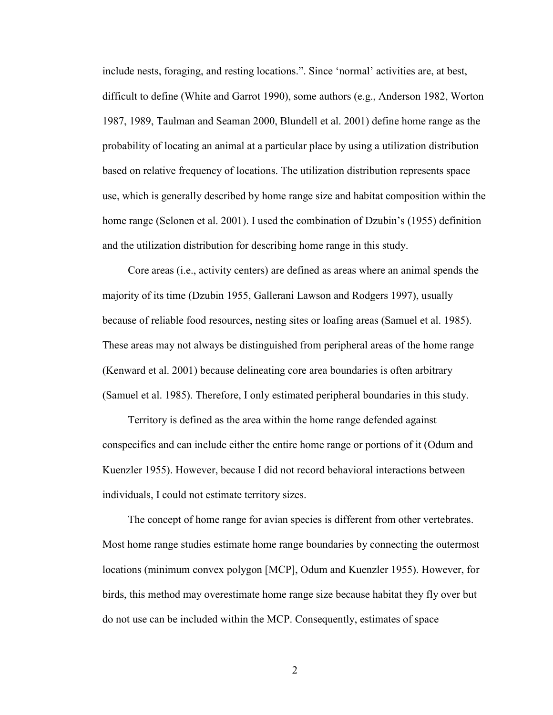include nests, foraging, and resting locations.". Since 'normal' activities are, at best, difficult to define (White and Garrot 1990), some authors (e.g., Anderson 1982, Worton 1987, 1989, Taulman and Seaman 2000, Blundell et al. 2001) define home range as the probability of locating an animal at a particular place by using a utilization distribution based on relative frequency of locations. The utilization distribution represents space use, which is generally described by home range size and habitat composition within the home range (Selonen et al. 2001). I used the combination of Dzubin's (1955) definition and the utilization distribution for describing home range in this study.

Core areas (i.e., activity centers) are defined as areas where an animal spends the majority of its time (Dzubin 1955, Gallerani Lawson and Rodgers 1997), usually because of reliable food resources, nesting sites or loafing areas (Samuel et al. 1985). These areas may not always be distinguished from peripheral areas of the home range (Kenward et al. 2001) because delineating core area boundaries is often arbitrary (Samuel et al. 1985). Therefore, I only estimated peripheral boundaries in this study.

Territory is defined as the area within the home range defended against conspecifics and can include either the entire home range or portions of it (Odum and Kuenzler 1955). However, because I did not record behavioral interactions between individuals, I could not estimate territory sizes.

The concept of home range for avian species is different from other vertebrates. Most home range studies estimate home range boundaries by connecting the outermost locations (minimum convex polygon [MCP], Odum and Kuenzler 1955). However, for birds, this method may overestimate home range size because habitat they fly over but do not use can be included within the MCP. Consequently, estimates of space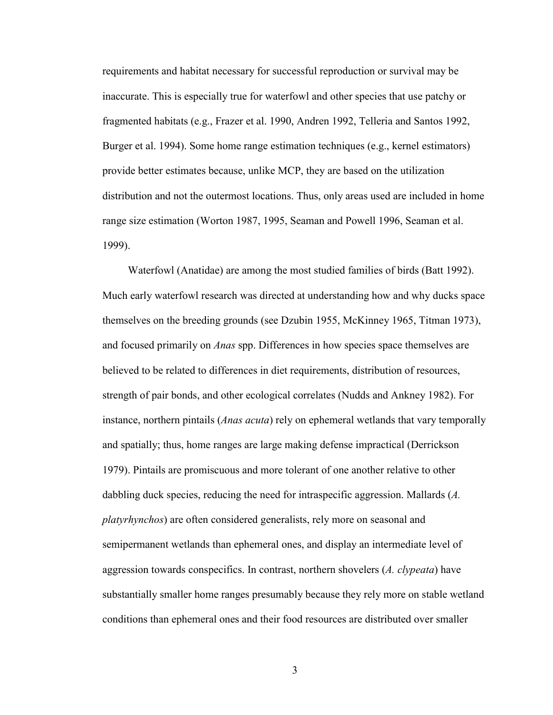requirements and habitat necessary for successful reproduction or survival may be inaccurate. This is especially true for waterfowl and other species that use patchy or fragmented habitats (e.g., Frazer et al. 1990, Andren 1992, Telleria and Santos 1992, Burger et al. 1994). Some home range estimation techniques (e.g., kernel estimators) provide better estimates because, unlike MCP, they are based on the utilization distribution and not the outermost locations. Thus, only areas used are included in home range size estimation (Worton 1987, 1995, Seaman and Powell 1996, Seaman et al. 1999).

Waterfowl (Anatidae) are among the most studied families of birds (Batt 1992). Much early waterfowl research was directed at understanding how and why ducks space themselves on the breeding grounds (see Dzubin 1955, McKinney 1965, Titman 1973), and focused primarily on *Anas* spp. Differences in how species space themselves are believed to be related to differences in diet requirements, distribution of resources, strength of pair bonds, and other ecological correlates (Nudds and Ankney 1982). For instance, northern pintails (*Anas acuta*) rely on ephemeral wetlands that vary temporally and spatially; thus, home ranges are large making defense impractical (Derrickson 1979). Pintails are promiscuous and more tolerant of one another relative to other dabbling duck species, reducing the need for intraspecific aggression. Mallards (*A. platyrhynchos*) are often considered generalists, rely more on seasonal and semipermanent wetlands than ephemeral ones, and display an intermediate level of aggression towards conspecifics. In contrast, northern shovelers (*A. clypeata*) have substantially smaller home ranges presumably because they rely more on stable wetland conditions than ephemeral ones and their food resources are distributed over smaller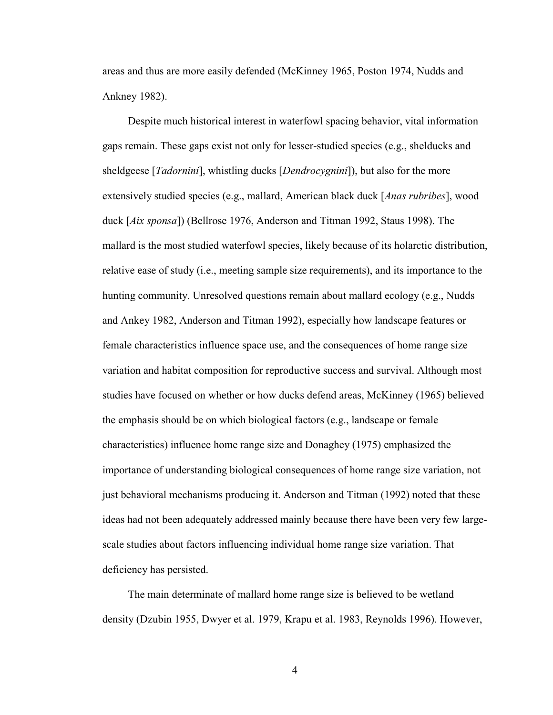areas and thus are more easily defended (McKinney 1965, Poston 1974, Nudds and Ankney 1982).

Despite much historical interest in waterfowl spacing behavior, vital information gaps remain. These gaps exist not only for lesser-studied species (e.g., shelducks and sheldgeese [*Tadornini*], whistling ducks [*Dendrocygnini*]), but also for the more extensively studied species (e.g., mallard, American black duck [*Anas rubribes*], wood duck [*Aix sponsa*]) (Bellrose 1976, Anderson and Titman 1992, Staus 1998). The mallard is the most studied waterfowl species, likely because of its holarctic distribution, relative ease of study (i.e., meeting sample size requirements), and its importance to the hunting community. Unresolved questions remain about mallard ecology (e.g., Nudds and Ankey 1982, Anderson and Titman 1992), especially how landscape features or female characteristics influence space use, and the consequences of home range size variation and habitat composition for reproductive success and survival. Although most studies have focused on whether or how ducks defend areas, McKinney (1965) believed the emphasis should be on which biological factors (e.g., landscape or female characteristics) influence home range size and Donaghey (1975) emphasized the importance of understanding biological consequences of home range size variation, not just behavioral mechanisms producing it. Anderson and Titman (1992) noted that these ideas had not been adequately addressed mainly because there have been very few largescale studies about factors influencing individual home range size variation. That deficiency has persisted.

The main determinate of mallard home range size is believed to be wetland density (Dzubin 1955, Dwyer et al. 1979, Krapu et al. 1983, Reynolds 1996). However,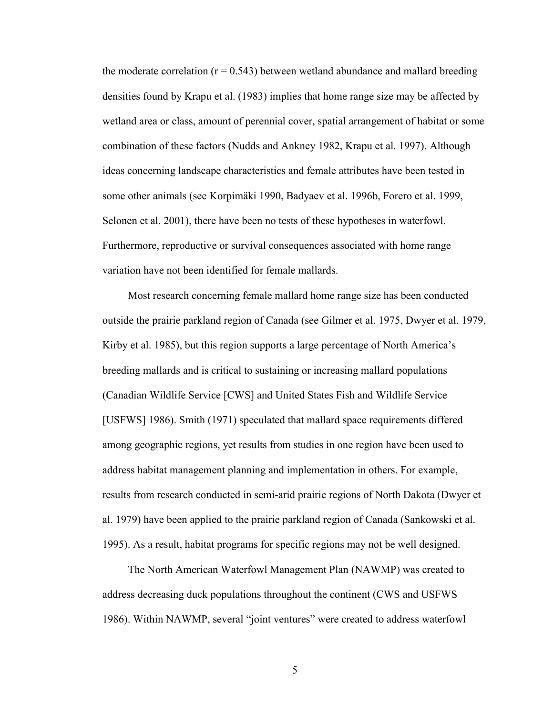the moderate correlation  $(r = 0.543)$  between wetland abundance and mallard breeding densities found by Krapu et al. (1983) implies that home range size may be affected by wetland area or class, amount of perennial cover, spatial arrangement of habitat or some combination of these factors (Nudds and Ankney 1982, Krapu et al. 1997). Although ideas concerning landscape characteristics and female attributes have been tested in some other animals (see Korpimäki 1990, Badyaev et al. 1996b, Forero et al. 1999, Selonen et al. 2001), there have been no tests of these hypotheses in waterfowl. Furthermore, reproductive or survival consequences associated with home range variation have not been identified for female mallards.

Most research concerning female mallard home range size has been conducted outside the prairie parkland region of Canada (see Gilmer et al. 1975, Dwyer et al. 1979, Kirby et al. 1985), but this region supports a large percentage of North America's breeding mallards and is critical to sustaining or increasing mallard populations (Canadian Wildlife Service [CWS] and United States Fish and Wildlife Service [USFWS] 1986). Smith (1971) speculated that mallard space requirements differed among geographic regions, yet results from studies in one region have been used to address habitat management planning and implementation in others. For example, results from research conducted in semi-arid prairie regions of North Dakota (Dwyer et al. 1979) have been applied to the prairie parkland region of Canada (Sankowski et al. 1995). As a result, habitat programs for specific regions may not be well designed.

The North American Waterfowl Management Plan (NAWMP) was created to address decreasing duck populations throughout the continent (CWS and USFWS 1986). Within NAWMP, several "joint ventures" were created to address waterfowl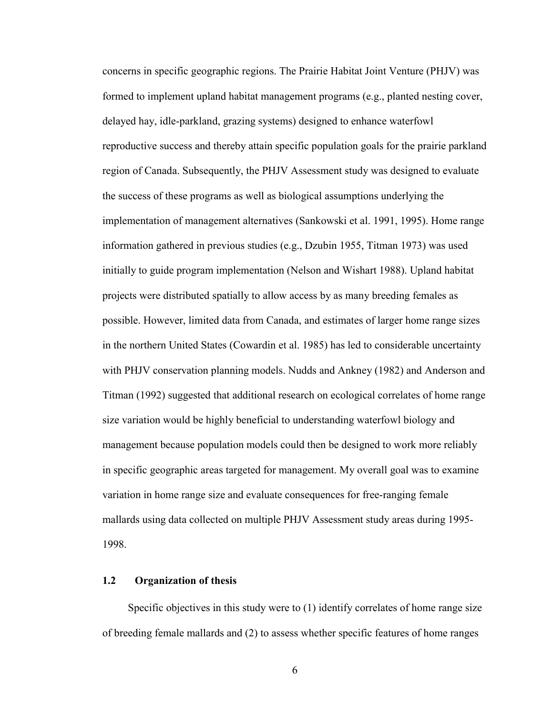concerns in specific geographic regions. The Prairie Habitat Joint Venture (PHJV) was formed to implement upland habitat management programs (e.g., planted nesting cover, delayed hay, idle-parkland, grazing systems) designed to enhance waterfowl reproductive success and thereby attain specific population goals for the prairie parkland region of Canada. Subsequently, the PHJV Assessment study was designed to evaluate the success of these programs as well as biological assumptions underlying the implementation of management alternatives (Sankowski et al. 1991, 1995). Home range information gathered in previous studies (e.g., Dzubin 1955, Titman 1973) was used initially to guide program implementation (Nelson and Wishart 1988). Upland habitat projects were distributed spatially to allow access by as many breeding females as possible. However, limited data from Canada, and estimates of larger home range sizes in the northern United States (Cowardin et al. 1985) has led to considerable uncertainty with PHJV conservation planning models. Nudds and Ankney (1982) and Anderson and Titman (1992) suggested that additional research on ecological correlates of home range size variation would be highly beneficial to understanding waterfowl biology and management because population models could then be designed to work more reliably in specific geographic areas targeted for management. My overall goal was to examine variation in home range size and evaluate consequences for free-ranging female mallards using data collected on multiple PHJV Assessment study areas during 1995- 1998.

## **1.2 Organization of thesis**

Specific objectives in this study were to (1) identify correlates of home range size of breeding female mallards and (2) to assess whether specific features of home ranges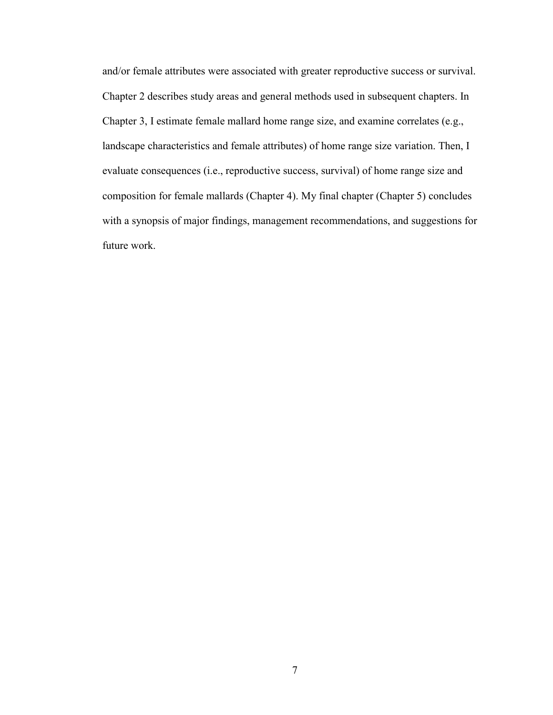and/or female attributes were associated with greater reproductive success or survival. Chapter 2 describes study areas and general methods used in subsequent chapters. In Chapter 3, I estimate female mallard home range size, and examine correlates (e.g., landscape characteristics and female attributes) of home range size variation. Then, I evaluate consequences (i.e., reproductive success, survival) of home range size and composition for female mallards (Chapter 4). My final chapter (Chapter 5) concludes with a synopsis of major findings, management recommendations, and suggestions for future work.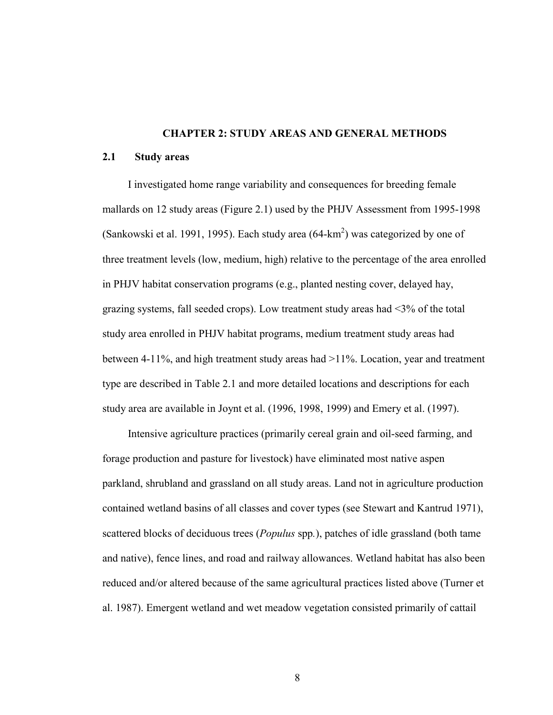## **CHAPTER 2: STUDY AREAS AND GENERAL METHODS**

#### **2.1 Study areas**

I investigated home range variability and consequences for breeding female mallards on 12 study areas (Figure 2.1) used by the PHJV Assessment from 1995-1998 (Sankowski et al. 1991, 1995). Each study area  $(64-km^2)$  was categorized by one of three treatment levels (low, medium, high) relative to the percentage of the area enrolled in PHJV habitat conservation programs (e.g., planted nesting cover, delayed hay, grazing systems, fall seeded crops). Low treatment study areas had <3% of the total study area enrolled in PHJV habitat programs, medium treatment study areas had between 4-11%, and high treatment study areas had >11%. Location, year and treatment type are described in Table 2.1 and more detailed locations and descriptions for each study area are available in Joynt et al. (1996, 1998, 1999) and Emery et al. (1997).

Intensive agriculture practices (primarily cereal grain and oil-seed farming, and forage production and pasture for livestock) have eliminated most native aspen parkland, shrubland and grassland on all study areas. Land not in agriculture production contained wetland basins of all classes and cover types (see Stewart and Kantrud 1971), scattered blocks of deciduous trees (*Populus* spp*.*), patches of idle grassland (both tame and native), fence lines, and road and railway allowances. Wetland habitat has also been reduced and/or altered because of the same agricultural practices listed above (Turner et al. 1987). Emergent wetland and wet meadow vegetation consisted primarily of cattail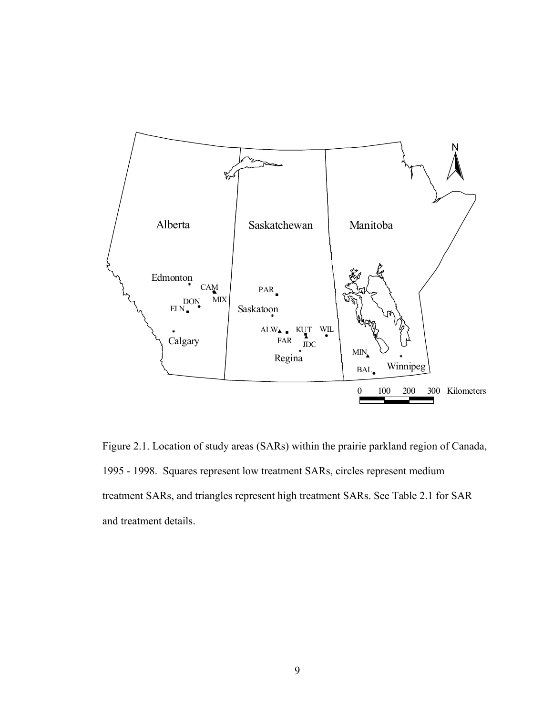

Figure 2.1. Location of study areas (SARs) within the prairie parkland region of Canada, 1995 - 1998. Squares represent low treatment SARs, circles represent medium treatment SARs, and triangles represent high treatment SARs. See Table 2.1 for SAR and treatment details.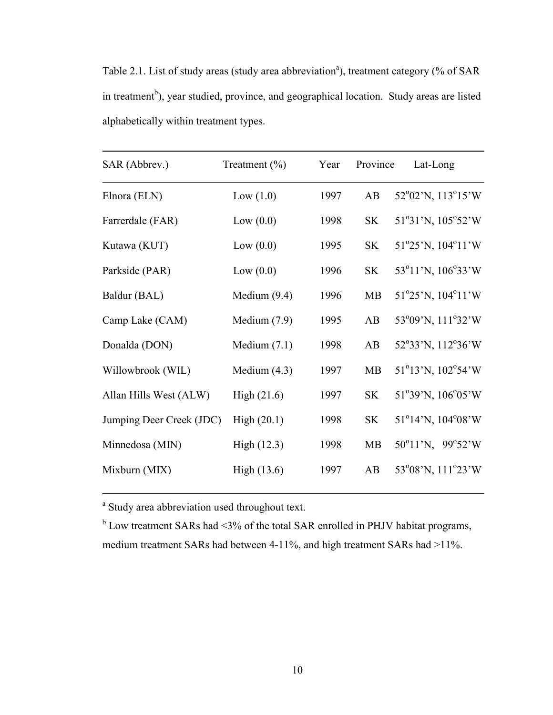Table 2.1. List of study areas (study area abbreviation<sup>a</sup>), treatment category (% of SAR in treatment<sup>b</sup>), year studied, province, and geographical location. Study areas are listed alphabetically within treatment types.

| SAR (Abbrev.)            | Treatment $(\% )$ | Year | Province  | Lat-Long                                              |
|--------------------------|-------------------|------|-----------|-------------------------------------------------------|
| Elnora (ELN)             | Low $(1.0)$       | 1997 | AB        | 52°02'N, 113°15'W                                     |
| Farrerdale (FAR)         | Low $(0.0)$       | 1998 | <b>SK</b> | 51°31'N, 105°52'W                                     |
| Kutawa (KUT)             | Low $(0.0)$       | 1995 | <b>SK</b> | $51^{\circ}25^{\prime}$ N, $104^{\circ}11^{\prime}$ W |
| Parkside (PAR)           | Low $(0.0)$       | 1996 | SK        | 53°11'N, 106°33'W                                     |
| Baldur (BAL)             | Medium $(9.4)$    | 1996 | MB        | $51^{\circ}25^{\prime}$ N, $104^{\circ}11^{\prime}$ W |
| Camp Lake (CAM)          | Medium $(7.9)$    | 1995 | AB        | 53°09'N, 111°32'W                                     |
| Donalda (DON)            | Medium $(7.1)$    | 1998 | AB        | 52°33'N, 112°36'W                                     |
| Willowbrook (WIL)        | Medium $(4.3)$    | 1997 | MB        | $51^{\circ}13^{\prime}$ N, $102^{\circ}54^{\prime}$ W |
| Allan Hills West (ALW)   | High $(21.6)$     | 1997 | <b>SK</b> | 51°39'N, 106°05'W                                     |
| Jumping Deer Creek (JDC) | High(20.1)        | 1998 | <b>SK</b> | 51°14'N, 104°08'W                                     |
| Minnedosa (MIN)          | High (12.3)       | 1998 | <b>MB</b> | 50°11'N, 99°52'W                                      |
| Mixburn (MIX)            | High (13.6)       | 1997 | AB        | 53°08'N, 111°23'W                                     |

<sup>a</sup> Study area abbreviation used throughout text.

 $b$  Low treatment SARs had <3% of the total SAR enrolled in PHJV habitat programs, medium treatment SARs had between 4-11%, and high treatment SARs had >11%.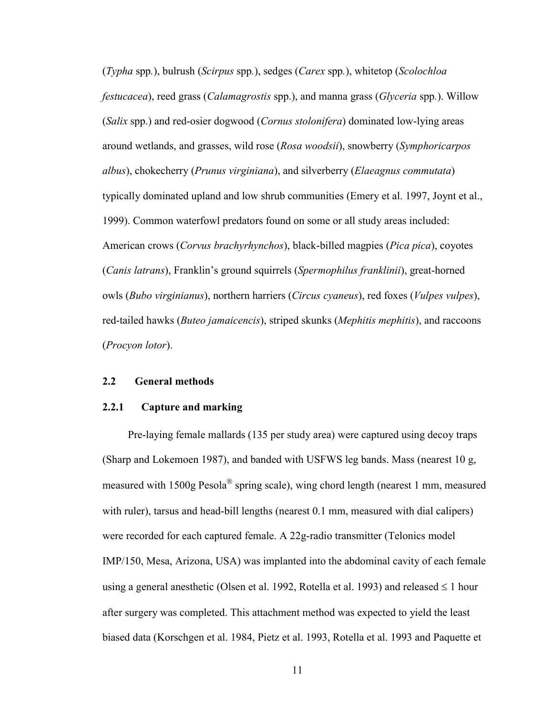(*Typha* spp*.*), bulrush (*Scirpus* spp*.*), sedges (*Carex* spp*.*), whitetop (*Scolochloa festucacea*), reed grass (*Calamagrostis* spp.), and manna grass (*Glyceria* spp*.*). Willow (*Salix* spp.) and red-osier dogwood (*Cornus stolonifera*) dominated low-lying areas around wetlands, and grasses, wild rose (*Rosa woodsii*), snowberry (*Symphoricarpos albus*), chokecherry (*Prunus virginiana*), and silverberry (*Elaeagnus commutata*) typically dominated upland and low shrub communities (Emery et al. 1997, Joynt et al., 1999). Common waterfowl predators found on some or all study areas included: American crows (*Corvus brachyrhynchos*), black-billed magpies (*Pica pica*), coyotes (*Canis latrans*), Franklin's ground squirrels (*Spermophilus franklinii*), great-horned owls (*Bubo virginianus*), northern harriers (*Circus cyaneus*), red foxes (*Vulpes vulpes*), red-tailed hawks (*Buteo jamaicencis*), striped skunks (*Mephitis mephitis*), and raccoons (*Procyon lotor*).

## **2.2 General methods**

## **2.2.1 Capture and marking**

Pre-laying female mallards (135 per study area) were captured using decoy traps (Sharp and Lokemoen 1987), and banded with USFWS leg bands. Mass (nearest 10 g, measured with  $1500g$  Pesola<sup>®</sup> spring scale), wing chord length (nearest 1 mm, measured with ruler), tarsus and head-bill lengths (nearest 0.1 mm, measured with dial calipers) were recorded for each captured female. A 22g-radio transmitter (Telonics model IMP/150, Mesa, Arizona, USA) was implanted into the abdominal cavity of each female using a general anesthetic (Olsen et al. 1992, Rotella et al. 1993) and released  $\leq 1$  hour after surgery was completed. This attachment method was expected to yield the least biased data (Korschgen et al. 1984, Pietz et al. 1993, Rotella et al. 1993 and Paquette et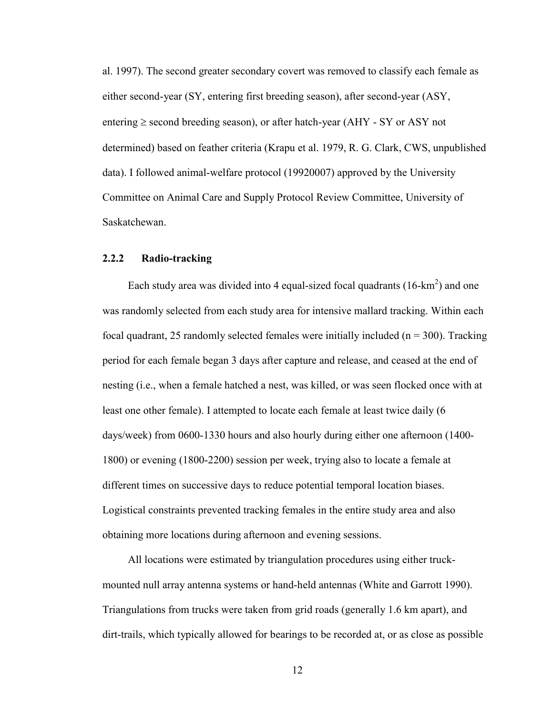al. 1997). The second greater secondary covert was removed to classify each female as either second-year (SY, entering first breeding season), after second-year (ASY, entering  $\ge$  second breeding season), or after hatch-year (AHY - SY or ASY not determined) based on feather criteria (Krapu et al. 1979, R. G. Clark, CWS, unpublished data). I followed animal-welfare protocol (19920007) approved by the University Committee on Animal Care and Supply Protocol Review Committee, University of Saskatchewan.

## **2.2.2 Radio-tracking**

Each study area was divided into 4 equal-sized focal quadrants  $(16-km^2)$  and one was randomly selected from each study area for intensive mallard tracking. Within each focal quadrant, 25 randomly selected females were initially included ( $n = 300$ ). Tracking period for each female began 3 days after capture and release, and ceased at the end of nesting (i.e., when a female hatched a nest, was killed, or was seen flocked once with at least one other female). I attempted to locate each female at least twice daily (6 days/week) from 0600-1330 hours and also hourly during either one afternoon (1400- 1800) or evening (1800-2200) session per week, trying also to locate a female at different times on successive days to reduce potential temporal location biases. Logistical constraints prevented tracking females in the entire study area and also obtaining more locations during afternoon and evening sessions.

All locations were estimated by triangulation procedures using either truckmounted null array antenna systems or hand-held antennas (White and Garrott 1990). Triangulations from trucks were taken from grid roads (generally 1.6 km apart), and dirt-trails, which typically allowed for bearings to be recorded at, or as close as possible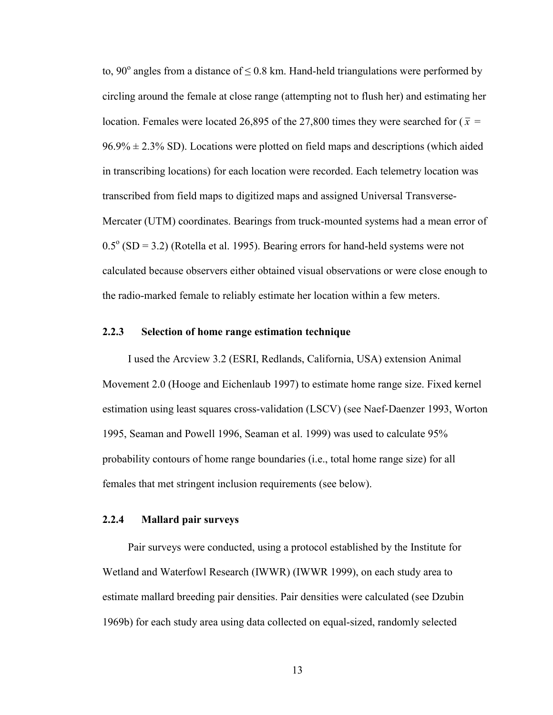to, 90 $^{\circ}$  angles from a distance of  $\leq$  0.8 km. Hand-held triangulations were performed by circling around the female at close range (attempting not to flush her) and estimating her location. Females were located 26,895 of the 27,800 times they were searched for  $(\bar{x} =$  $96.9\% \pm 2.3\%$  SD). Locations were plotted on field maps and descriptions (which aided in transcribing locations) for each location were recorded. Each telemetry location was transcribed from field maps to digitized maps and assigned Universal Transverse-Mercater (UTM) coordinates. Bearings from truck-mounted systems had a mean error of  $0.5^{\circ}$  (SD = 3.2) (Rotella et al. 1995). Bearing errors for hand-held systems were not calculated because observers either obtained visual observations or were close enough to the radio-marked female to reliably estimate her location within a few meters.

## **2.2.3 Selection of home range estimation technique**

I used the Arcview 3.2 (ESRI, Redlands, California, USA) extension Animal Movement 2.0 (Hooge and Eichenlaub 1997) to estimate home range size. Fixed kernel estimation using least squares cross-validation (LSCV) (see Naef-Daenzer 1993, Worton 1995, Seaman and Powell 1996, Seaman et al. 1999) was used to calculate 95% probability contours of home range boundaries (i.e., total home range size) for all females that met stringent inclusion requirements (see below).

## **2.2.4 Mallard pair surveys**

Pair surveys were conducted, using a protocol established by the Institute for Wetland and Waterfowl Research (IWWR) (IWWR 1999), on each study area to estimate mallard breeding pair densities. Pair densities were calculated (see Dzubin 1969b) for each study area using data collected on equal-sized, randomly selected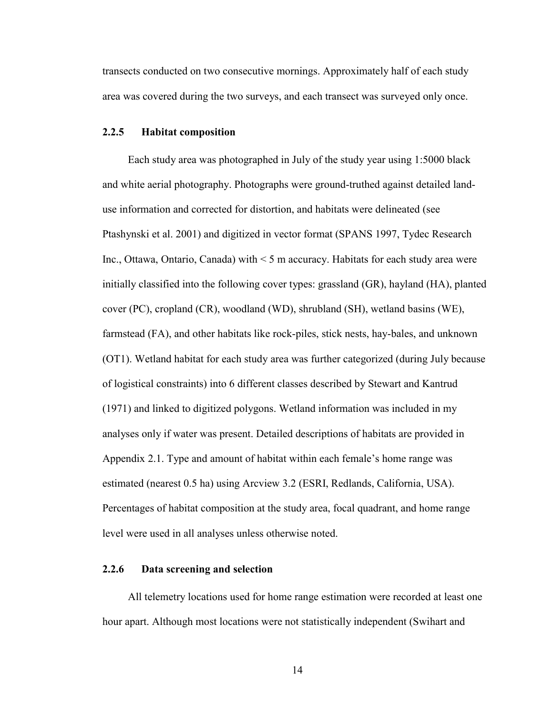transects conducted on two consecutive mornings. Approximately half of each study area was covered during the two surveys, and each transect was surveyed only once.

### **2.2.5 Habitat composition**

Each study area was photographed in July of the study year using 1:5000 black and white aerial photography. Photographs were ground-truthed against detailed landuse information and corrected for distortion, and habitats were delineated (see Ptashynski et al. 2001) and digitized in vector format (SPANS 1997, Tydec Research Inc., Ottawa, Ontario, Canada) with < 5 m accuracy. Habitats for each study area were initially classified into the following cover types: grassland (GR), hayland (HA), planted cover (PC), cropland (CR), woodland (WD), shrubland (SH), wetland basins (WE), farmstead (FA), and other habitats like rock-piles, stick nests, hay-bales, and unknown (OT1). Wetland habitat for each study area was further categorized (during July because of logistical constraints) into 6 different classes described by Stewart and Kantrud (1971) and linked to digitized polygons. Wetland information was included in my analyses only if water was present. Detailed descriptions of habitats are provided in Appendix 2.1. Type and amount of habitat within each female's home range was estimated (nearest 0.5 ha) using Arcview 3.2 (ESRI, Redlands, California, USA). Percentages of habitat composition at the study area, focal quadrant, and home range level were used in all analyses unless otherwise noted.

## **2.2.6 Data screening and selection**

All telemetry locations used for home range estimation were recorded at least one hour apart. Although most locations were not statistically independent (Swihart and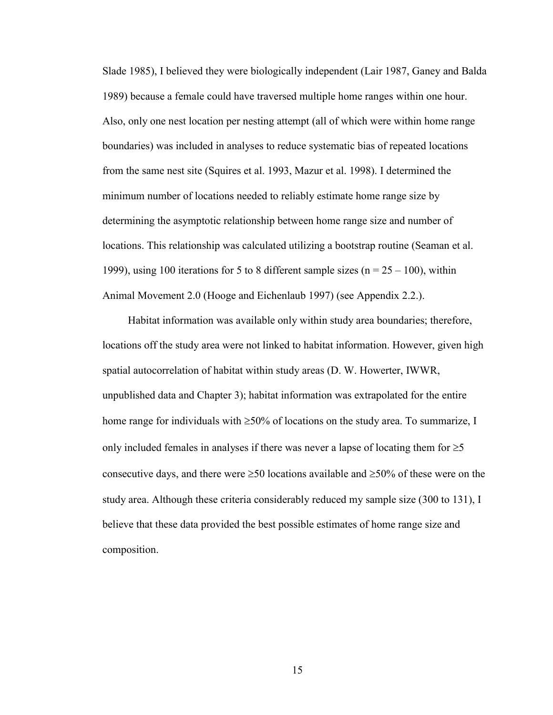Slade 1985), I believed they were biologically independent (Lair 1987, Ganey and Balda 1989) because a female could have traversed multiple home ranges within one hour. Also, only one nest location per nesting attempt (all of which were within home range boundaries) was included in analyses to reduce systematic bias of repeated locations from the same nest site (Squires et al. 1993, Mazur et al. 1998). I determined the minimum number of locations needed to reliably estimate home range size by determining the asymptotic relationship between home range size and number of locations. This relationship was calculated utilizing a bootstrap routine (Seaman et al. 1999), using 100 iterations for 5 to 8 different sample sizes ( $n = 25 - 100$ ), within Animal Movement 2.0 (Hooge and Eichenlaub 1997) (see Appendix 2.2.).

Habitat information was available only within study area boundaries; therefore, locations off the study area were not linked to habitat information. However, given high spatial autocorrelation of habitat within study areas (D. W. Howerter, IWWR, unpublished data and Chapter 3); habitat information was extrapolated for the entire home range for individuals with ≥50% of locations on the study area. To summarize, I only included females in analyses if there was never a lapse of locating them for  $\geq 5$ consecutive days, and there were  $\geq 50$  locations available and  $\geq 50\%$  of these were on the study area. Although these criteria considerably reduced my sample size (300 to 131), I believe that these data provided the best possible estimates of home range size and composition.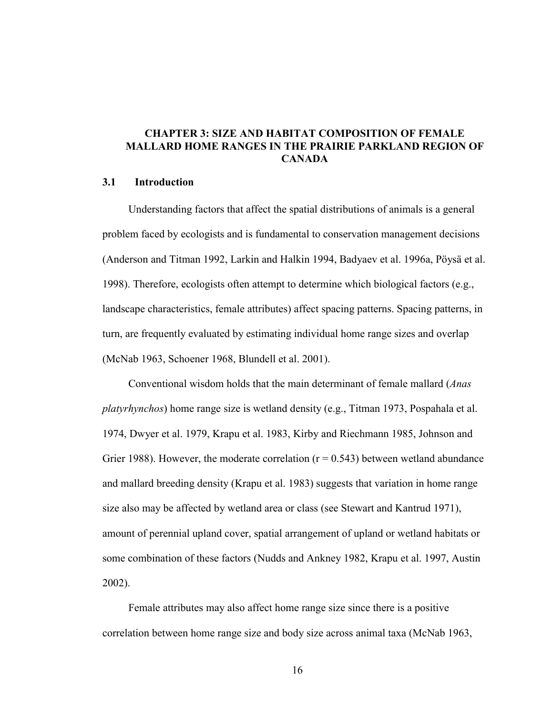## **CHAPTER 3: SIZE AND HABITAT COMPOSITION OF FEMALE MALLARD HOME RANGES IN THE PRAIRIE PARKLAND REGION OF CANADA**

## **3.1 Introduction**

Understanding factors that affect the spatial distributions of animals is a general problem faced by ecologists and is fundamental to conservation management decisions (Anderson and Titman 1992, Larkin and Halkin 1994, Badyaev et al. 1996a, Pöysä et al. 1998). Therefore, ecologists often attempt to determine which biological factors (e.g., landscape characteristics, female attributes) affect spacing patterns. Spacing patterns, in turn, are frequently evaluated by estimating individual home range sizes and overlap (McNab 1963, Schoener 1968, Blundell et al. 2001).

Conventional wisdom holds that the main determinant of female mallard (*Anas platyrhynchos*) home range size is wetland density (e.g., Titman 1973, Pospahala et al. 1974, Dwyer et al. 1979, Krapu et al. 1983, Kirby and Riechmann 1985, Johnson and Grier 1988). However, the moderate correlation ( $r = 0.543$ ) between wetland abundance and mallard breeding density (Krapu et al. 1983) suggests that variation in home range size also may be affected by wetland area or class (see Stewart and Kantrud 1971), amount of perennial upland cover, spatial arrangement of upland or wetland habitats or some combination of these factors (Nudds and Ankney 1982, Krapu et al. 1997, Austin 2002).

Female attributes may also affect home range size since there is a positive correlation between home range size and body size across animal taxa (McNab 1963,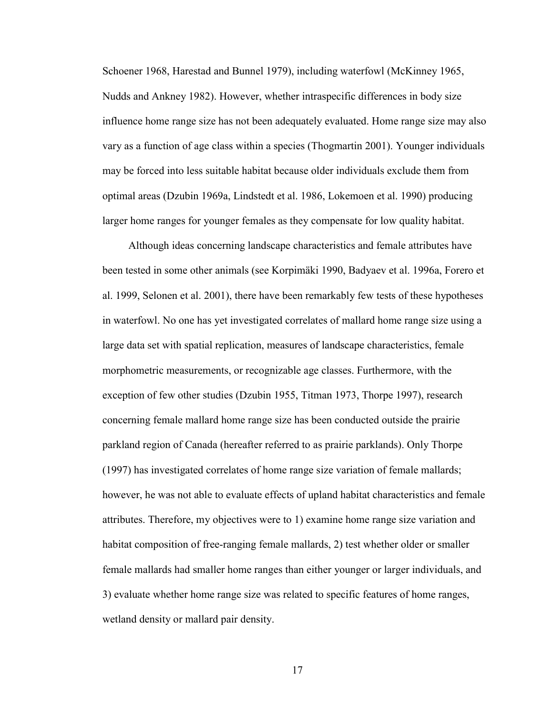Schoener 1968, Harestad and Bunnel 1979), including waterfowl (McKinney 1965, Nudds and Ankney 1982). However, whether intraspecific differences in body size influence home range size has not been adequately evaluated. Home range size may also vary as a function of age class within a species (Thogmartin 2001). Younger individuals may be forced into less suitable habitat because older individuals exclude them from optimal areas (Dzubin 1969a, Lindstedt et al. 1986, Lokemoen et al. 1990) producing larger home ranges for younger females as they compensate for low quality habitat.

Although ideas concerning landscape characteristics and female attributes have been tested in some other animals (see Korpimäki 1990, Badyaev et al. 1996a, Forero et al. 1999, Selonen et al. 2001), there have been remarkably few tests of these hypotheses in waterfowl. No one has yet investigated correlates of mallard home range size using a large data set with spatial replication, measures of landscape characteristics, female morphometric measurements, or recognizable age classes. Furthermore, with the exception of few other studies (Dzubin 1955, Titman 1973, Thorpe 1997), research concerning female mallard home range size has been conducted outside the prairie parkland region of Canada (hereafter referred to as prairie parklands). Only Thorpe (1997) has investigated correlates of home range size variation of female mallards; however, he was not able to evaluate effects of upland habitat characteristics and female attributes. Therefore, my objectives were to 1) examine home range size variation and habitat composition of free-ranging female mallards, 2) test whether older or smaller female mallards had smaller home ranges than either younger or larger individuals, and 3) evaluate whether home range size was related to specific features of home ranges, wetland density or mallard pair density.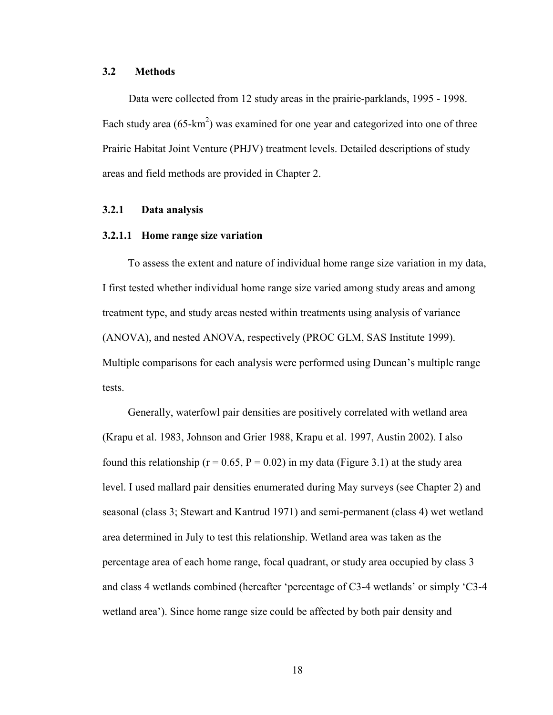## **3.2 Methods**

Data were collected from 12 study areas in the prairie-parklands, 1995 - 1998. Each study area  $(65 \text{-} \text{km}^2)$  was examined for one year and categorized into one of three Prairie Habitat Joint Venture (PHJV) treatment levels. Detailed descriptions of study areas and field methods are provided in Chapter 2.

## **3.2.1 Data analysis**

#### **3.2.1.1 Home range size variation**

To assess the extent and nature of individual home range size variation in my data, I first tested whether individual home range size varied among study areas and among treatment type, and study areas nested within treatments using analysis of variance (ANOVA), and nested ANOVA, respectively (PROC GLM, SAS Institute 1999). Multiple comparisons for each analysis were performed using Duncan's multiple range tests.

Generally, waterfowl pair densities are positively correlated with wetland area (Krapu et al. 1983, Johnson and Grier 1988, Krapu et al. 1997, Austin 2002). I also found this relationship ( $r = 0.65$ ,  $P = 0.02$ ) in my data (Figure 3.1) at the study area level. I used mallard pair densities enumerated during May surveys (see Chapter 2) and seasonal (class 3; Stewart and Kantrud 1971) and semi-permanent (class 4) wet wetland area determined in July to test this relationship. Wetland area was taken as the percentage area of each home range, focal quadrant, or study area occupied by class 3 and class 4 wetlands combined (hereafter 'percentage of C3-4 wetlands' or simply 'C3-4 wetland area'). Since home range size could be affected by both pair density and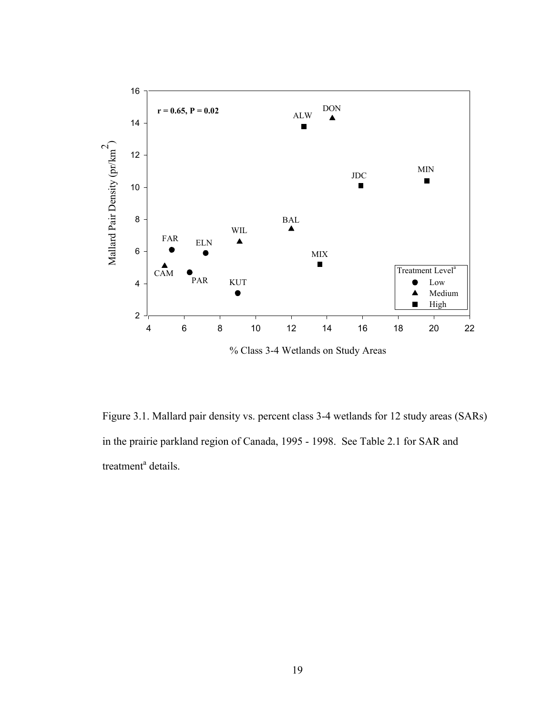

Figure 3.1. Mallard pair density vs. percent class 3-4 wetlands for 12 study areas (SARs) in the prairie parkland region of Canada, 1995 - 1998. See Table 2.1 for SAR and treatment<sup>a</sup> details.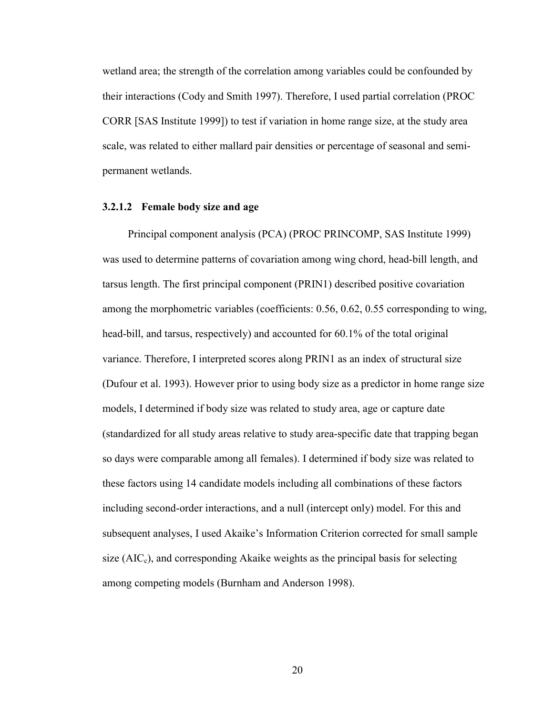wetland area; the strength of the correlation among variables could be confounded by their interactions (Cody and Smith 1997). Therefore, I used partial correlation (PROC CORR [SAS Institute 1999]) to test if variation in home range size, at the study area scale, was related to either mallard pair densities or percentage of seasonal and semipermanent wetlands.

#### **3.2.1.2 Female body size and age**

Principal component analysis (PCA) (PROC PRINCOMP, SAS Institute 1999) was used to determine patterns of covariation among wing chord, head-bill length, and tarsus length. The first principal component (PRIN1) described positive covariation among the morphometric variables (coefficients: 0.56, 0.62, 0.55 corresponding to wing, head-bill, and tarsus, respectively) and accounted for 60.1% of the total original variance. Therefore, I interpreted scores along PRIN1 as an index of structural size (Dufour et al. 1993). However prior to using body size as a predictor in home range size models, I determined if body size was related to study area, age or capture date (standardized for all study areas relative to study area-specific date that trapping began so days were comparable among all females). I determined if body size was related to these factors using 14 candidate models including all combinations of these factors including second-order interactions, and a null (intercept only) model. For this and subsequent analyses, I used Akaike's Information Criterion corrected for small sample size  $(AIC<sub>c</sub>)$ , and corresponding Akaike weights as the principal basis for selecting among competing models (Burnham and Anderson 1998).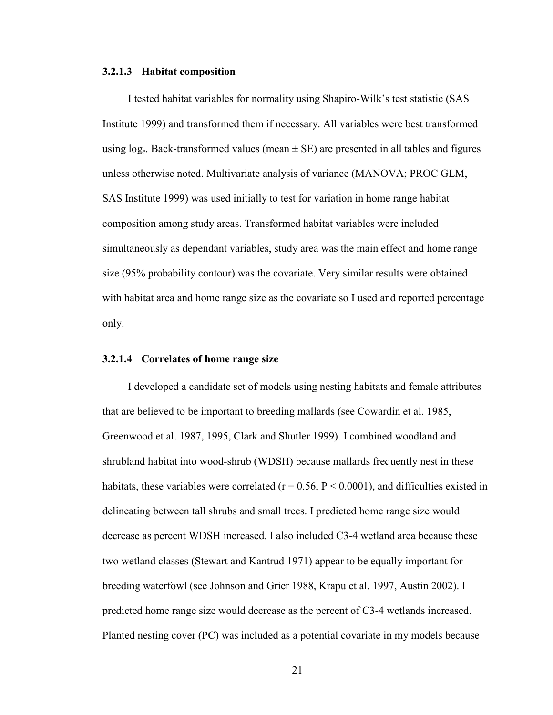### **3.2.1.3 Habitat composition**

I tested habitat variables for normality using Shapiro-Wilk's test statistic (SAS Institute 1999) and transformed them if necessary. All variables were best transformed using  $log_e$ . Back-transformed values (mean  $\pm$  SE) are presented in all tables and figures unless otherwise noted. Multivariate analysis of variance (MANOVA; PROC GLM, SAS Institute 1999) was used initially to test for variation in home range habitat composition among study areas. Transformed habitat variables were included simultaneously as dependant variables, study area was the main effect and home range size (95% probability contour) was the covariate. Very similar results were obtained with habitat area and home range size as the covariate so I used and reported percentage only.

## **3.2.1.4 Correlates of home range size**

I developed a candidate set of models using nesting habitats and female attributes that are believed to be important to breeding mallards (see Cowardin et al. 1985, Greenwood et al. 1987, 1995, Clark and Shutler 1999). I combined woodland and shrubland habitat into wood-shrub (WDSH) because mallards frequently nest in these habitats, these variables were correlated ( $r = 0.56$ ,  $P < 0.0001$ ), and difficulties existed in delineating between tall shrubs and small trees. I predicted home range size would decrease as percent WDSH increased. I also included C3-4 wetland area because these two wetland classes (Stewart and Kantrud 1971) appear to be equally important for breeding waterfowl (see Johnson and Grier 1988, Krapu et al. 1997, Austin 2002). I predicted home range size would decrease as the percent of C3-4 wetlands increased. Planted nesting cover (PC) was included as a potential covariate in my models because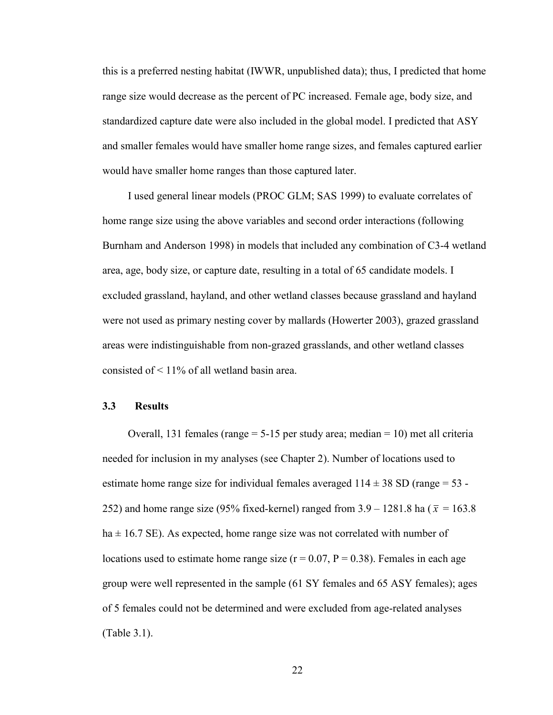this is a preferred nesting habitat (IWWR, unpublished data); thus, I predicted that home range size would decrease as the percent of PC increased. Female age, body size, and standardized capture date were also included in the global model. I predicted that ASY and smaller females would have smaller home range sizes, and females captured earlier would have smaller home ranges than those captured later.

I used general linear models (PROC GLM; SAS 1999) to evaluate correlates of home range size using the above variables and second order interactions (following Burnham and Anderson 1998) in models that included any combination of C3-4 wetland area, age, body size, or capture date, resulting in a total of 65 candidate models. I excluded grassland, hayland, and other wetland classes because grassland and hayland were not used as primary nesting cover by mallards (Howerter 2003), grazed grassland areas were indistinguishable from non-grazed grasslands, and other wetland classes consisted of < 11% of all wetland basin area.

## **3.3 Results**

Overall, 131 females (range  $= 5-15$  per study area; median  $= 10$ ) met all criteria needed for inclusion in my analyses (see Chapter 2). Number of locations used to estimate home range size for individual females averaged  $114 \pm 38$  SD (range = 53 -252) and home range size (95% fixed-kernel) ranged from  $3.9 - 1281.8$  ha ( $\bar{x} = 163.8$ )  $ha \pm 16.7$  SE). As expected, home range size was not correlated with number of locations used to estimate home range size  $(r = 0.07, P = 0.38)$ . Females in each age group were well represented in the sample (61 SY females and 65 ASY females); ages of 5 females could not be determined and were excluded from age-related analyses (Table 3.1).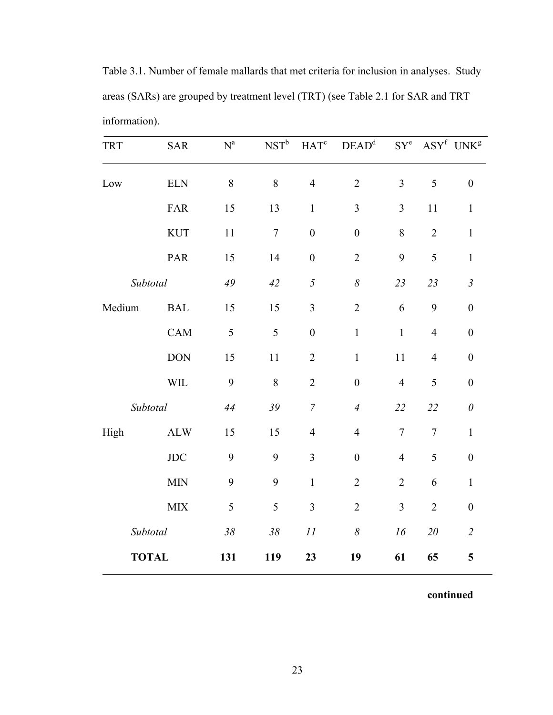Table 3.1. Number of female mallards that met criteria for inclusion in analyses. Study areas (SARs) are grouped by treatment level (TRT) (see Table 2.1 for SAR and TRT information).

| <b>TRT</b> | <b>SAR</b>   | $\mathbf{N}^{\text{a}}$ | $NST^b$ | HAT <sup>c</sup> | DEAD <sup>d</sup> | $SY^e$         |                | ASY <sup>f</sup> UNK <sup>g</sup> |
|------------|--------------|-------------------------|---------|------------------|-------------------|----------------|----------------|-----------------------------------|
| Low        | <b>ELN</b>   | 8                       | 8       | $\overline{4}$   | $\overline{2}$    | $\overline{3}$ | 5              | $\boldsymbol{0}$                  |
|            | FAR          | 15                      | 13      | $\mathbf{1}$     | $\overline{3}$    | 3              | 11             | $\mathbf{1}$                      |
|            | <b>KUT</b>   | 11                      | $\tau$  | $\boldsymbol{0}$ | $\boldsymbol{0}$  | 8              | $\overline{2}$ | $\mathbf{1}$                      |
|            | PAR          | 15                      | 14      | $\boldsymbol{0}$ | $\overline{2}$    | 9              | 5              | $\mathbf{1}$                      |
| Subtotal   |              | 49                      | 42      | 5                | $\delta$          | 23             | 23             | $\mathfrak{Z}$                    |
| Medium     | <b>BAL</b>   | 15                      | 15      | 3                | $\overline{2}$    | 6              | 9              | $\boldsymbol{0}$                  |
|            | CAM          | 5                       | 5       | $\boldsymbol{0}$ | $\mathbf{1}$      | $\mathbf{1}$   | $\overline{4}$ | $\boldsymbol{0}$                  |
|            | <b>DON</b>   | 15                      | 11      | $\overline{2}$   | $\mathbf{1}$      | 11             | $\overline{4}$ | $\boldsymbol{0}$                  |
|            | <b>WIL</b>   | 9                       | 8       | $\overline{2}$   | $\boldsymbol{0}$  | $\overline{4}$ | 5              | $\boldsymbol{0}$                  |
| Subtotal   |              | 44                      | 39      | $\boldsymbol{7}$ | $\overline{4}$    | 22             | 22             | $\boldsymbol{\theta}$             |
| High       | <b>ALW</b>   | 15                      | 15      | $\overline{4}$   | $\overline{4}$    | $\overline{7}$ | $\overline{7}$ | $\mathbf{1}$                      |
|            | JDC          | 9                       | 9       | $\overline{3}$   | $\boldsymbol{0}$  | $\overline{4}$ | 5              | $\boldsymbol{0}$                  |
|            | <b>MIN</b>   | 9                       | 9       | $\mathbf{1}$     | $\overline{2}$    | $\overline{2}$ | 6              | $\mathbf{1}$                      |
|            | MIX          | 5                       | 5       | 3                | $\overline{2}$    | 3              | $\overline{2}$ | $\boldsymbol{0}$                  |
| Subtotal   |              | $38\,$                  | $38\,$  | 11               | $\delta$          | 16             | $20\,$         | $\overline{2}$                    |
|            | <b>TOTAL</b> | 131                     | 119     | 23               | 19                | 61             | 65             | 5                                 |

**continued**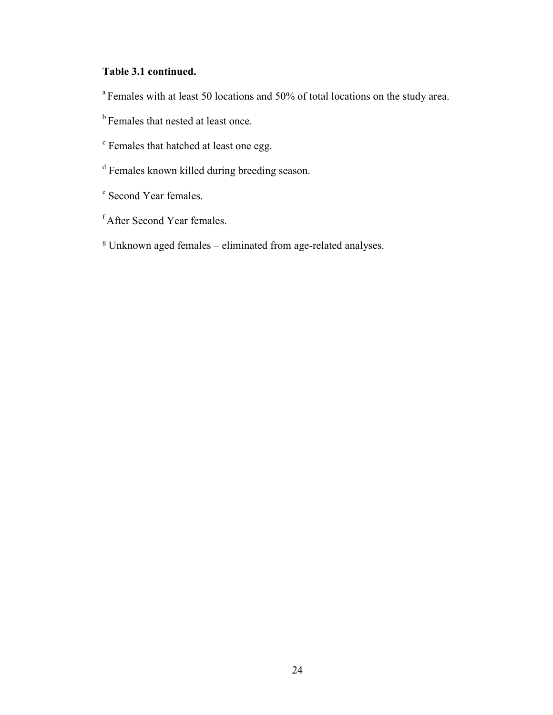# **Table 3.1 continued.**

<sup>a</sup> Females with at least 50 locations and 50% of total locations on the study area.

- <sup>b</sup> Females that nested at least once.
- <sup>c</sup> Females that hatched at least one egg.
- <sup>d</sup> Females known killed during breeding season.
- <sup>e</sup> Second Year females.
- f After Second Year females.
- <sup>g</sup> Unknown aged females eliminated from age-related analyses.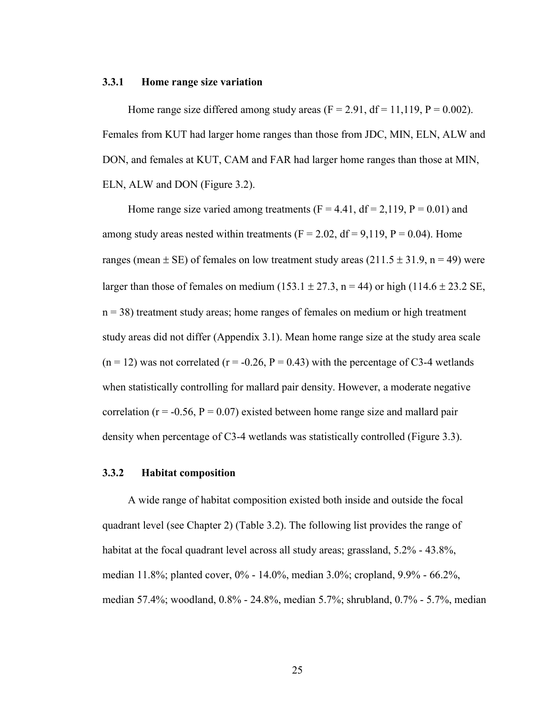#### **3.3.1 Home range size variation**

Home range size differed among study areas  $(F = 2.91, df = 11,119, P = 0.002)$ . Females from KUT had larger home ranges than those from JDC, MIN, ELN, ALW and DON, and females at KUT, CAM and FAR had larger home ranges than those at MIN, ELN, ALW and DON (Figure 3.2).

Home range size varied among treatments  $(F = 4.41, df = 2.119, P = 0.01)$  and among study areas nested within treatments  $(F = 2.02, df = 9.119, P = 0.04)$ . Home ranges (mean  $\pm$  SE) of females on low treatment study areas (211.5  $\pm$  31.9, n = 49) were larger than those of females on medium (153.1  $\pm$  27.3, n = 44) or high (114.6  $\pm$  23.2 SE,  $n = 38$ ) treatment study areas; home ranges of females on medium or high treatment study areas did not differ (Appendix 3.1). Mean home range size at the study area scale  $(n = 12)$  was not correlated  $(r = -0.26, P = 0.43)$  with the percentage of C3-4 wetlands when statistically controlling for mallard pair density. However, a moderate negative correlation ( $r = -0.56$ ,  $P = 0.07$ ) existed between home range size and mallard pair density when percentage of C3-4 wetlands was statistically controlled (Figure 3.3).

## **3.3.2 Habitat composition**

A wide range of habitat composition existed both inside and outside the focal quadrant level (see Chapter 2) (Table 3.2). The following list provides the range of habitat at the focal quadrant level across all study areas; grassland, 5.2% - 43.8%, median 11.8%; planted cover, 0% - 14.0%, median 3.0%; cropland, 9.9% - 66.2%, median 57.4%; woodland, 0.8% - 24.8%, median 5.7%; shrubland, 0.7% - 5.7%, median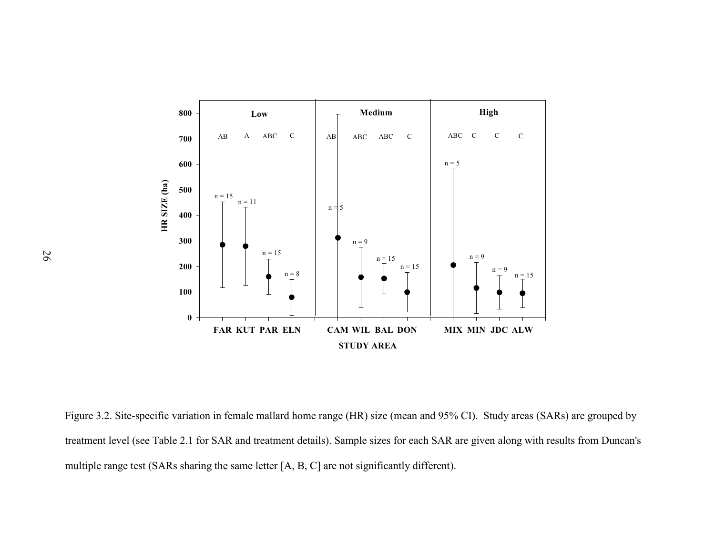

Figure 3.2. Site-specific variation in female mallard home range (HR) size (mean and 95% CI). Study areas (SARs) are grouped by treatment level (see Table 2.1 for SAR and treatment details). Sample sizes for each SAR are given along with results from Duncan's multiple range test (SARs sharing the same letter [A, B, C] are not significantly different).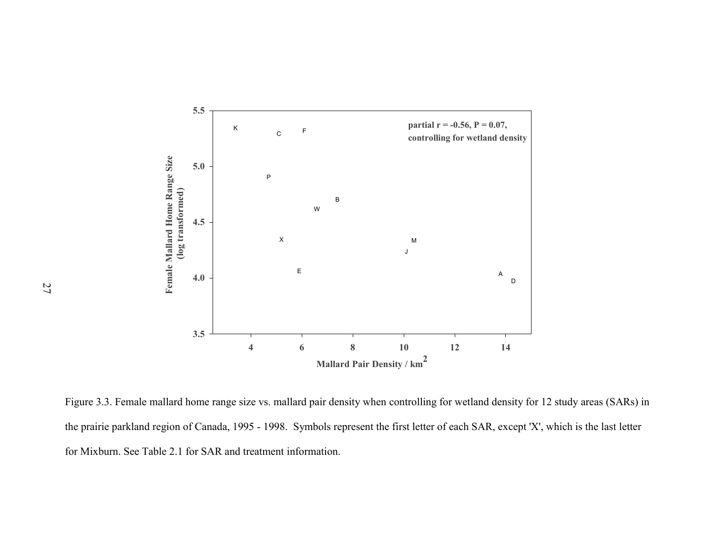

Figure 3.3. Female mallard home range size vs. mallard pair density when controlling for wetland density for 12 study areas (SARs) in the prairie parkland region of Canada, 1995 - 1998. Symbols represent the first letter of each SAR, except 'X', which is the last letter for Mixburn. See Table 2.1 for SAR and treatment information.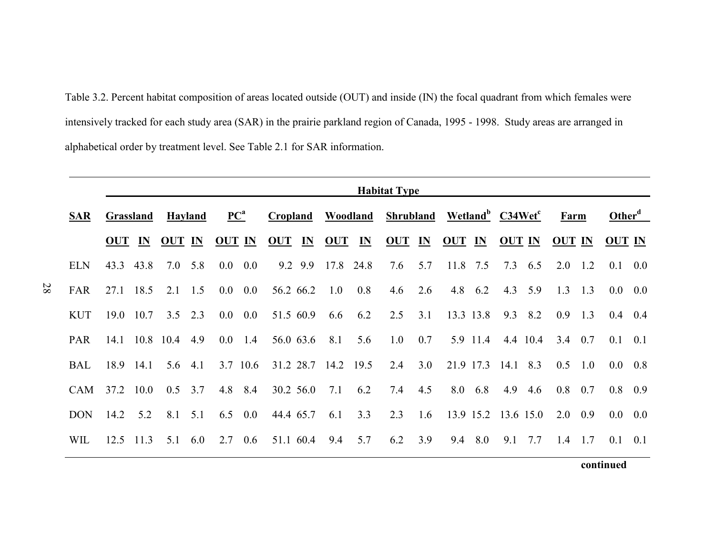Table 3.2. Percent habitat composition of areas located outside (OUT) and inside (IN) the focal quadrant from which females were intensively tracked for each study area (SAR) in the prairie parkland region of Canada, 1995 - 1998. Study areas are arranged in alphabetical order by treatment level. See Table 2.1 for SAR information.

|            |                   |                  |                |                 |                            |                 |                 |                     |           | <b>Habitat Type</b>                                   |     |                     |          |               |                 |                 |                 |               |                 |
|------------|-------------------|------------------|----------------|-----------------|----------------------------|-----------------|-----------------|---------------------|-----------|-------------------------------------------------------|-----|---------------------|----------|---------------|-----------------|-----------------|-----------------|---------------|-----------------|
| SAR        |                   | <b>Grassland</b> |                | <b>Hayland</b>  | $\mathbf{PC}^{\mathbf{a}}$ |                 | <b>Cropland</b> |                     |           | <b>Woodland Shrubland Wetland</b> C34Wet <sup>c</sup> |     |                     |          |               |                 | Farm            |                 |               | $Otherd$        |
|            | OUT <sub>IN</sub> |                  | <b>OUT IN</b>  |                 | <b>OUT IN</b>              |                 | OUT IN OUT IN   |                     |           | OUT <sub>IN</sub>                                     |     | OUT <sub>IN</sub>   |          | <b>OUT IN</b> |                 | <b>OUT IN</b>   |                 | <b>OUT IN</b> |                 |
| <b>ELN</b> | 43.3              | 43.8             | 7.0            | 5.8             |                            | $0.0\quad 0.0$  |                 | 9.2 9.9 17.8 24.8   |           | 7.6                                                   | 5.7 | 11.8 7.5            |          |               | $7.3\quad 6.5$  | 2.0             | 1.2             | 0.1           | $0.0\,$         |
| FAR        |                   | 27.1 18.5        |                | $2.1 \quad 1.5$ |                            | $0.0 \quad 0.0$ |                 | 56.2 66.2 1.0       | 0.8       | 4.6                                                   | 2.6 |                     | 4.8 6.2  |               | $4.3 \quad 5.9$ |                 | $1.3 \quad 1.3$ | $0.0\,$       | 0.0             |
| <b>KUT</b> | 19.0              | 10.7             | 3.5            | 2.3             |                            | $0.0\quad 0.0$  | 51.5 60.9       |                     | 6.6 $6.2$ | 2.5                                                   | 3.1 | 13.3 13.8           |          | 9.3           | 8.2             | 0.9             | 1.3             | 0.4           | 0.4             |
| <b>PAR</b> |                   |                  | 14.1 10.8 10.4 | 4.9             | $0.0\,$                    | 1.4             | 56.0 63.6       | 8.1                 | 5.6       | 1.0                                                   | 0.7 |                     | 5.9 11.4 |               | 4.4 10.4        | $3.4 \quad 0.7$ |                 | 0.1           | 0.1             |
| <b>BAL</b> |                   | 18.9 14.1        |                | $5.6$ 4.1       |                            | 3.7 10.6        |                 | 31.2 28.7 14.2 19.5 |           | 2.4                                                   | 3.0 | 21.9 17.3 14.1 8.3  |          |               |                 |                 | $0.5 \quad 1.0$ |               | $0.0 \quad 0.8$ |
| <b>CAM</b> |                   | 37.2 10.0        |                | $0.5 \quad 3.7$ |                            | 4.8 8.4         | 30.2 56.0       | 7.1                 | 6.2       | 7.4                                                   | 4.5 |                     | 8.0 6.8  | 4.9           | 4.6             | $0.8 \quad 0.7$ |                 | 0.8           | 0.9             |
| <b>DON</b> | 14.2              | 5.2              |                | 8.1 5.1         |                            | 6.5 $0.0$       | 44.4 65.7       | 6.1                 | 3.3       | 2.3                                                   | 1.6 | 13.9 15.2 13.6 15.0 |          |               |                 |                 | $2.0 \quad 0.9$ | $0.0\,$       | $0.0\,$         |
| WIL        |                   | $12.5$ 11.3      | 5.1            | 6.0             |                            | $2.7 \quad 0.6$ | 51.1 60.4       | 9.4                 | 5.7       | 6.2                                                   | 3.9 | 9.4                 | 8.0      | 9.1           | 7.7             |                 | $1.4$ 1.7       | 0.1           | 0.1             |

28

**continued**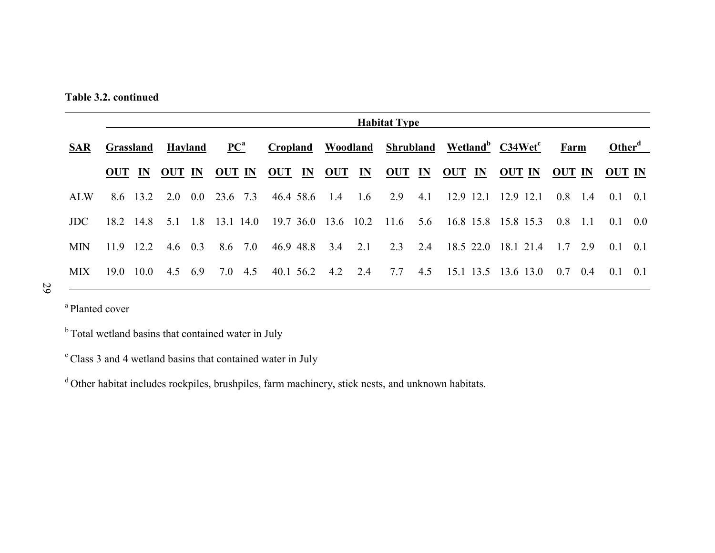**Table 3.2. continued** 

|            | <b>Habitat Type</b> |          |                |     |                            |  |                      |  |                          |     |                      |     |                                                                      |                     |                 |           |                    |  |
|------------|---------------------|----------|----------------|-----|----------------------------|--|----------------------|--|--------------------------|-----|----------------------|-----|----------------------------------------------------------------------|---------------------|-----------------|-----------|--------------------|--|
| <b>SAR</b> | Grassland           |          | <b>Hayland</b> |     | $\mathbf{PC}^{\mathbf{a}}$ |  |                      |  |                          |     |                      |     | Cropland Woodland Shrubland Wetland <sup>b</sup> C34Wet <sup>c</sup> |                     | Farm            |           | Other <sup>d</sup> |  |
|            | OUT IN              |          | OUT IN         |     |                            |  | <u>OUT IN OUT IN</u> |  |                          |     | <u>OUT IN OUT IN</u> |     | $OUT$ $IN$                                                           | <b>OUT IN</b>       | OUT IN          |           | <u>OUT IN</u>      |  |
| <b>ALW</b> |                     | 8.6 13.2 | 2.0            | 0.0 | 23.6 7.3                   |  | 46.4 58.6 1.4        |  |                          | 1.6 | 2.9                  | 4.1 |                                                                      | 12.9 12.1 12.9 12.1 |                 | $0.8$ 1.4 | $0.1 \quad 0.1$    |  |
| <b>JDC</b> | 18.2 14.8           |          | 51             | 1.8 | 13.1 14.0                  |  |                      |  | 19.7 36.0 13.6 10.2 11.6 |     |                      | 5.6 | 16.8 15.8 15.8 15.3                                                  |                     | 0.8             | $-11$     | $0.1 \quad 0.0$    |  |
| <b>MIN</b> | 11.9                | 12.2     | 4.6 $0.3$      |     | 8.6 7.0                    |  |                      |  | 46.9 48.8 3.4            | 2.1 | 2.3                  | 2.4 |                                                                      | 18.5 22.0 18.1 21.4 | 17 29           |           | $0.1 \quad 0.1$    |  |
| <b>MIX</b> | $19.0^{\circ}$      | 10.0     | 4.5 6.9        |     | 7.0 4.5                    |  |                      |  | 40.1 56.2 4.2            | 2.4 | 7.7                  | 4.5 |                                                                      | 15.1 13.5 13.6 13.0 | $0.7 \quad 0.4$ |           | $01 \quad 01$      |  |

29

<sup>a</sup> Planted cover

<sup>b</sup> Total wetland basins that contained water in July

c Class 3 and 4 wetland basins that contained water in July

<sup>d</sup> Other habitat includes rockpiles, brushpiles, farm machinery, stick nests, and unknown habitats.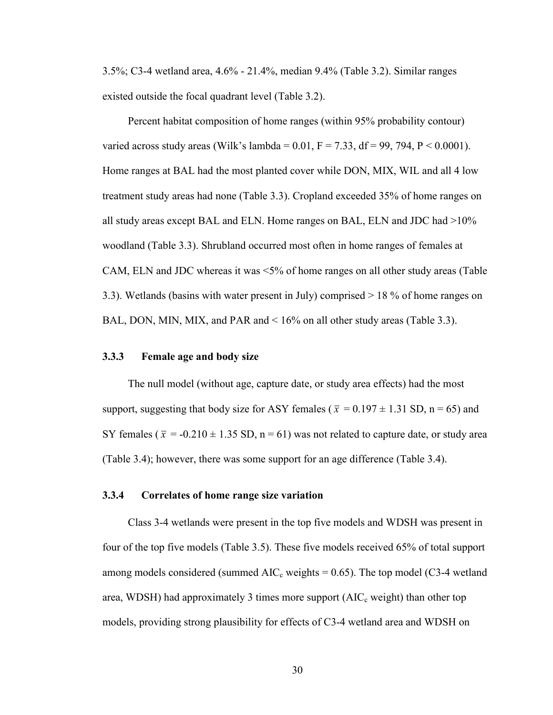3.5%; C3-4 wetland area, 4.6% - 21.4%, median 9.4% (Table 3.2). Similar ranges existed outside the focal quadrant level (Table 3.2).

Percent habitat composition of home ranges (within 95% probability contour) varied across study areas (Wilk's lambda =  $0.01$ , F = 7.33, df = 99, 794, P < 0.0001). Home ranges at BAL had the most planted cover while DON, MIX, WIL and all 4 low treatment study areas had none (Table 3.3). Cropland exceeded 35% of home ranges on all study areas except BAL and ELN. Home ranges on BAL, ELN and JDC had >10% woodland (Table 3.3). Shrubland occurred most often in home ranges of females at CAM, ELN and JDC whereas it was <5% of home ranges on all other study areas (Table 3.3). Wetlands (basins with water present in July) comprised > 18 % of home ranges on BAL, DON, MIN, MIX, and PAR and < 16% on all other study areas (Table 3.3).

# **3.3.3 Female age and body size**

The null model (without age, capture date, or study area effects) had the most support, suggesting that body size for ASY females ( $\bar{x} = 0.197 \pm 1.31$  SD, n = 65) and SY females ( $\bar{x}$  = -0.210  $\pm$  1.35 SD, n = 61) was not related to capture date, or study area (Table 3.4); however, there was some support for an age difference (Table 3.4).

# **3.3.4 Correlates of home range size variation**

Class 3-4 wetlands were present in the top five models and WDSH was present in four of the top five models (Table 3.5). These five models received 65% of total support among models considered (summed  $AIC_c$  weights = 0.65). The top model (C3-4 wetland area, WDSH) had approximately 3 times more support  $(AIC<sub>c</sub> weight)$  than other top models, providing strong plausibility for effects of C3-4 wetland area and WDSH on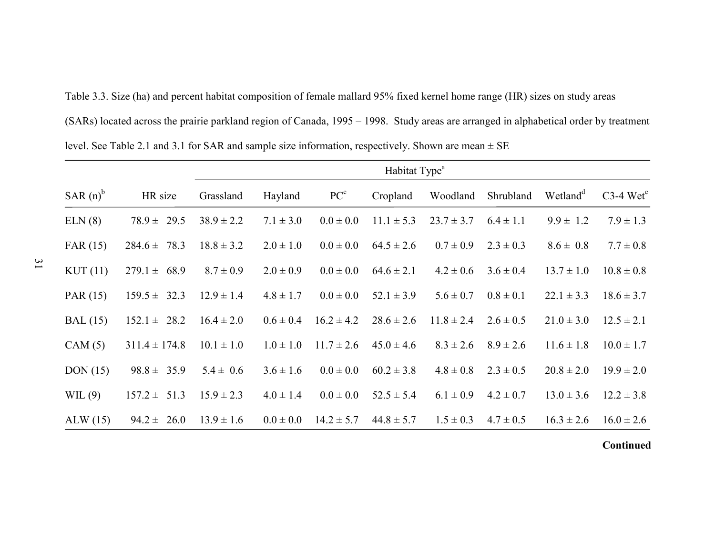|             | (SARs) located across the prairie parkland region of Canada, 1995 – 1998. Study areas are arranged in alphabetical order by treatment |                |                           |                 |                |                |               |                      |                         |  |  |
|-------------|---------------------------------------------------------------------------------------------------------------------------------------|----------------|---------------------------|-----------------|----------------|----------------|---------------|----------------------|-------------------------|--|--|
|             | level. See Table 2.1 and 3.1 for SAR and sample size information, respectively. Shown are mean $\pm$ SE                               |                |                           |                 |                |                |               |                      |                         |  |  |
|             |                                                                                                                                       |                | Habitat Type <sup>a</sup> |                 |                |                |               |                      |                         |  |  |
| SAR $(n)^b$ | HR size                                                                                                                               | Grassland      | Hayland                   | PC <sup>c</sup> | Cropland       | Woodland       | Shrubland     | Wetland <sup>d</sup> | $C3-4$ Wet <sup>e</sup> |  |  |
| ELN(8)      | $78.9 \pm 29.5$                                                                                                                       | $38.9 \pm 2.2$ | $7.1 \pm 3.0$             | $0.0 \pm 0.0$   | $11.1 \pm 5.3$ | $23.7 \pm 3.7$ | $6.4 \pm 1.1$ | $9.9 \pm 1.2$        | $7.9 \pm 1.3$           |  |  |
| FAR(15)     | $284.6 \pm 78.3$                                                                                                                      | $18.8 \pm 3.2$ | $2.0 \pm 1.0$             | $0.0 \pm 0.0$   | $64.5 \pm 2.6$ | $0.7 \pm 0.9$  | $2.3 \pm 0.3$ | $8.6 \pm 0.8$        | $7.7 \pm 0.8$           |  |  |
| KUT(11)     | $279.1 \pm 68.9$                                                                                                                      | $8.7 \pm 0.9$  | $2.0 \pm 0.9$             | $0.0 \pm 0.0$   | $64.6 \pm 2.1$ | $4.2 \pm 0.6$  | $3.6 \pm 0.4$ | $13.7 \pm 1.0$       | $10.8 \pm 0.8$          |  |  |
| PAR (15)    | $159.5 \pm 32.3$                                                                                                                      | $12.9 \pm 1.4$ | $4.8 \pm 1.7$             | $0.0 \pm 0.0$   | $52.1 \pm 3.9$ | $5.6 \pm 0.7$  | $0.8 \pm 0.1$ | $22.1 \pm 3.3$       | $18.6 \pm 3.7$          |  |  |
| BAL(15)     | $152.1 \pm 28.2$                                                                                                                      | $16.4 \pm 2.0$ | $0.6 \pm 0.4$             | $16.2 \pm 4.2$  | $28.6 \pm 2.6$ | $11.8 \pm 2.4$ | $2.6 \pm 0.5$ | $21.0 \pm 3.0$       | $12.5 \pm 2.1$          |  |  |
| CAM(5)      | $311.4 \pm 174.8$                                                                                                                     | $10.1 \pm 1.0$ | $1.0 \pm 1.0$             | $11.7 \pm 2.6$  | $45.0 \pm 4.6$ | $8.3 \pm 2.6$  | $8.9 \pm 2.6$ | $11.6 \pm 1.8$       | $10.0 \pm 1.7$          |  |  |
| DOM(15)     | $98.8 \pm 35.9$                                                                                                                       | $5.4 \pm 0.6$  | $3.6 \pm 1.6$             | $0.0 \pm 0.0$   | $60.2 \pm 3.8$ | $4.8 \pm 0.8$  | $2.3 \pm 0.5$ | $20.8 \pm 2.0$       | $19.9 \pm 2.0$          |  |  |
| WIL(9)      | $157.2 \pm 51.3$                                                                                                                      | $15.9 \pm 2.3$ | $4.0 \pm 1.4$             | $0.0 \pm 0.0$   | $52.5 \pm 5.4$ | $6.1 \pm 0.9$  | $4.2 \pm 0.7$ | $13.0 \pm 3.6$       | $12.2 \pm 3.8$          |  |  |
| ALW(15)     | $94.2 \pm$<br>26.0                                                                                                                    | $13.9 \pm 1.6$ | $0.0 \pm 0.0$             | $14.2 \pm 5.7$  | $44.8 \pm 5.7$ | $1.5 \pm 0.3$  | $4.7 \pm 0.5$ | $16.3 \pm 2.6$       | $16.0 \pm 2.6$          |  |  |

Table 3.3. Size (ha) and percent habitat composition of female mallard 95% fixed kernel home range (HR) sizes on study areas

**Continued**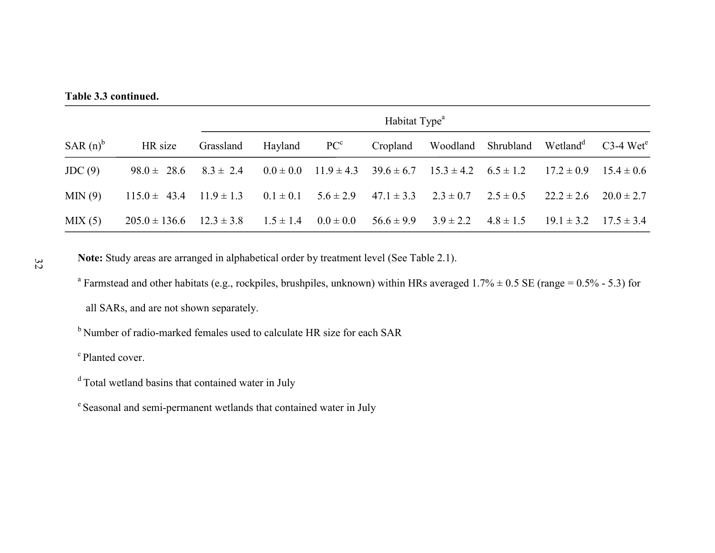#### **Table 3.3 continued.**

|             |                                 |                | Habitat Type <sup>a</sup> |  |          |                                                                                                        |               |                               |                         |  |  |
|-------------|---------------------------------|----------------|---------------------------|--|----------|--------------------------------------------------------------------------------------------------------|---------------|-------------------------------|-------------------------|--|--|
| SAR $(n)^b$ | HR size                         | Grassland      | Hayland $PCc$             |  | Cropland | Woodland Shrubland Wetland <sup>d</sup>                                                                |               |                               | $C3-4$ Wet <sup>e</sup> |  |  |
| JDC(9)      | $98.0 \pm 28.6$ $8.3 \pm 2.4$   |                |                           |  |          | $0.0 \pm 0.0$ $11.9 \pm 4.3$ $39.6 \pm 6.7$ $15.3 \pm 4.2$ $6.5 \pm 1.2$ $17.2 \pm 0.9$ $15.4 \pm 0.6$ |               |                               |                         |  |  |
| MIN(9)      | $115.0 \pm 43.4$ $11.9 \pm 1.3$ |                |                           |  |          | $0.1 \pm 0.1$ $5.6 \pm 2.9$ $47.1 \pm 3.3$ $2.3 \pm 0.7$ $2.5 \pm 0.5$                                 |               | $22.2 \pm 2.6$ $20.0 \pm 2.7$ |                         |  |  |
| MIX(5)      | $205.0 \pm 136.6$               | $12.3 \pm 3.8$ | $1.5 \pm 1.4$             |  |          | $0.0 \pm 0.0$ $56.6 \pm 9.9$ $3.9 \pm 2.2$                                                             | $4.8 \pm 1.5$ | $19.1 \pm 3.2$ $17.5 \pm 3.4$ |                         |  |  |

**Note:** Study areas are arranged in alphabetical order by treatment level (See Table 2.1).

<sup>a</sup> Farmstead and other habitats (e.g., rockpiles, brushpiles, unknown) within HRs averaged  $1.7\% \pm 0.5$  SE (range = 0.5% - 5.3) for

all SARs, and are not shown separately.

<sup>b</sup> Number of radio-marked females used to calculate HR size for each SAR

<sup>c</sup> Planted cover.

- d Total wetland basins that contained water in July
- e Seasonal and semi-permanent wetlands that contained water in July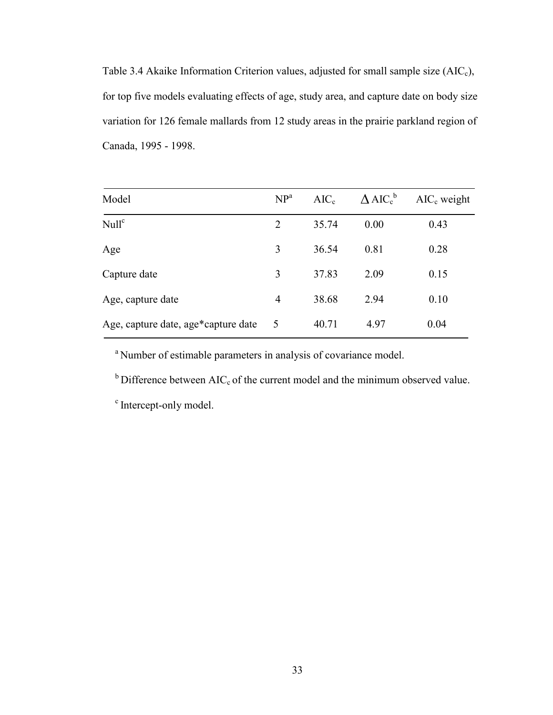Table 3.4 Akaike Information Criterion values, adjusted for small sample size  $(AIC<sub>c</sub>)$ , for top five models evaluating effects of age, study area, and capture date on body size variation for 126 female mallards from 12 study areas in the prairie parkland region of Canada, 1995 - 1998.

| Model                               | NP <sup>a</sup> | AIC <sub>c</sub> | $\Delta$ AIC <sup>b</sup> | $AIC_c$ weight |
|-------------------------------------|-----------------|------------------|---------------------------|----------------|
| Null <sup>c</sup>                   | $\overline{2}$  | 35.74            | 0.00                      | 0.43           |
| Age                                 | 3               | 36.54            | 0.81                      | 0.28           |
| Capture date                        | 3               | 37.83            | 2.09                      | 0.15           |
| Age, capture date                   | $\overline{4}$  | 38.68            | 2.94                      | 0.10           |
| Age, capture date, age*capture date | $\overline{5}$  | 40.71            | 4.97                      | 0.04           |

<sup>a</sup> Number of estimable parameters in analysis of covariance model.

 $b$  Difference between AIC<sub>c</sub> of the current model and the minimum observed value.

<sup>c</sup> Intercept-only model.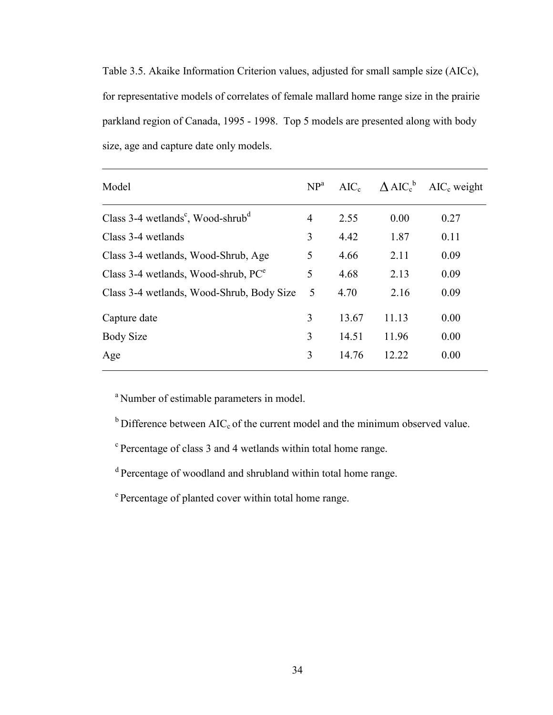Table 3.5. Akaike Information Criterion values, adjusted for small sample size (AICc), for representative models of correlates of female mallard home range size in the prairie parkland region of Canada, 1995 - 1998. Top 5 models are presented along with body size, age and capture date only models.

| Model                                                       | NP <sup>a</sup> | $AIC_c$ |       | $\triangle$ AIC <sub>c</sub> MIC <sub>c</sub> weight |
|-------------------------------------------------------------|-----------------|---------|-------|------------------------------------------------------|
| Class $3-4$ wetlands <sup>c</sup> , Wood-shrub <sup>d</sup> | 4               | 2.55    | 0.00  | 0.27                                                 |
| Class 3-4 wetlands                                          | 3               | 4.42    | 1.87  | 0.11                                                 |
| Class 3-4 wetlands, Wood-Shrub, Age                         | 5               | 4.66    | 2.11  | 0.09                                                 |
| Class 3-4 wetlands, Wood-shrub, $PC^e$                      | 5               | 4.68    | 2.13  | 0.09                                                 |
| Class 3-4 wetlands, Wood-Shrub, Body Size                   | 5               | 4.70    | 2.16  | 0.09                                                 |
| Capture date                                                | 3               | 13.67   | 11.13 | 0.00                                                 |
| <b>Body Size</b>                                            | 3               | 14.51   | 11.96 | 0.00                                                 |
| Age                                                         | 3               | 14.76   | 12.22 | 0.00                                                 |

<sup>a</sup> Number of estimable parameters in model.

 $b$  Difference between AIC<sub>c</sub> of the current model and the minimum observed value.

<sup>c</sup> Percentage of class 3 and 4 wetlands within total home range.

d Percentage of woodland and shrubland within total home range.

<sup>e</sup> Percentage of planted cover within total home range.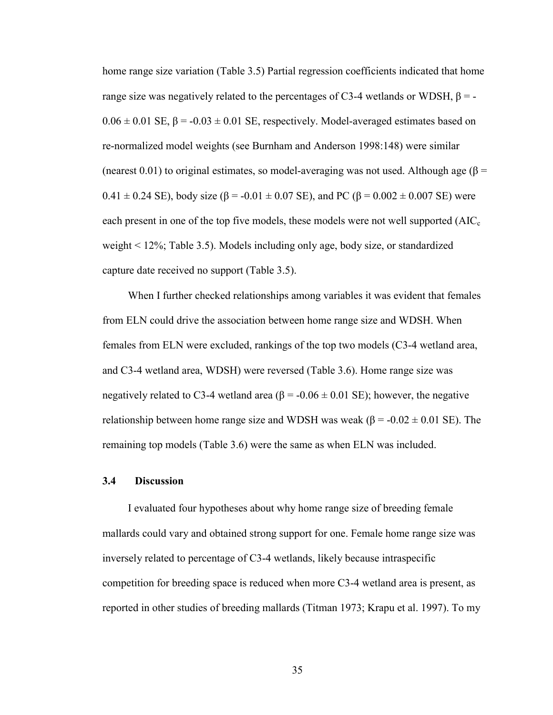home range size variation (Table 3.5) Partial regression coefficients indicated that home range size was negatively related to the percentages of C3-4 wetlands or WDSH,  $β = 0.06 \pm 0.01$  SE,  $\beta = -0.03 \pm 0.01$  SE, respectively. Model-averaged estimates based on re-normalized model weights (see Burnham and Anderson 1998:148) were similar (nearest 0.01) to original estimates, so model-averaging was not used. Although age ( $\beta$  =  $0.41 \pm 0.24$  SE), body size ( $\beta$  = -0.01  $\pm$  0.07 SE), and PC ( $\beta$  = 0.002  $\pm$  0.007 SE) were each present in one of the top five models, these models were not well supported  $(AIC<sub>c</sub>)$ weight < 12%; Table 3.5). Models including only age, body size, or standardized capture date received no support (Table 3.5).

When I further checked relationships among variables it was evident that females from ELN could drive the association between home range size and WDSH. When females from ELN were excluded, rankings of the top two models (C3-4 wetland area, and C3-4 wetland area, WDSH) were reversed (Table 3.6). Home range size was negatively related to C3-4 wetland area ( $\beta$  = -0.06  $\pm$  0.01 SE); however, the negative relationship between home range size and WDSH was weak ( $\beta$  = -0.02  $\pm$  0.01 SE). The remaining top models (Table 3.6) were the same as when ELN was included.

## **3.4 Discussion**

I evaluated four hypotheses about why home range size of breeding female mallards could vary and obtained strong support for one. Female home range size was inversely related to percentage of C3-4 wetlands, likely because intraspecific competition for breeding space is reduced when more C3-4 wetland area is present, as reported in other studies of breeding mallards (Titman 1973; Krapu et al. 1997). To my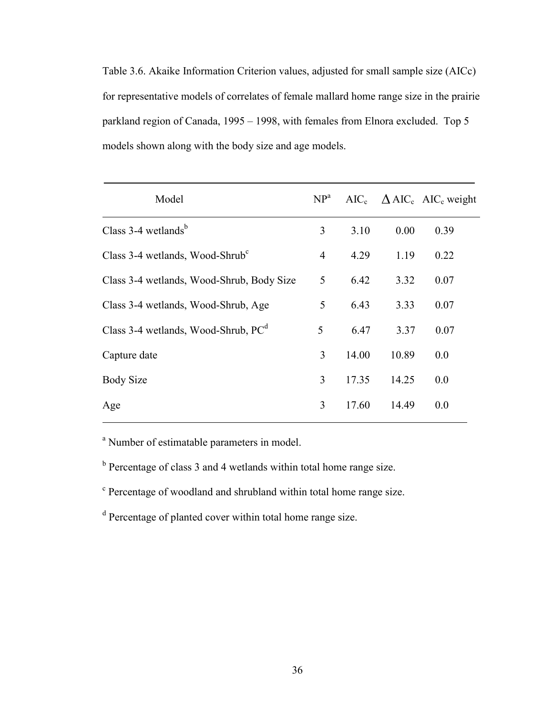Table 3.6. Akaike Information Criterion values, adjusted for small sample size (AICc) for representative models of correlates of female mallard home range size in the prairie parkland region of Canada, 1995 – 1998, with females from Elnora excluded. Top 5 models shown along with the body size and age models.

| Model                                                | NP <sup>a</sup> |       |       | $AIC_c \quad \Delta AIC_c \quad AIC_c$ weight |
|------------------------------------------------------|-----------------|-------|-------|-----------------------------------------------|
| Class $3-4$ wetlands <sup>b</sup>                    | 3               | 3.10  | 0.00  | 0.39                                          |
| Class 3-4 wetlands, Wood-Shrub $\text{C}^{\text{c}}$ | $\overline{4}$  | 4.29  | 1.19  | 0.22                                          |
| Class 3-4 wetlands, Wood-Shrub, Body Size            | 5               | 6.42  | 3.32  | 0.07                                          |
| Class 3-4 wetlands, Wood-Shrub, Age                  | 5               | 6.43  | 3.33  | 0.07                                          |
| Class 3-4 wetlands, Wood-Shrub, $PCd$                | 5               | 6.47  | 3.37  | 0.07                                          |
| Capture date                                         | 3               | 14.00 | 10.89 | 0.0                                           |
| <b>Body Size</b>                                     | 3               | 17.35 | 14.25 | 0.0                                           |
| Age                                                  | 3               | 17.60 | 14.49 | 0.0                                           |

<sup>a</sup> Number of estimatable parameters in model.

 $b$  Percentage of class 3 and 4 wetlands within total home range size.

<sup>c</sup> Percentage of woodland and shrubland within total home range size.

<sup>d</sup> Percentage of planted cover within total home range size.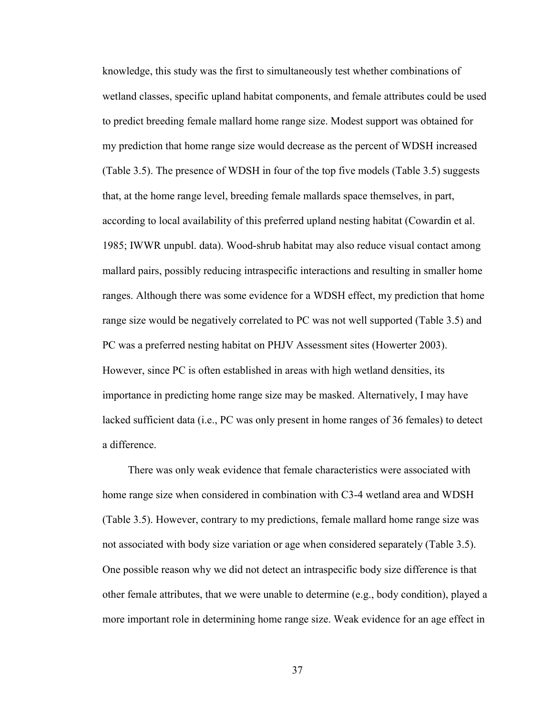knowledge, this study was the first to simultaneously test whether combinations of wetland classes, specific upland habitat components, and female attributes could be used to predict breeding female mallard home range size. Modest support was obtained for my prediction that home range size would decrease as the percent of WDSH increased (Table 3.5). The presence of WDSH in four of the top five models (Table 3.5) suggests that, at the home range level, breeding female mallards space themselves, in part, according to local availability of this preferred upland nesting habitat (Cowardin et al. 1985; IWWR unpubl. data). Wood-shrub habitat may also reduce visual contact among mallard pairs, possibly reducing intraspecific interactions and resulting in smaller home ranges. Although there was some evidence for a WDSH effect, my prediction that home range size would be negatively correlated to PC was not well supported (Table 3.5) and PC was a preferred nesting habitat on PHJV Assessment sites (Howerter 2003). However, since PC is often established in areas with high wetland densities, its importance in predicting home range size may be masked. Alternatively, I may have lacked sufficient data (i.e., PC was only present in home ranges of 36 females) to detect a difference.

There was only weak evidence that female characteristics were associated with home range size when considered in combination with C3-4 wetland area and WDSH (Table 3.5). However, contrary to my predictions, female mallard home range size was not associated with body size variation or age when considered separately (Table 3.5). One possible reason why we did not detect an intraspecific body size difference is that other female attributes, that we were unable to determine (e.g., body condition), played a more important role in determining home range size. Weak evidence for an age effect in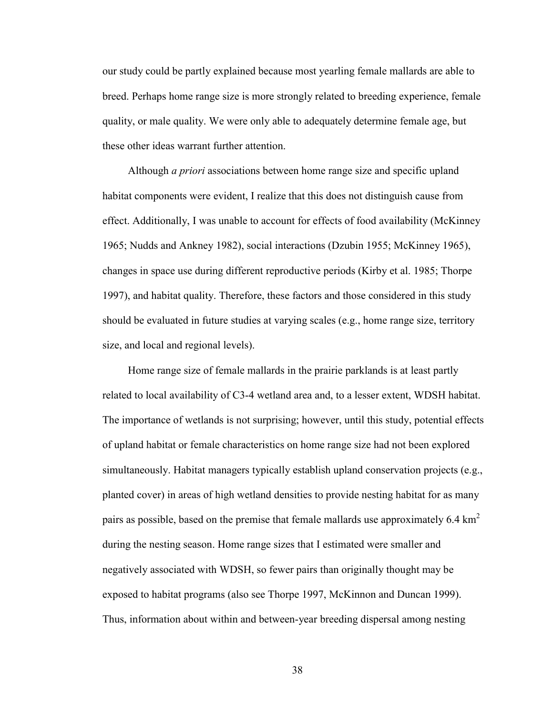our study could be partly explained because most yearling female mallards are able to breed. Perhaps home range size is more strongly related to breeding experience, female quality, or male quality. We were only able to adequately determine female age, but these other ideas warrant further attention.

Although *a priori* associations between home range size and specific upland habitat components were evident, I realize that this does not distinguish cause from effect. Additionally, I was unable to account for effects of food availability (McKinney 1965; Nudds and Ankney 1982), social interactions (Dzubin 1955; McKinney 1965), changes in space use during different reproductive periods (Kirby et al. 1985; Thorpe 1997), and habitat quality. Therefore, these factors and those considered in this study should be evaluated in future studies at varying scales (e.g., home range size, territory size, and local and regional levels).

Home range size of female mallards in the prairie parklands is at least partly related to local availability of C3-4 wetland area and, to a lesser extent, WDSH habitat. The importance of wetlands is not surprising; however, until this study, potential effects of upland habitat or female characteristics on home range size had not been explored simultaneously. Habitat managers typically establish upland conservation projects (e.g., planted cover) in areas of high wetland densities to provide nesting habitat for as many pairs as possible, based on the premise that female mallards use approximately 6.4 km<sup>2</sup> during the nesting season. Home range sizes that I estimated were smaller and negatively associated with WDSH, so fewer pairs than originally thought may be exposed to habitat programs (also see Thorpe 1997, McKinnon and Duncan 1999). Thus, information about within and between-year breeding dispersal among nesting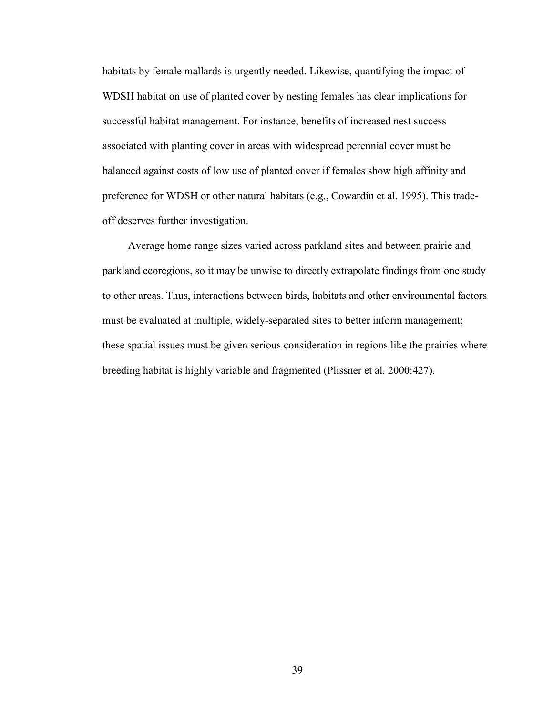habitats by female mallards is urgently needed. Likewise, quantifying the impact of WDSH habitat on use of planted cover by nesting females has clear implications for successful habitat management. For instance, benefits of increased nest success associated with planting cover in areas with widespread perennial cover must be balanced against costs of low use of planted cover if females show high affinity and preference for WDSH or other natural habitats (e.g., Cowardin et al. 1995). This tradeoff deserves further investigation.

Average home range sizes varied across parkland sites and between prairie and parkland ecoregions, so it may be unwise to directly extrapolate findings from one study to other areas. Thus, interactions between birds, habitats and other environmental factors must be evaluated at multiple, widely-separated sites to better inform management; these spatial issues must be given serious consideration in regions like the prairies where breeding habitat is highly variable and fragmented (Plissner et al. 2000:427).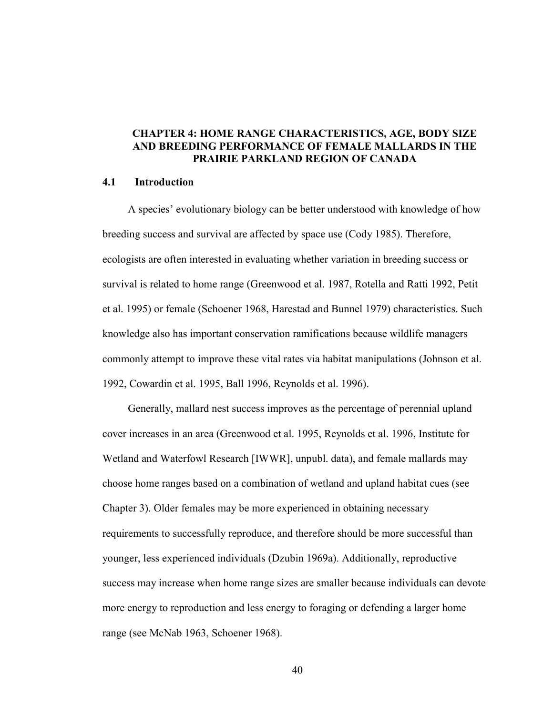# **CHAPTER 4: HOME RANGE CHARACTERISTICS, AGE, BODY SIZE AND BREEDING PERFORMANCE OF FEMALE MALLARDS IN THE PRAIRIE PARKLAND REGION OF CANADA**

#### **4.1 Introduction**

A species' evolutionary biology can be better understood with knowledge of how breeding success and survival are affected by space use (Cody 1985). Therefore, ecologists are often interested in evaluating whether variation in breeding success or survival is related to home range (Greenwood et al. 1987, Rotella and Ratti 1992, Petit et al. 1995) or female (Schoener 1968, Harestad and Bunnel 1979) characteristics. Such knowledge also has important conservation ramifications because wildlife managers commonly attempt to improve these vital rates via habitat manipulations (Johnson et al. 1992, Cowardin et al. 1995, Ball 1996, Reynolds et al. 1996).

Generally, mallard nest success improves as the percentage of perennial upland cover increases in an area (Greenwood et al. 1995, Reynolds et al. 1996, Institute for Wetland and Waterfowl Research [IWWR], unpubl. data), and female mallards may choose home ranges based on a combination of wetland and upland habitat cues (see Chapter 3). Older females may be more experienced in obtaining necessary requirements to successfully reproduce, and therefore should be more successful than younger, less experienced individuals (Dzubin 1969a). Additionally, reproductive success may increase when home range sizes are smaller because individuals can devote more energy to reproduction and less energy to foraging or defending a larger home range (see McNab 1963, Schoener 1968).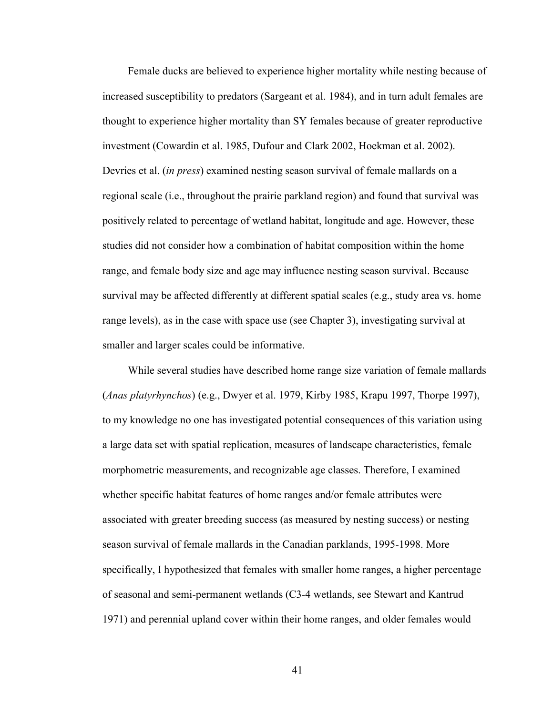Female ducks are believed to experience higher mortality while nesting because of increased susceptibility to predators (Sargeant et al. 1984), and in turn adult females are thought to experience higher mortality than SY females because of greater reproductive investment (Cowardin et al. 1985, Dufour and Clark 2002, Hoekman et al. 2002). Devries et al. (*in press*) examined nesting season survival of female mallards on a regional scale (i.e., throughout the prairie parkland region) and found that survival was positively related to percentage of wetland habitat, longitude and age. However, these studies did not consider how a combination of habitat composition within the home range, and female body size and age may influence nesting season survival. Because survival may be affected differently at different spatial scales (e.g., study area vs. home range levels), as in the case with space use (see Chapter 3), investigating survival at smaller and larger scales could be informative.

While several studies have described home range size variation of female mallards (*Anas platyrhynchos*) (e.g., Dwyer et al. 1979, Kirby 1985, Krapu 1997, Thorpe 1997), to my knowledge no one has investigated potential consequences of this variation using a large data set with spatial replication, measures of landscape characteristics, female morphometric measurements, and recognizable age classes. Therefore, I examined whether specific habitat features of home ranges and/or female attributes were associated with greater breeding success (as measured by nesting success) or nesting season survival of female mallards in the Canadian parklands, 1995-1998. More specifically, I hypothesized that females with smaller home ranges, a higher percentage of seasonal and semi-permanent wetlands (C3-4 wetlands, see Stewart and Kantrud 1971) and perennial upland cover within their home ranges, and older females would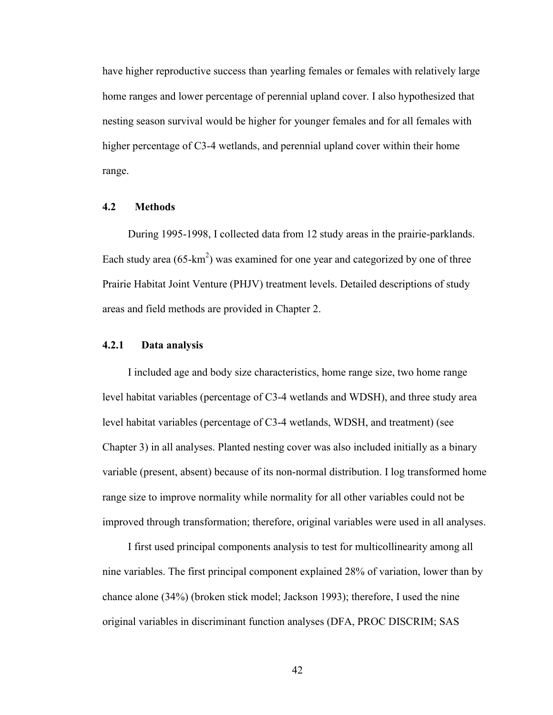have higher reproductive success than yearling females or females with relatively large home ranges and lower percentage of perennial upland cover. I also hypothesized that nesting season survival would be higher for younger females and for all females with higher percentage of C3-4 wetlands, and perennial upland cover within their home range.

### **4.2 Methods**

During 1995-1998, I collected data from 12 study areas in the prairie-parklands. Each study area  $(65 \text{-} \text{km}^2)$  was examined for one year and categorized by one of three Prairie Habitat Joint Venture (PHJV) treatment levels. Detailed descriptions of study areas and field methods are provided in Chapter 2.

## **4.2.1 Data analysis**

I included age and body size characteristics, home range size, two home range level habitat variables (percentage of C3-4 wetlands and WDSH), and three study area level habitat variables (percentage of C3-4 wetlands, WDSH, and treatment) (see Chapter 3) in all analyses. Planted nesting cover was also included initially as a binary variable (present, absent) because of its non-normal distribution. I log transformed home range size to improve normality while normality for all other variables could not be improved through transformation; therefore, original variables were used in all analyses.

I first used principal components analysis to test for multicollinearity among all nine variables. The first principal component explained 28% of variation, lower than by chance alone (34%) (broken stick model; Jackson 1993); therefore, I used the nine original variables in discriminant function analyses (DFA, PROC DISCRIM; SAS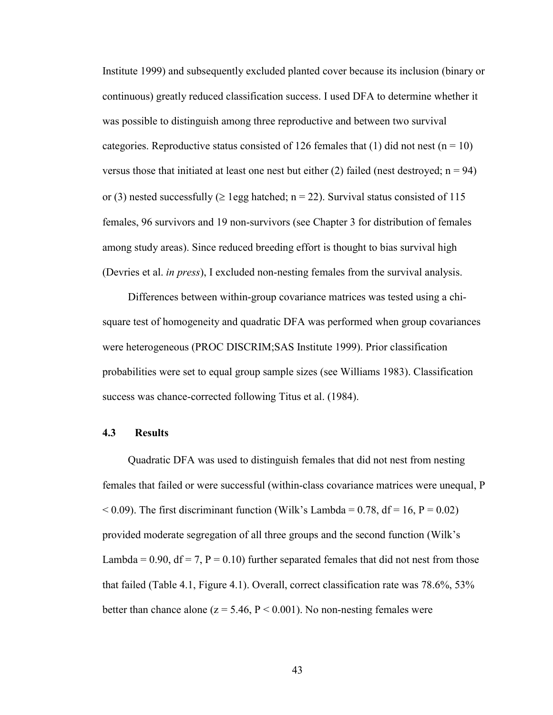Institute 1999) and subsequently excluded planted cover because its inclusion (binary or continuous) greatly reduced classification success. I used DFA to determine whether it was possible to distinguish among three reproductive and between two survival categories. Reproductive status consisted of 126 females that (1) did not nest ( $n = 10$ ) versus those that initiated at least one nest but either (2) failed (nest destroyed;  $n = 94$ ) or (3) nested successfully ( $\geq$  1egg hatched; n = 22). Survival status consisted of 115 females, 96 survivors and 19 non-survivors (see Chapter 3 for distribution of females among study areas). Since reduced breeding effort is thought to bias survival high (Devries et al. *in press*), I excluded non-nesting females from the survival analysis.

Differences between within-group covariance matrices was tested using a chisquare test of homogeneity and quadratic DFA was performed when group covariances were heterogeneous (PROC DISCRIM;SAS Institute 1999). Prior classification probabilities were set to equal group sample sizes (see Williams 1983). Classification success was chance-corrected following Titus et al. (1984).

# **4.3 Results**

Quadratic DFA was used to distinguish females that did not nest from nesting females that failed or were successful (within-class covariance matrices were unequal, P  $<$  0.09). The first discriminant function (Wilk's Lambda = 0.78, df = 16, P = 0.02) provided moderate segregation of all three groups and the second function (Wilk's Lambda =  $0.90$ , df = 7, P =  $0.10$ ) further separated females that did not nest from those that failed (Table 4.1, Figure 4.1). Overall, correct classification rate was 78.6%, 53% better than chance alone ( $z = 5.46$ ,  $P < 0.001$ ). No non-nesting females were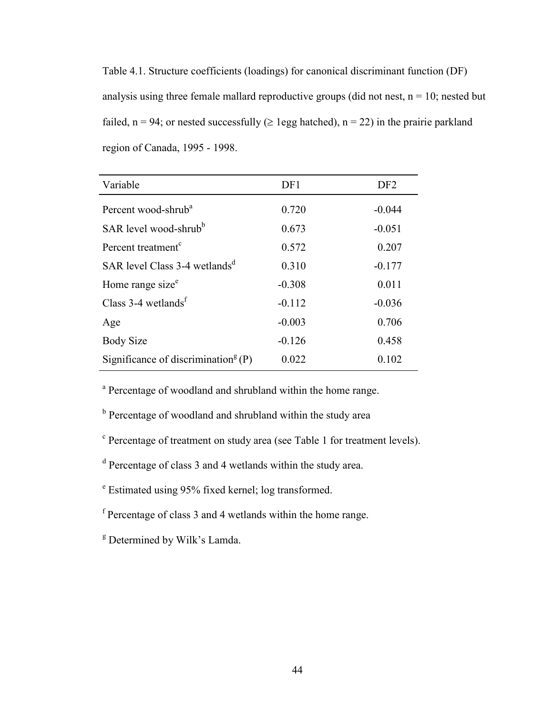Table 4.1. Structure coefficients (loadings) for canonical discriminant function (DF) analysis using three female mallard reproductive groups (did not nest,  $n = 10$ ; nested but failed,  $n = 94$ ; or nested successfully ( $\geq$  1egg hatched),  $n = 22$ ) in the prairie parkland region of Canada, 1995 - 1998.

| Variable                                          | DF1      | DF <sub>2</sub> |
|---------------------------------------------------|----------|-----------------|
| Percent wood-shrub <sup>a</sup>                   | 0.720    | $-0.044$        |
| SAR level wood-shrub <sup>b</sup>                 | 0.673    | $-0.051$        |
| Percent treatment <sup>c</sup>                    | 0.572    | 0.207           |
| SAR level Class 3-4 wetlands <sup>d</sup>         | 0.310    | $-0.177$        |
| Home range size <sup>e</sup>                      | $-0.308$ | 0.011           |
| Class $3-4$ wetlands <sup>f</sup>                 | $-0.112$ | $-0.036$        |
| Age                                               | $-0.003$ | 0.706           |
| <b>Body Size</b>                                  | $-0.126$ | 0.458           |
| Significance of discrimination <sup>g</sup> $(P)$ | 0.022    | 0.102           |

<sup>a</sup> Percentage of woodland and shrubland within the home range.

<sup>b</sup> Percentage of woodland and shrubland within the study area

- <sup>c</sup> Percentage of treatment on study area (see Table 1 for treatment levels).
- <sup>d</sup> Percentage of class 3 and 4 wetlands within the study area.
- e Estimated using 95% fixed kernel; log transformed.
- f Percentage of class 3 and 4 wetlands within the home range.
- <sup>g</sup> Determined by Wilk's Lamda.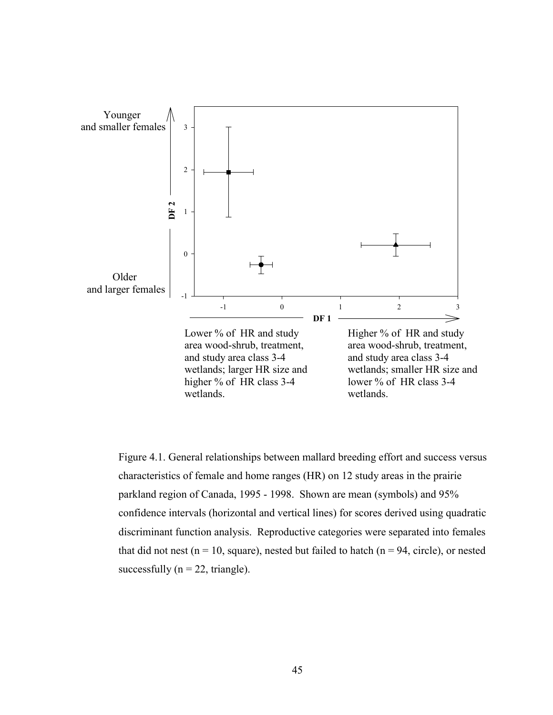

Figure 4.1. General relationships between mallard breeding effort and success versus characteristics of female and home ranges (HR) on 12 study areas in the prairie parkland region of Canada, 1995 - 1998. Shown are mean (symbols) and 95% confidence intervals (horizontal and vertical lines) for scores derived using quadratic discriminant function analysis. Reproductive categories were separated into females that did not nest ( $n = 10$ , square), nested but failed to hatch ( $n = 94$ , circle), or nested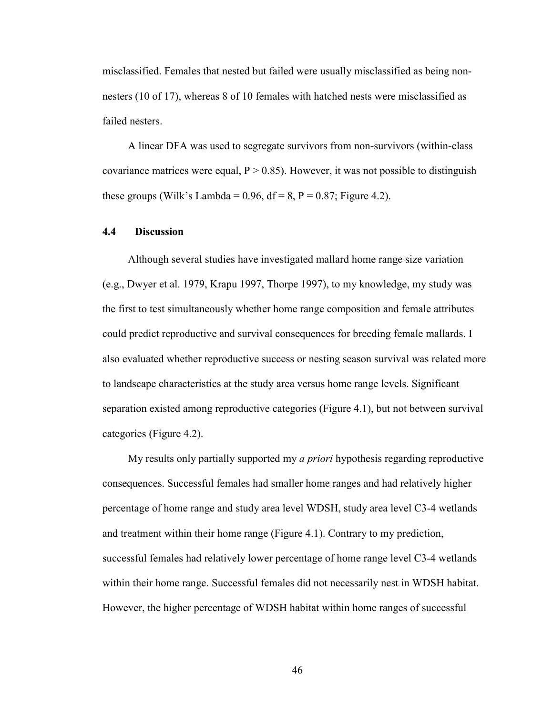misclassified. Females that nested but failed were usually misclassified as being nonnesters (10 of 17), whereas 8 of 10 females with hatched nests were misclassified as failed nesters.

A linear DFA was used to segregate survivors from non-survivors (within-class covariance matrices were equal,  $P > 0.85$ ). However, it was not possible to distinguish these groups (Wilk's Lambda =  $0.96$ , df =  $8$ , P =  $0.87$ ; Figure 4.2).

#### **4.4 Discussion**

Although several studies have investigated mallard home range size variation (e.g., Dwyer et al. 1979, Krapu 1997, Thorpe 1997), to my knowledge, my study was the first to test simultaneously whether home range composition and female attributes could predict reproductive and survival consequences for breeding female mallards. I also evaluated whether reproductive success or nesting season survival was related more to landscape characteristics at the study area versus home range levels. Significant separation existed among reproductive categories (Figure 4.1), but not between survival categories (Figure 4.2).

My results only partially supported my *a priori* hypothesis regarding reproductive consequences. Successful females had smaller home ranges and had relatively higher percentage of home range and study area level WDSH, study area level C3-4 wetlands and treatment within their home range (Figure 4.1). Contrary to my prediction, successful females had relatively lower percentage of home range level C3-4 wetlands within their home range. Successful females did not necessarily nest in WDSH habitat. However, the higher percentage of WDSH habitat within home ranges of successful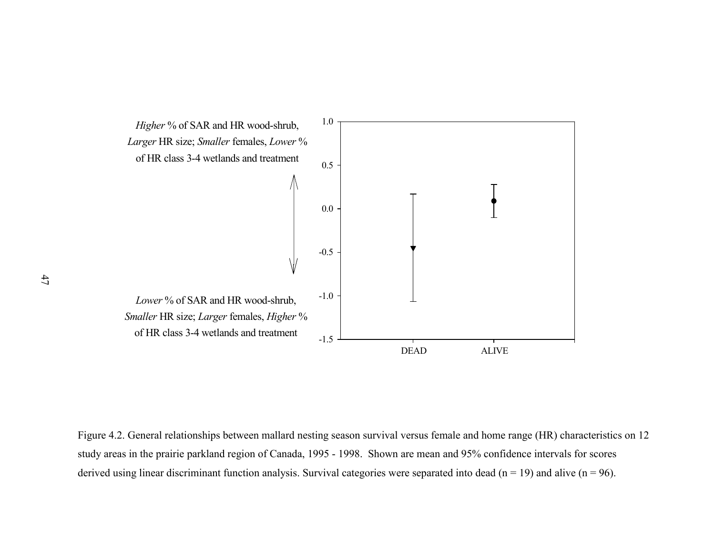

Figure 4.2. General relationships between mallard nesting season survival versus female and home range (HR) characteristics on 12 study areas in the prairie parkland region of Canada, 1995 - 1998. Shown are mean and 95% confidence intervals for scores derived using linear discriminant function analysis. Survival categories were separated into dead ( $n = 19$ ) and alive ( $n = 96$ ).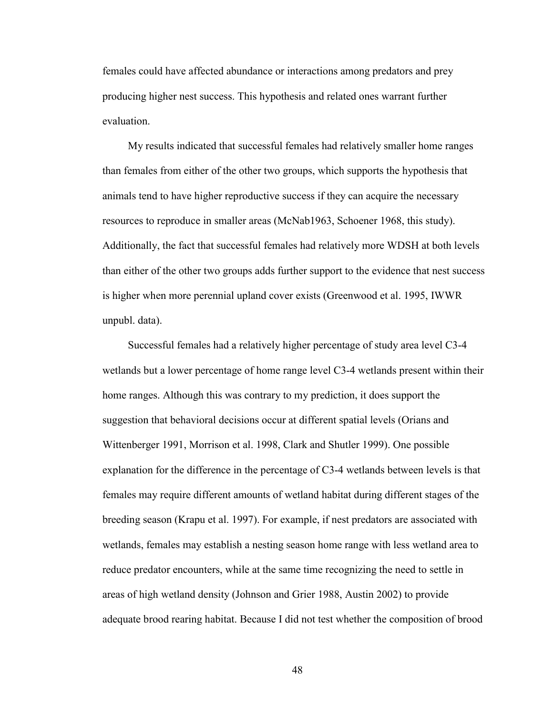females could have affected abundance or interactions among predators and prey producing higher nest success. This hypothesis and related ones warrant further evaluation.

My results indicated that successful females had relatively smaller home ranges than females from either of the other two groups, which supports the hypothesis that animals tend to have higher reproductive success if they can acquire the necessary resources to reproduce in smaller areas (McNab1963, Schoener 1968, this study). Additionally, the fact that successful females had relatively more WDSH at both levels than either of the other two groups adds further support to the evidence that nest success is higher when more perennial upland cover exists (Greenwood et al. 1995, IWWR unpubl. data).

Successful females had a relatively higher percentage of study area level C3-4 wetlands but a lower percentage of home range level C3-4 wetlands present within their home ranges. Although this was contrary to my prediction, it does support the suggestion that behavioral decisions occur at different spatial levels (Orians and Wittenberger 1991, Morrison et al. 1998, Clark and Shutler 1999). One possible explanation for the difference in the percentage of C3-4 wetlands between levels is that females may require different amounts of wetland habitat during different stages of the breeding season (Krapu et al. 1997). For example, if nest predators are associated with wetlands, females may establish a nesting season home range with less wetland area to reduce predator encounters, while at the same time recognizing the need to settle in areas of high wetland density (Johnson and Grier 1988, Austin 2002) to provide adequate brood rearing habitat. Because I did not test whether the composition of brood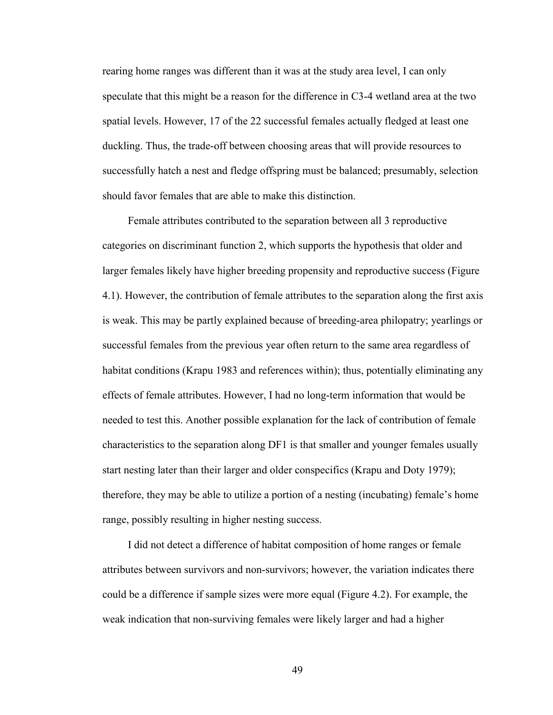rearing home ranges was different than it was at the study area level, I can only speculate that this might be a reason for the difference in C3-4 wetland area at the two spatial levels. However, 17 of the 22 successful females actually fledged at least one duckling. Thus, the trade-off between choosing areas that will provide resources to successfully hatch a nest and fledge offspring must be balanced; presumably, selection should favor females that are able to make this distinction.

Female attributes contributed to the separation between all 3 reproductive categories on discriminant function 2, which supports the hypothesis that older and larger females likely have higher breeding propensity and reproductive success (Figure 4.1). However, the contribution of female attributes to the separation along the first axis is weak. This may be partly explained because of breeding-area philopatry; yearlings or successful females from the previous year often return to the same area regardless of habitat conditions (Krapu 1983 and references within); thus, potentially eliminating any effects of female attributes. However, I had no long-term information that would be needed to test this. Another possible explanation for the lack of contribution of female characteristics to the separation along DF1 is that smaller and younger females usually start nesting later than their larger and older conspecifics (Krapu and Doty 1979); therefore, they may be able to utilize a portion of a nesting (incubating) female's home range, possibly resulting in higher nesting success.

I did not detect a difference of habitat composition of home ranges or female attributes between survivors and non-survivors; however, the variation indicates there could be a difference if sample sizes were more equal (Figure 4.2). For example, the weak indication that non-surviving females were likely larger and had a higher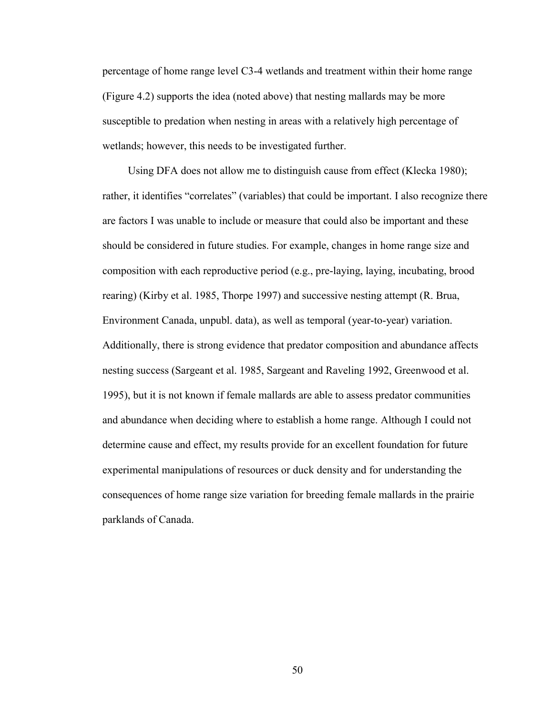percentage of home range level C3-4 wetlands and treatment within their home range (Figure 4.2) supports the idea (noted above) that nesting mallards may be more susceptible to predation when nesting in areas with a relatively high percentage of wetlands; however, this needs to be investigated further.

Using DFA does not allow me to distinguish cause from effect (Klecka 1980); rather, it identifies "correlates" (variables) that could be important. I also recognize there are factors I was unable to include or measure that could also be important and these should be considered in future studies. For example, changes in home range size and composition with each reproductive period (e.g., pre-laying, laying, incubating, brood rearing) (Kirby et al. 1985, Thorpe 1997) and successive nesting attempt (R. Brua, Environment Canada, unpubl. data), as well as temporal (year-to-year) variation. Additionally, there is strong evidence that predator composition and abundance affects nesting success (Sargeant et al. 1985, Sargeant and Raveling 1992, Greenwood et al. 1995), but it is not known if female mallards are able to assess predator communities and abundance when deciding where to establish a home range. Although I could not determine cause and effect, my results provide for an excellent foundation for future experimental manipulations of resources or duck density and for understanding the consequences of home range size variation for breeding female mallards in the prairie parklands of Canada.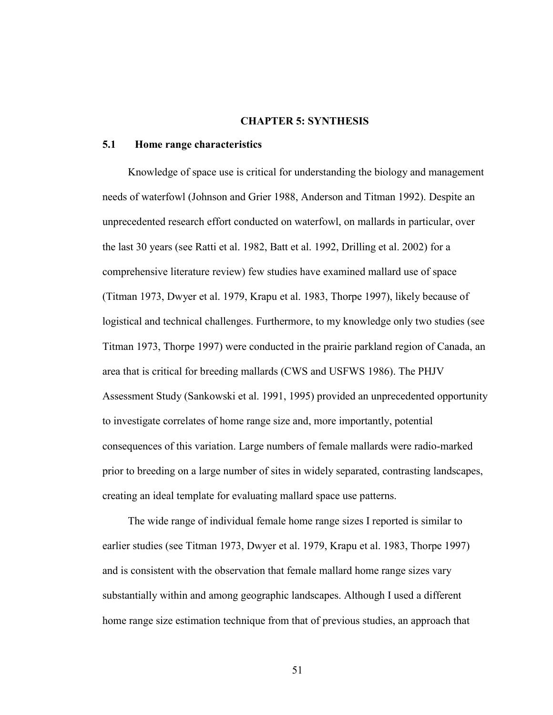# **CHAPTER 5: SYNTHESIS**

# **5.1 Home range characteristics**

Knowledge of space use is critical for understanding the biology and management needs of waterfowl (Johnson and Grier 1988, Anderson and Titman 1992). Despite an unprecedented research effort conducted on waterfowl, on mallards in particular, over the last 30 years (see Ratti et al. 1982, Batt et al. 1992, Drilling et al. 2002) for a comprehensive literature review) few studies have examined mallard use of space (Titman 1973, Dwyer et al. 1979, Krapu et al. 1983, Thorpe 1997), likely because of logistical and technical challenges. Furthermore, to my knowledge only two studies (see Titman 1973, Thorpe 1997) were conducted in the prairie parkland region of Canada, an area that is critical for breeding mallards (CWS and USFWS 1986). The PHJV Assessment Study (Sankowski et al. 1991, 1995) provided an unprecedented opportunity to investigate correlates of home range size and, more importantly, potential consequences of this variation. Large numbers of female mallards were radio-marked prior to breeding on a large number of sites in widely separated, contrasting landscapes, creating an ideal template for evaluating mallard space use patterns.

The wide range of individual female home range sizes I reported is similar to earlier studies (see Titman 1973, Dwyer et al. 1979, Krapu et al. 1983, Thorpe 1997) and is consistent with the observation that female mallard home range sizes vary substantially within and among geographic landscapes. Although I used a different home range size estimation technique from that of previous studies, an approach that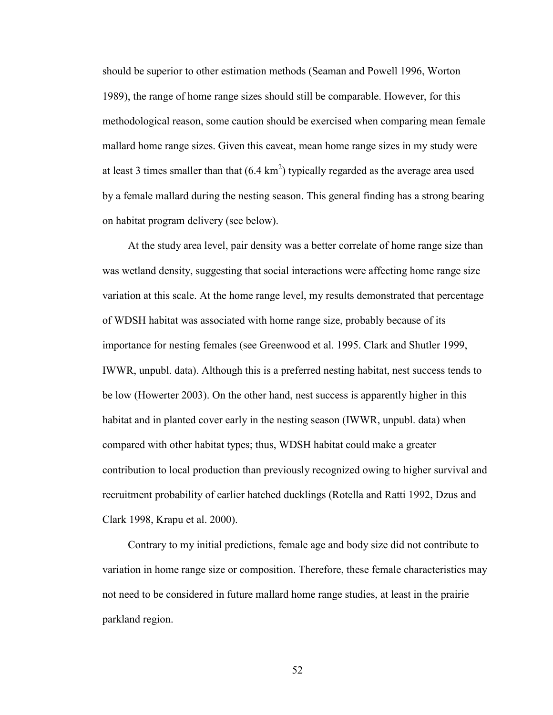should be superior to other estimation methods (Seaman and Powell 1996, Worton 1989), the range of home range sizes should still be comparable. However, for this methodological reason, some caution should be exercised when comparing mean female mallard home range sizes. Given this caveat, mean home range sizes in my study were at least 3 times smaller than that  $(6.4 \text{ km}^2)$  typically regarded as the average area used by a female mallard during the nesting season. This general finding has a strong bearing on habitat program delivery (see below).

At the study area level, pair density was a better correlate of home range size than was wetland density, suggesting that social interactions were affecting home range size variation at this scale. At the home range level, my results demonstrated that percentage of WDSH habitat was associated with home range size, probably because of its importance for nesting females (see Greenwood et al. 1995. Clark and Shutler 1999, IWWR, unpubl. data). Although this is a preferred nesting habitat, nest success tends to be low (Howerter 2003). On the other hand, nest success is apparently higher in this habitat and in planted cover early in the nesting season (IWWR, unpubl. data) when compared with other habitat types; thus, WDSH habitat could make a greater contribution to local production than previously recognized owing to higher survival and recruitment probability of earlier hatched ducklings (Rotella and Ratti 1992, Dzus and Clark 1998, Krapu et al. 2000).

Contrary to my initial predictions, female age and body size did not contribute to variation in home range size or composition. Therefore, these female characteristics may not need to be considered in future mallard home range studies, at least in the prairie parkland region.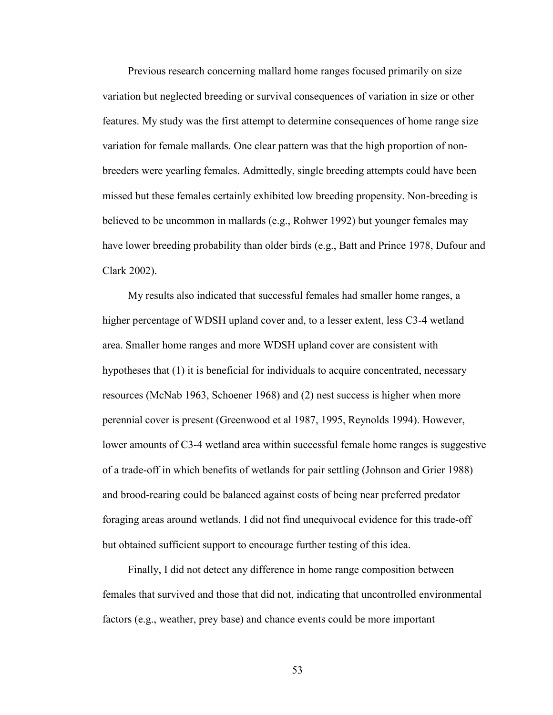Previous research concerning mallard home ranges focused primarily on size variation but neglected breeding or survival consequences of variation in size or other features. My study was the first attempt to determine consequences of home range size variation for female mallards. One clear pattern was that the high proportion of nonbreeders were yearling females. Admittedly, single breeding attempts could have been missed but these females certainly exhibited low breeding propensity. Non-breeding is believed to be uncommon in mallards (e.g., Rohwer 1992) but younger females may have lower breeding probability than older birds (e.g., Batt and Prince 1978, Dufour and Clark 2002).

My results also indicated that successful females had smaller home ranges, a higher percentage of WDSH upland cover and, to a lesser extent, less C3-4 wetland area. Smaller home ranges and more WDSH upland cover are consistent with hypotheses that (1) it is beneficial for individuals to acquire concentrated, necessary resources (McNab 1963, Schoener 1968) and (2) nest success is higher when more perennial cover is present (Greenwood et al 1987, 1995, Reynolds 1994). However, lower amounts of C3-4 wetland area within successful female home ranges is suggestive of a trade-off in which benefits of wetlands for pair settling (Johnson and Grier 1988) and brood-rearing could be balanced against costs of being near preferred predator foraging areas around wetlands. I did not find unequivocal evidence for this trade-off but obtained sufficient support to encourage further testing of this idea.

Finally, I did not detect any difference in home range composition between females that survived and those that did not, indicating that uncontrolled environmental factors (e.g., weather, prey base) and chance events could be more important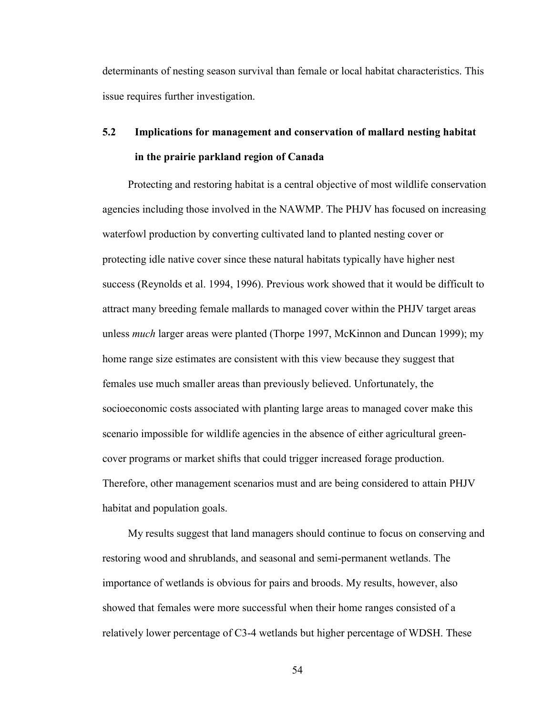determinants of nesting season survival than female or local habitat characteristics. This issue requires further investigation.

# **5.2 Implications for management and conservation of mallard nesting habitat in the prairie parkland region of Canada**

Protecting and restoring habitat is a central objective of most wildlife conservation agencies including those involved in the NAWMP. The PHJV has focused on increasing waterfowl production by converting cultivated land to planted nesting cover or protecting idle native cover since these natural habitats typically have higher nest success (Reynolds et al. 1994, 1996). Previous work showed that it would be difficult to attract many breeding female mallards to managed cover within the PHJV target areas unless *much* larger areas were planted (Thorpe 1997, McKinnon and Duncan 1999); my home range size estimates are consistent with this view because they suggest that females use much smaller areas than previously believed. Unfortunately, the socioeconomic costs associated with planting large areas to managed cover make this scenario impossible for wildlife agencies in the absence of either agricultural greencover programs or market shifts that could trigger increased forage production. Therefore, other management scenarios must and are being considered to attain PHJV habitat and population goals.

My results suggest that land managers should continue to focus on conserving and restoring wood and shrublands, and seasonal and semi-permanent wetlands. The importance of wetlands is obvious for pairs and broods. My results, however, also showed that females were more successful when their home ranges consisted of a relatively lower percentage of C3-4 wetlands but higher percentage of WDSH. These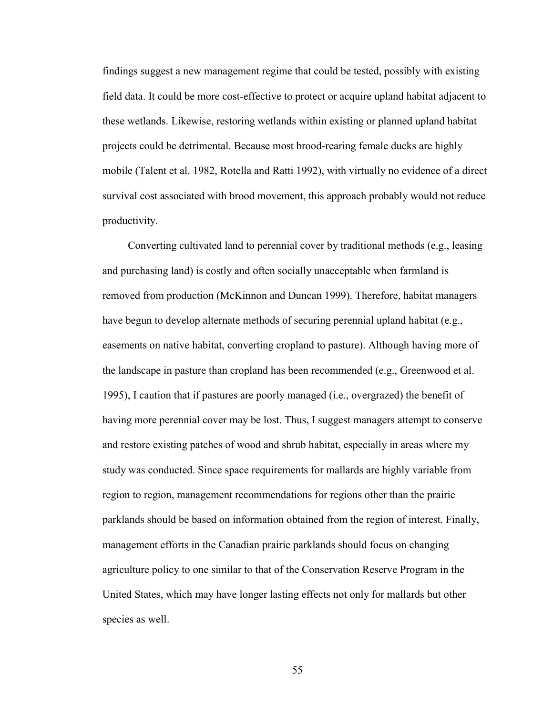findings suggest a new management regime that could be tested, possibly with existing field data. It could be more cost-effective to protect or acquire upland habitat adjacent to these wetlands. Likewise, restoring wetlands within existing or planned upland habitat projects could be detrimental. Because most brood-rearing female ducks are highly mobile (Talent et al. 1982, Rotella and Ratti 1992), with virtually no evidence of a direct survival cost associated with brood movement, this approach probably would not reduce productivity.

Converting cultivated land to perennial cover by traditional methods (e.g., leasing and purchasing land) is costly and often socially unacceptable when farmland is removed from production (McKinnon and Duncan 1999). Therefore, habitat managers have begun to develop alternate methods of securing perennial upland habitat (e.g., easements on native habitat, converting cropland to pasture). Although having more of the landscape in pasture than cropland has been recommended (e.g., Greenwood et al. 1995), I caution that if pastures are poorly managed (i.e., overgrazed) the benefit of having more perennial cover may be lost. Thus, I suggest managers attempt to conserve and restore existing patches of wood and shrub habitat, especially in areas where my study was conducted. Since space requirements for mallards are highly variable from region to region, management recommendations for regions other than the prairie parklands should be based on information obtained from the region of interest. Finally, management efforts in the Canadian prairie parklands should focus on changing agriculture policy to one similar to that of the Conservation Reserve Program in the United States, which may have longer lasting effects not only for mallards but other species as well.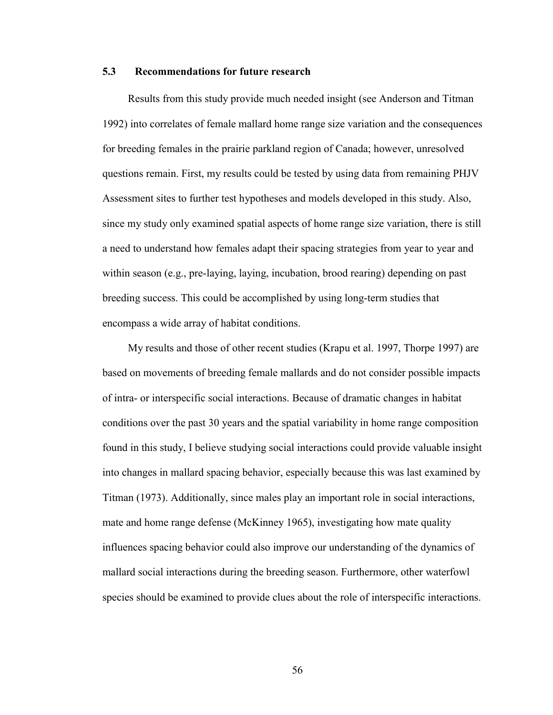# **5.3 Recommendations for future research**

Results from this study provide much needed insight (see Anderson and Titman 1992) into correlates of female mallard home range size variation and the consequences for breeding females in the prairie parkland region of Canada; however, unresolved questions remain. First, my results could be tested by using data from remaining PHJV Assessment sites to further test hypotheses and models developed in this study. Also, since my study only examined spatial aspects of home range size variation, there is still a need to understand how females adapt their spacing strategies from year to year and within season (e.g., pre-laying, laying, incubation, brood rearing) depending on past breeding success. This could be accomplished by using long-term studies that encompass a wide array of habitat conditions.

My results and those of other recent studies (Krapu et al. 1997, Thorpe 1997) are based on movements of breeding female mallards and do not consider possible impacts of intra- or interspecific social interactions. Because of dramatic changes in habitat conditions over the past 30 years and the spatial variability in home range composition found in this study, I believe studying social interactions could provide valuable insight into changes in mallard spacing behavior, especially because this was last examined by Titman (1973). Additionally, since males play an important role in social interactions, mate and home range defense (McKinney 1965), investigating how mate quality influences spacing behavior could also improve our understanding of the dynamics of mallard social interactions during the breeding season. Furthermore, other waterfowl species should be examined to provide clues about the role of interspecific interactions.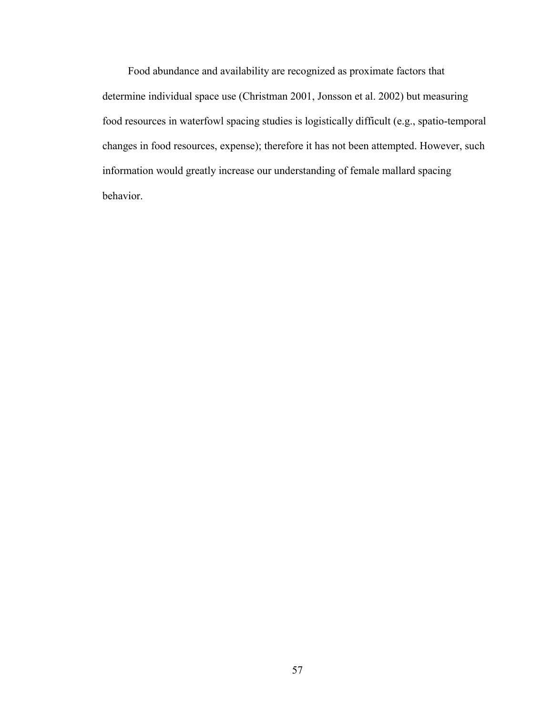Food abundance and availability are recognized as proximate factors that determine individual space use (Christman 2001, Jonsson et al. 2002) but measuring food resources in waterfowl spacing studies is logistically difficult (e.g., spatio-temporal changes in food resources, expense); therefore it has not been attempted. However, such information would greatly increase our understanding of female mallard spacing behavior.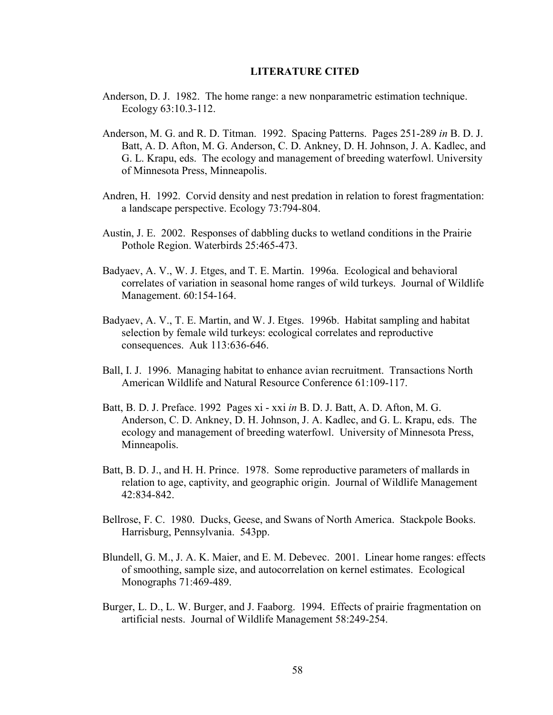#### **LITERATURE CITED**

- Anderson, D. J. 1982. The home range: a new nonparametric estimation technique. Ecology 63:10.3-112.
- Anderson, M. G. and R. D. Titman. 1992. Spacing Patterns. Pages 251-289 *in* B. D. J. Batt, A. D. Afton, M. G. Anderson, C. D. Ankney, D. H. Johnson, J. A. Kadlec, and G. L. Krapu, eds. The ecology and management of breeding waterfowl. University of Minnesota Press, Minneapolis.
- Andren, H. 1992. Corvid density and nest predation in relation to forest fragmentation: a landscape perspective. Ecology 73:794-804.
- Austin, J. E. 2002. Responses of dabbling ducks to wetland conditions in the Prairie Pothole Region. Waterbirds 25:465-473.
- Badyaev, A. V., W. J. Etges, and T. E. Martin. 1996a. Ecological and behavioral correlates of variation in seasonal home ranges of wild turkeys. Journal of Wildlife Management. 60:154-164.
- Badyaev, A. V., T. E. Martin, and W. J. Etges. 1996b. Habitat sampling and habitat selection by female wild turkeys: ecological correlates and reproductive consequences. Auk 113:636-646.
- Ball, I. J. 1996. Managing habitat to enhance avian recruitment. Transactions North American Wildlife and Natural Resource Conference 61:109-117.
- Batt, B. D. J. Preface. 1992 Pages xi xxi *in* B. D. J. Batt, A. D. Afton, M. G. Anderson, C. D. Ankney, D. H. Johnson, J. A. Kadlec, and G. L. Krapu, eds. The ecology and management of breeding waterfowl. University of Minnesota Press, Minneapolis.
- Batt, B. D. J., and H. H. Prince. 1978. Some reproductive parameters of mallards in relation to age, captivity, and geographic origin. Journal of Wildlife Management 42:834-842.
- Bellrose, F. C. 1980. Ducks, Geese, and Swans of North America. Stackpole Books. Harrisburg, Pennsylvania. 543pp.
- Blundell, G. M., J. A. K. Maier, and E. M. Debevec. 2001. Linear home ranges: effects of smoothing, sample size, and autocorrelation on kernel estimates. Ecological Monographs 71:469-489.
- Burger, L. D., L. W. Burger, and J. Faaborg. 1994. Effects of prairie fragmentation on artificial nests. Journal of Wildlife Management 58:249-254.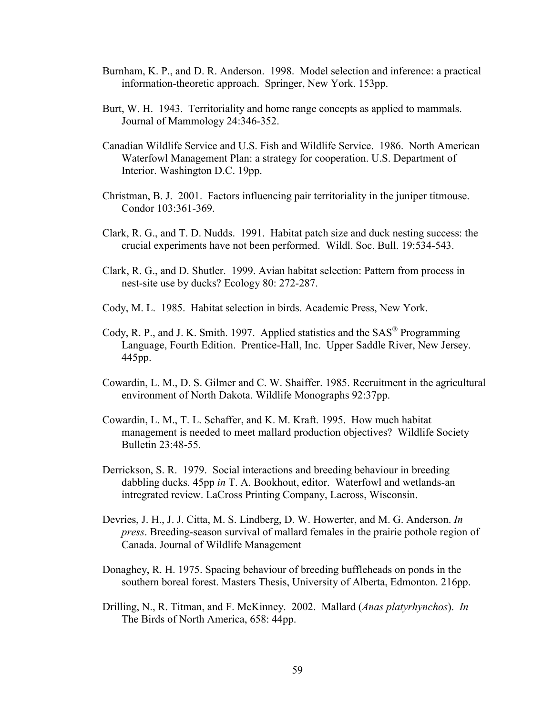- Burnham, K. P., and D. R. Anderson. 1998. Model selection and inference: a practical information-theoretic approach. Springer, New York. 153pp.
- Burt, W. H. 1943. Territoriality and home range concepts as applied to mammals. Journal of Mammology 24:346-352.
- Canadian Wildlife Service and U.S. Fish and Wildlife Service. 1986. North American Waterfowl Management Plan: a strategy for cooperation. U.S. Department of Interior. Washington D.C. 19pp.
- Christman, B. J. 2001. Factors influencing pair territoriality in the juniper titmouse. Condor 103:361-369.
- Clark, R. G., and T. D. Nudds. 1991. Habitat patch size and duck nesting success: the crucial experiments have not been performed. Wildl. Soc. Bull. 19:534-543.
- Clark, R. G., and D. Shutler. 1999. Avian habitat selection: Pattern from process in nest-site use by ducks? Ecology 80: 272-287.
- Cody, M. L. 1985. Habitat selection in birds. Academic Press, New York.
- Cody, R. P., and J. K. Smith. 1997. Applied statistics and the SAS® Programming Language, Fourth Edition. Prentice-Hall, Inc. Upper Saddle River, New Jersey. 445pp.
- Cowardin, L. M., D. S. Gilmer and C. W. Shaiffer. 1985. Recruitment in the agricultural environment of North Dakota. Wildlife Monographs 92:37pp.
- Cowardin, L. M., T. L. Schaffer, and K. M. Kraft. 1995. How much habitat management is needed to meet mallard production objectives? Wildlife Society Bulletin 23:48-55.
- Derrickson, S. R. 1979. Social interactions and breeding behaviour in breeding dabbling ducks. 45pp *in* T. A. Bookhout, editor. Waterfowl and wetlands-an intregrated review. LaCross Printing Company, Lacross, Wisconsin.
- Devries, J. H., J. J. Citta, M. S. Lindberg, D. W. Howerter, and M. G. Anderson. *In press*. Breeding-season survival of mallard females in the prairie pothole region of Canada. Journal of Wildlife Management
- Donaghey, R. H. 1975. Spacing behaviour of breeding buffleheads on ponds in the southern boreal forest. Masters Thesis, University of Alberta, Edmonton. 216pp.
- Drilling, N., R. Titman, and F. McKinney. 2002. Mallard (*Anas platyrhynchos*). *In* The Birds of North America, 658: 44pp.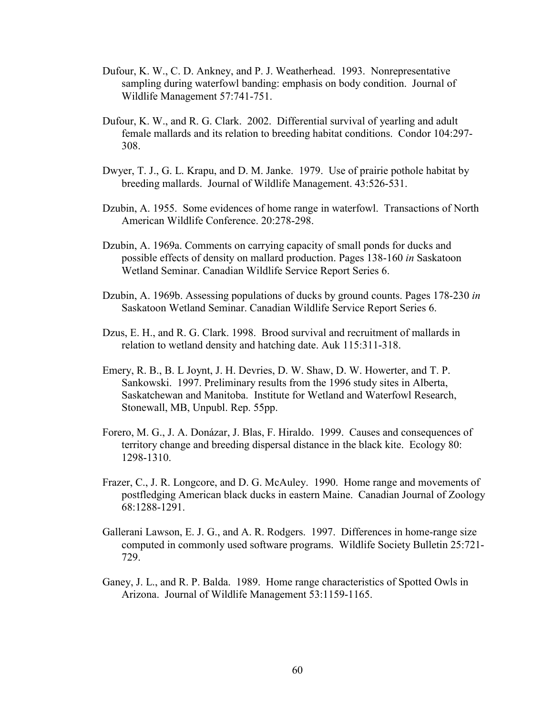- Dufour, K. W., C. D. Ankney, and P. J. Weatherhead. 1993. Nonrepresentative sampling during waterfowl banding: emphasis on body condition. Journal of Wildlife Management 57:741-751.
- Dufour, K. W., and R. G. Clark. 2002. Differential survival of yearling and adult female mallards and its relation to breeding habitat conditions. Condor 104:297- 308.
- Dwyer, T. J., G. L. Krapu, and D. M. Janke. 1979. Use of prairie pothole habitat by breeding mallards. Journal of Wildlife Management. 43:526-531.
- Dzubin, A. 1955. Some evidences of home range in waterfowl. Transactions of North American Wildlife Conference. 20:278-298.
- Dzubin, A. 1969a. Comments on carrying capacity of small ponds for ducks and possible effects of density on mallard production. Pages 138-160 *in* Saskatoon Wetland Seminar. Canadian Wildlife Service Report Series 6.
- Dzubin, A. 1969b. Assessing populations of ducks by ground counts. Pages 178-230 *in* Saskatoon Wetland Seminar. Canadian Wildlife Service Report Series 6.
- Dzus, E. H., and R. G. Clark. 1998. Brood survival and recruitment of mallards in relation to wetland density and hatching date. Auk 115:311-318.
- Emery, R. B., B. L Joynt, J. H. Devries, D. W. Shaw, D. W. Howerter, and T. P. Sankowski. 1997. Preliminary results from the 1996 study sites in Alberta, Saskatchewan and Manitoba. Institute for Wetland and Waterfowl Research, Stonewall, MB, Unpubl. Rep. 55pp.
- Forero, M. G., J. A. Donázar, J. Blas, F. Hiraldo. 1999. Causes and consequences of territory change and breeding dispersal distance in the black kite. Ecology 80: 1298-1310.
- Frazer, C., J. R. Longcore, and D. G. McAuley. 1990. Home range and movements of postfledging American black ducks in eastern Maine. Canadian Journal of Zoology 68:1288-1291.
- Gallerani Lawson, E. J. G., and A. R. Rodgers. 1997. Differences in home-range size computed in commonly used software programs. Wildlife Society Bulletin 25:721- 729.
- Ganey, J. L., and R. P. Balda. 1989. Home range characteristics of Spotted Owls in Arizona. Journal of Wildlife Management 53:1159-1165.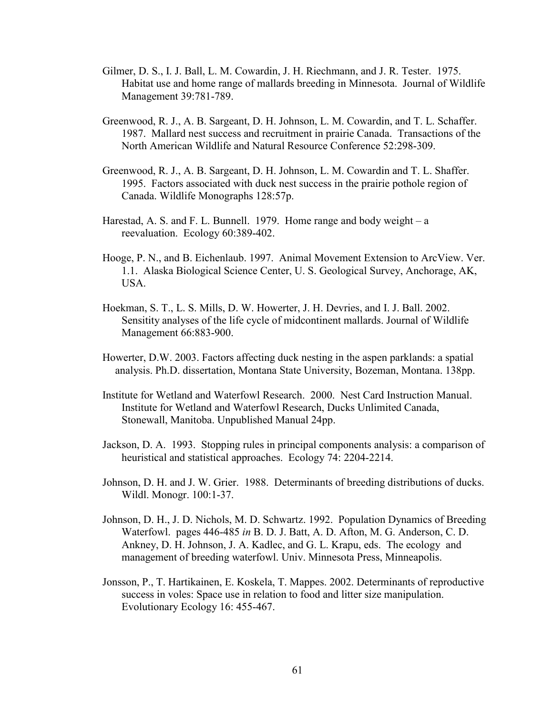- Gilmer, D. S., I. J. Ball, L. M. Cowardin, J. H. Riechmann, and J. R. Tester. 1975. Habitat use and home range of mallards breeding in Minnesota. Journal of Wildlife Management 39:781-789.
- Greenwood, R. J., A. B. Sargeant, D. H. Johnson, L. M. Cowardin, and T. L. Schaffer. 1987. Mallard nest success and recruitment in prairie Canada. Transactions of the North American Wildlife and Natural Resource Conference 52:298-309.
- Greenwood, R. J., A. B. Sargeant, D. H. Johnson, L. M. Cowardin and T. L. Shaffer. 1995. Factors associated with duck nest success in the prairie pothole region of Canada. Wildlife Monographs 128:57p.
- Harestad, A. S. and F. L. Bunnell. 1979. Home range and body weight a reevaluation. Ecology 60:389-402.
- Hooge, P. N., and B. Eichenlaub. 1997. Animal Movement Extension to ArcView. Ver. 1.1. Alaska Biological Science Center, U. S. Geological Survey, Anchorage, AK, USA.
- Hoekman, S. T., L. S. Mills, D. W. Howerter, J. H. Devries, and I. J. Ball. 2002. Sensitity analyses of the life cycle of midcontinent mallards. Journal of Wildlife Management 66:883-900.
- Howerter, D.W. 2003. Factors affecting duck nesting in the aspen parklands: a spatial analysis. Ph.D. dissertation, Montana State University, Bozeman, Montana. 138pp.
- Institute for Wetland and Waterfowl Research. 2000. Nest Card Instruction Manual. Institute for Wetland and Waterfowl Research, Ducks Unlimited Canada, Stonewall, Manitoba. Unpublished Manual 24pp.
- Jackson, D. A. 1993. Stopping rules in principal components analysis: a comparison of heuristical and statistical approaches. Ecology 74: 2204-2214.
- Johnson, D. H. and J. W. Grier. 1988. Determinants of breeding distributions of ducks. Wildl. Monogr. 100:1-37.
- Johnson, D. H., J. D. Nichols, M. D. Schwartz. 1992. Population Dynamics of Breeding Waterfowl. pages 446-485 *in* B. D. J. Batt, A. D. Afton, M. G. Anderson, C. D. Ankney, D. H. Johnson, J. A. Kadlec, and G. L. Krapu, eds. The ecology and management of breeding waterfowl. Univ. Minnesota Press, Minneapolis.
- Jonsson, P., T. Hartikainen, E. Koskela, T. Mappes. 2002. Determinants of reproductive success in voles: Space use in relation to food and litter size manipulation. Evolutionary Ecology 16: 455-467.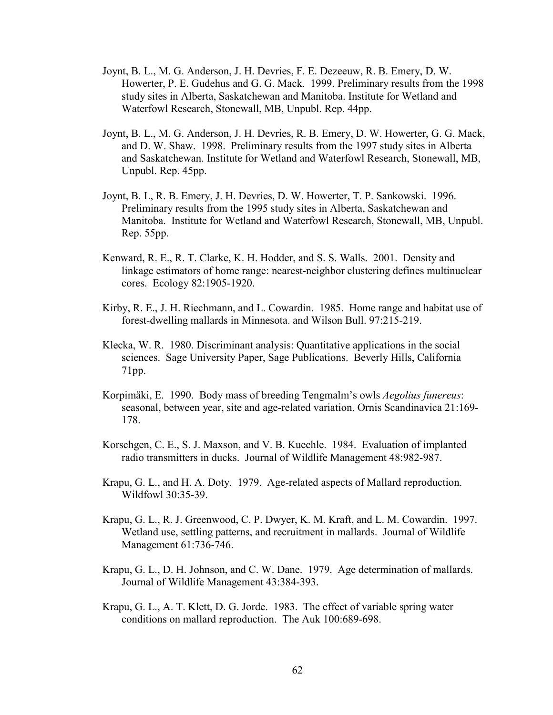- Joynt, B. L., M. G. Anderson, J. H. Devries, F. E. Dezeeuw, R. B. Emery, D. W. Howerter, P. E. Gudehus and G. G. Mack. 1999. Preliminary results from the 1998 study sites in Alberta, Saskatchewan and Manitoba. Institute for Wetland and Waterfowl Research, Stonewall, MB, Unpubl. Rep. 44pp.
- Joynt, B. L., M. G. Anderson, J. H. Devries, R. B. Emery, D. W. Howerter, G. G. Mack, and D. W. Shaw. 1998. Preliminary results from the 1997 study sites in Alberta and Saskatchewan. Institute for Wetland and Waterfowl Research, Stonewall, MB, Unpubl. Rep. 45pp.
- Joynt, B. L, R. B. Emery, J. H. Devries, D. W. Howerter, T. P. Sankowski. 1996. Preliminary results from the 1995 study sites in Alberta, Saskatchewan and Manitoba. Institute for Wetland and Waterfowl Research, Stonewall, MB, Unpubl. Rep. 55pp.
- Kenward, R. E., R. T. Clarke, K. H. Hodder, and S. S. Walls. 2001. Density and linkage estimators of home range: nearest-neighbor clustering defines multinuclear cores. Ecology 82:1905-1920.
- Kirby, R. E., J. H. Riechmann, and L. Cowardin. 1985. Home range and habitat use of forest-dwelling mallards in Minnesota. and Wilson Bull. 97:215-219.
- Klecka, W. R. 1980. Discriminant analysis: Quantitative applications in the social sciences. Sage University Paper, Sage Publications. Beverly Hills, California 71pp.
- Korpimäki, E. 1990. Body mass of breeding Tengmalm's owls *Aegolius funereus*: seasonal, between year, site and age-related variation. Ornis Scandinavica 21:169- 178.
- Korschgen, C. E., S. J. Maxson, and V. B. Kuechle. 1984. Evaluation of implanted radio transmitters in ducks. Journal of Wildlife Management 48:982-987.
- Krapu, G. L., and H. A. Doty. 1979. Age-related aspects of Mallard reproduction. Wildfowl 30:35-39.
- Krapu, G. L., R. J. Greenwood, C. P. Dwyer, K. M. Kraft, and L. M. Cowardin. 1997. Wetland use, settling patterns, and recruitment in mallards. Journal of Wildlife Management 61:736-746.
- Krapu, G. L., D. H. Johnson, and C. W. Dane. 1979. Age determination of mallards. Journal of Wildlife Management 43:384-393.
- Krapu, G. L., A. T. Klett, D. G. Jorde. 1983. The effect of variable spring water conditions on mallard reproduction. The Auk 100:689-698.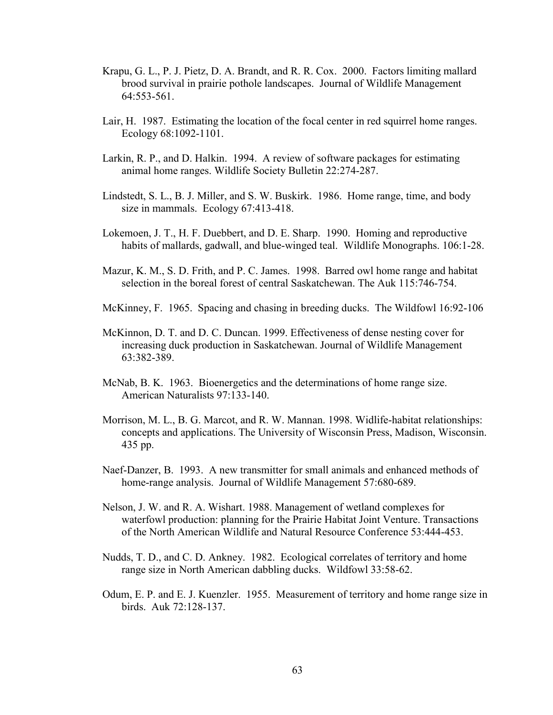- Krapu, G. L., P. J. Pietz, D. A. Brandt, and R. R. Cox. 2000. Factors limiting mallard brood survival in prairie pothole landscapes. Journal of Wildlife Management 64:553-561.
- Lair, H. 1987. Estimating the location of the focal center in red squirrel home ranges. Ecology 68:1092-1101.
- Larkin, R. P., and D. Halkin. 1994. A review of software packages for estimating animal home ranges. Wildlife Society Bulletin 22:274-287.
- Lindstedt, S. L., B. J. Miller, and S. W. Buskirk. 1986. Home range, time, and body size in mammals. Ecology 67:413-418.
- Lokemoen, J. T., H. F. Duebbert, and D. E. Sharp. 1990. Homing and reproductive habits of mallards, gadwall, and blue-winged teal. Wildlife Monographs. 106:1-28.
- Mazur, K. M., S. D. Frith, and P. C. James. 1998. Barred owl home range and habitat selection in the boreal forest of central Saskatchewan. The Auk 115:746-754.
- McKinney, F. 1965. Spacing and chasing in breeding ducks. The Wildfowl 16:92-106
- McKinnon, D. T. and D. C. Duncan. 1999. Effectiveness of dense nesting cover for increasing duck production in Saskatchewan. Journal of Wildlife Management 63:382-389.
- McNab, B. K. 1963. Bioenergetics and the determinations of home range size. American Naturalists 97:133-140.
- Morrison, M. L., B. G. Marcot, and R. W. Mannan. 1998. Widlife-habitat relationships: concepts and applications. The University of Wisconsin Press, Madison, Wisconsin. 435 pp.
- Naef-Danzer, B. 1993. A new transmitter for small animals and enhanced methods of home-range analysis. Journal of Wildlife Management 57:680-689.
- Nelson, J. W. and R. A. Wishart. 1988. Management of wetland complexes for waterfowl production: planning for the Prairie Habitat Joint Venture. Transactions of the North American Wildlife and Natural Resource Conference 53:444-453.
- Nudds, T. D., and C. D. Ankney. 1982. Ecological correlates of territory and home range size in North American dabbling ducks. Wildfowl 33:58-62.
- Odum, E. P. and E. J. Kuenzler. 1955. Measurement of territory and home range size in birds. Auk 72:128-137.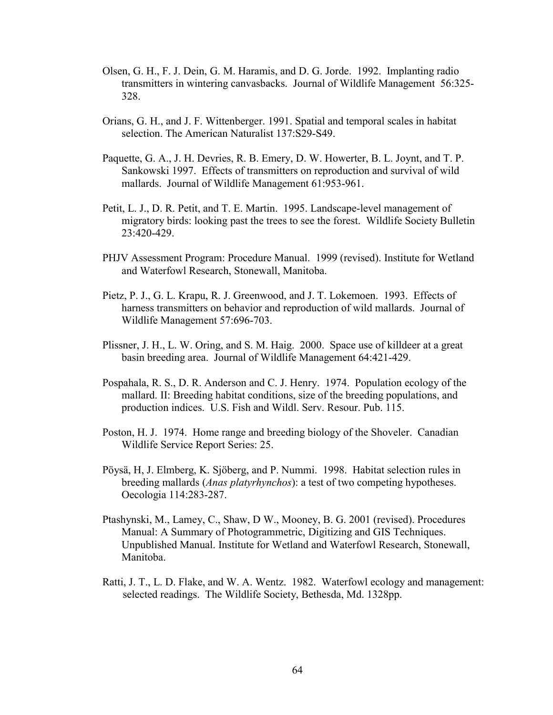- Olsen, G. H., F. J. Dein, G. M. Haramis, and D. G. Jorde. 1992. Implanting radio transmitters in wintering canvasbacks. Journal of Wildlife Management 56:325- 328.
- Orians, G. H., and J. F. Wittenberger. 1991. Spatial and temporal scales in habitat selection. The American Naturalist 137:S29-S49.
- Paquette, G. A., J. H. Devries, R. B. Emery, D. W. Howerter, B. L. Joynt, and T. P. Sankowski 1997. Effects of transmitters on reproduction and survival of wild mallards. Journal of Wildlife Management 61:953-961.
- Petit, L. J., D. R. Petit, and T. E. Martin. 1995. Landscape-level management of migratory birds: looking past the trees to see the forest. Wildlife Society Bulletin 23:420-429.
- PHJV Assessment Program: Procedure Manual. 1999 (revised). Institute for Wetland and Waterfowl Research, Stonewall, Manitoba.
- Pietz, P. J., G. L. Krapu, R. J. Greenwood, and J. T. Lokemoen. 1993. Effects of harness transmitters on behavior and reproduction of wild mallards. Journal of Wildlife Management 57:696-703.
- Plissner, J. H., L. W. Oring, and S. M. Haig. 2000. Space use of killdeer at a great basin breeding area. Journal of Wildlife Management 64:421-429.
- Pospahala, R. S., D. R. Anderson and C. J. Henry. 1974. Population ecology of the mallard. II: Breeding habitat conditions, size of the breeding populations, and production indices. U.S. Fish and Wildl. Serv. Resour. Pub. 115.
- Poston, H. J. 1974. Home range and breeding biology of the Shoveler. Canadian Wildlife Service Report Series: 25.
- Pöysä, H, J. Elmberg, K. Sjöberg, and P. Nummi. 1998. Habitat selection rules in breeding mallards (*Anas platyrhynchos*): a test of two competing hypotheses. Oecologia 114:283-287.
- Ptashynski, M., Lamey, C., Shaw, D W., Mooney, B. G. 2001 (revised). Procedures Manual: A Summary of Photogrammetric, Digitizing and GIS Techniques. Unpublished Manual. Institute for Wetland and Waterfowl Research, Stonewall, Manitoba.
- Ratti, J. T., L. D. Flake, and W. A. Wentz. 1982. Waterfowl ecology and management: selected readings. The Wildlife Society, Bethesda, Md. 1328pp.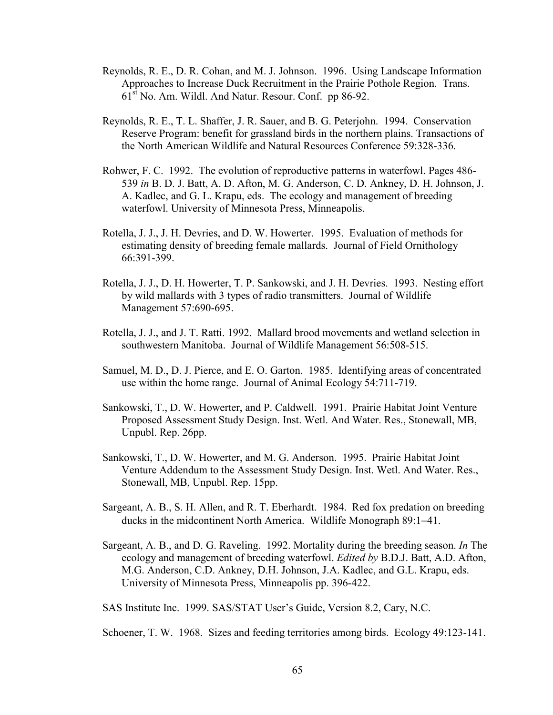- Reynolds, R. E., D. R. Cohan, and M. J. Johnson. 1996. Using Landscape Information Approaches to Increase Duck Recruitment in the Prairie Pothole Region. Trans. 61st No. Am. Wildl. And Natur. Resour. Conf. pp 86-92.
- Reynolds, R. E., T. L. Shaffer, J. R. Sauer, and B. G. Peterjohn. 1994. Conservation Reserve Program: benefit for grassland birds in the northern plains. Transactions of the North American Wildlife and Natural Resources Conference 59:328-336.
- Rohwer, F. C. 1992. The evolution of reproductive patterns in waterfowl. Pages 486- 539 *in* B. D. J. Batt, A. D. Afton, M. G. Anderson, C. D. Ankney, D. H. Johnson, J. A. Kadlec, and G. L. Krapu, eds. The ecology and management of breeding waterfowl. University of Minnesota Press, Minneapolis.
- Rotella, J. J., J. H. Devries, and D. W. Howerter. 1995. Evaluation of methods for estimating density of breeding female mallards. Journal of Field Ornithology 66:391-399.
- Rotella, J. J., D. H. Howerter, T. P. Sankowski, and J. H. Devries. 1993. Nesting effort by wild mallards with 3 types of radio transmitters. Journal of Wildlife Management 57:690-695.
- Rotella, J. J., and J. T. Ratti. 1992. Mallard brood movements and wetland selection in southwestern Manitoba. Journal of Wildlife Management 56:508-515.
- Samuel, M. D., D. J. Pierce, and E. O. Garton. 1985. Identifying areas of concentrated use within the home range. Journal of Animal Ecology 54:711-719.
- Sankowski, T., D. W. Howerter, and P. Caldwell. 1991. Prairie Habitat Joint Venture Proposed Assessment Study Design. Inst. Wetl. And Water. Res., Stonewall, MB, Unpubl. Rep. 26pp.
- Sankowski, T., D. W. Howerter, and M. G. Anderson. 1995. Prairie Habitat Joint Venture Addendum to the Assessment Study Design. Inst. Wetl. And Water. Res., Stonewall, MB, Unpubl. Rep. 15pp.
- Sargeant, A. B., S. H. Allen, and R. T. Eberhardt. 1984. Red fox predation on breeding ducks in the midcontinent North America. Wildlife Monograph 89:1−41.
- Sargeant, A. B., and D. G. Raveling. 1992. Mortality during the breeding season. *In* The ecology and management of breeding waterfowl. *Edited by* B.D.J. Batt, A.D. Afton, M.G. Anderson, C.D. Ankney, D.H. Johnson, J.A. Kadlec, and G.L. Krapu, eds. University of Minnesota Press, Minneapolis pp. 396-422.

SAS Institute Inc. 1999. SAS/STAT User's Guide, Version 8.2, Cary, N.C.

Schoener, T. W. 1968. Sizes and feeding territories among birds. Ecology 49:123-141.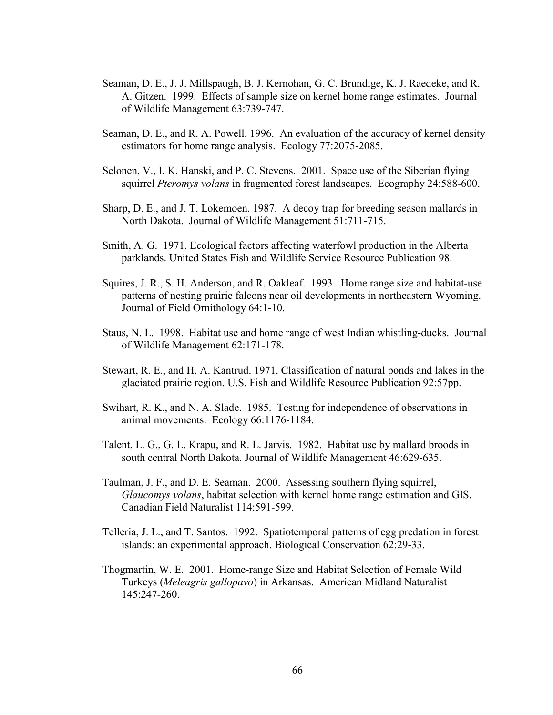- Seaman, D. E., J. J. Millspaugh, B. J. Kernohan, G. C. Brundige, K. J. Raedeke, and R. A. Gitzen. 1999. Effects of sample size on kernel home range estimates. Journal of Wildlife Management 63:739-747.
- Seaman, D. E., and R. A. Powell. 1996. An evaluation of the accuracy of kernel density estimators for home range analysis. Ecology 77:2075-2085.
- Selonen, V., I. K. Hanski, and P. C. Stevens. 2001. Space use of the Siberian flying squirrel *Pteromys volans* in fragmented forest landscapes. Ecography 24:588-600.
- Sharp, D. E., and J. T. Lokemoen. 1987. A decoy trap for breeding season mallards in North Dakota. Journal of Wildlife Management 51:711-715.
- Smith, A. G. 1971. Ecological factors affecting waterfowl production in the Alberta parklands. United States Fish and Wildlife Service Resource Publication 98.
- Squires, J. R., S. H. Anderson, and R. Oakleaf. 1993. Home range size and habitat-use patterns of nesting prairie falcons near oil developments in northeastern Wyoming. Journal of Field Ornithology 64:1-10.
- Staus, N. L. 1998. Habitat use and home range of west Indian whistling-ducks. Journal of Wildlife Management 62:171-178.
- Stewart, R. E., and H. A. Kantrud. 1971. Classification of natural ponds and lakes in the glaciated prairie region. U.S. Fish and Wildlife Resource Publication 92:57pp.
- Swihart, R. K., and N. A. Slade. 1985. Testing for independence of observations in animal movements. Ecology 66:1176-1184.
- Talent, L. G., G. L. Krapu, and R. L. Jarvis. 1982. Habitat use by mallard broods in south central North Dakota. Journal of Wildlife Management 46:629-635.
- Taulman, J. F., and D. E. Seaman. 2000. Assessing southern flying squirrel, *Glaucomys volans*, habitat selection with kernel home range estimation and GIS. Canadian Field Naturalist 114:591-599.
- Telleria, J. L., and T. Santos. 1992. Spatiotemporal patterns of egg predation in forest islands: an experimental approach. Biological Conservation 62:29-33.
- Thogmartin, W. E. 2001. Home-range Size and Habitat Selection of Female Wild Turkeys (*Meleagris gallopavo*) in Arkansas. American Midland Naturalist 145:247-260.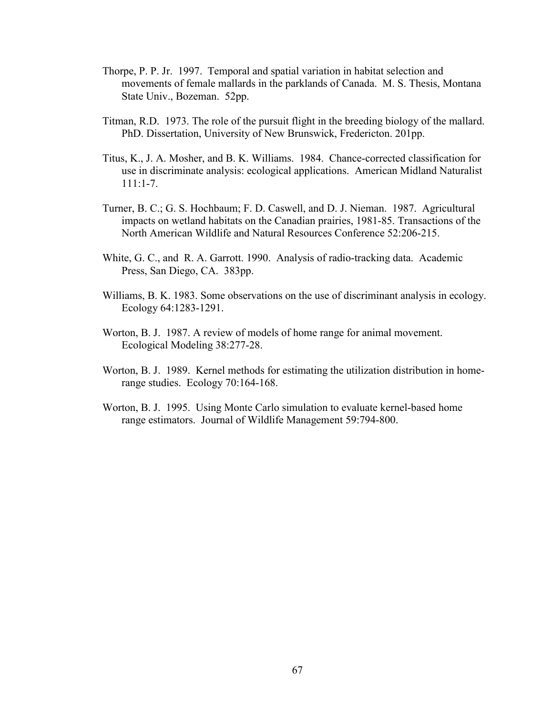- Thorpe, P. P. Jr. 1997. Temporal and spatial variation in habitat selection and movements of female mallards in the parklands of Canada. M. S. Thesis, Montana State Univ., Bozeman. 52pp.
- Titman, R.D. 1973. The role of the pursuit flight in the breeding biology of the mallard. PhD. Dissertation, University of New Brunswick, Fredericton. 201pp.
- Titus, K., J. A. Mosher, and B. K. Williams. 1984. Chance-corrected classification for use in discriminate analysis: ecological applications. American Midland Naturalist 111:1-7.
- Turner, B. C.; G. S. Hochbaum; F. D. Caswell, and D. J. Nieman. 1987. Agricultural impacts on wetland habitats on the Canadian prairies, 1981-85. Transactions of the North American Wildlife and Natural Resources Conference 52:206-215.
- White, G. C., and R. A. Garrott. 1990. Analysis of radio-tracking data. Academic Press, San Diego, CA. 383pp.
- Williams, B. K. 1983. Some observations on the use of discriminant analysis in ecology. Ecology 64:1283-1291.
- Worton, B. J. 1987. A review of models of home range for animal movement. Ecological Modeling 38:277-28.
- Worton, B. J. 1989. Kernel methods for estimating the utilization distribution in homerange studies. Ecology 70:164-168.
- Worton, B. J. 1995. Using Monte Carlo simulation to evaluate kernel-based home range estimators. Journal of Wildlife Management 59:794-800.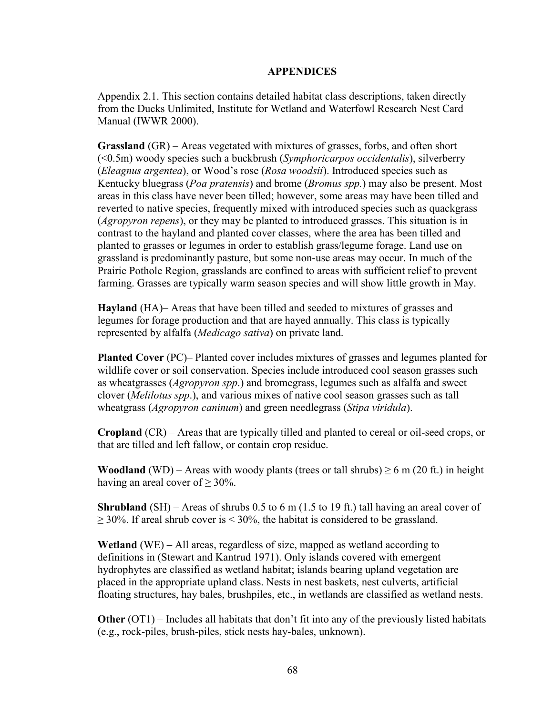## **APPENDICES**

Appendix 2.1. This section contains detailed habitat class descriptions, taken directly from the Ducks Unlimited, Institute for Wetland and Waterfowl Research Nest Card Manual (IWWR 2000).

**Grassland** (GR) – Areas vegetated with mixtures of grasses, forbs, and often short (<0.5m) woody species such a buckbrush (*Symphoricarpos occidentalis*), silverberry (*Eleagnus argentea*), or Wood's rose (*Rosa woodsii*). Introduced species such as Kentucky bluegrass (*Poa pratensis*) and brome (*Bromus spp.*) may also be present. Most areas in this class have never been tilled; however, some areas may have been tilled and reverted to native species, frequently mixed with introduced species such as quackgrass (*Agropyron repens*), or they may be planted to introduced grasses. This situation is in contrast to the hayland and planted cover classes, where the area has been tilled and planted to grasses or legumes in order to establish grass/legume forage. Land use on grassland is predominantly pasture, but some non-use areas may occur. In much of the Prairie Pothole Region, grasslands are confined to areas with sufficient relief to prevent farming. Grasses are typically warm season species and will show little growth in May.

**Hayland** (HA)– Areas that have been tilled and seeded to mixtures of grasses and legumes for forage production and that are hayed annually. This class is typically represented by alfalfa (*Medicago sativa*) on private land.

**Planted Cover** (PC)– Planted cover includes mixtures of grasses and legumes planted for wildlife cover or soil conservation. Species include introduced cool season grasses such as wheatgrasses (*Agropyron spp*.) and bromegrass, legumes such as alfalfa and sweet clover (*Melilotus spp*.), and various mixes of native cool season grasses such as tall wheatgrass (*Agropyron caninum*) and green needlegrass (*Stipa viridula*).

**Cropland** (CR) – Areas that are typically tilled and planted to cereal or oil-seed crops, or that are tilled and left fallow, or contain crop residue.

**Woodland** (WD) – Areas with woody plants (trees or tall shrubs)  $\geq 6$  m (20 ft.) in height having an areal cover of  $\geq 30\%$ .

**Shrubland** (SH) – Areas of shrubs 0.5 to 6 m (1.5 to 19 ft.) tall having an areal cover of  $\geq$  30%. If areal shrub cover is < 30%, the habitat is considered to be grassland.

**Wetland** (WE) **–** All areas, regardless of size, mapped as wetland according to definitions in (Stewart and Kantrud 1971). Only islands covered with emergent hydrophytes are classified as wetland habitat; islands bearing upland vegetation are placed in the appropriate upland class. Nests in nest baskets, nest culverts, artificial floating structures, hay bales, brushpiles, etc., in wetlands are classified as wetland nests.

**Other** (OT1) – Includes all habitats that don't fit into any of the previously listed habitats (e.g., rock-piles, brush-piles, stick nests hay-bales, unknown).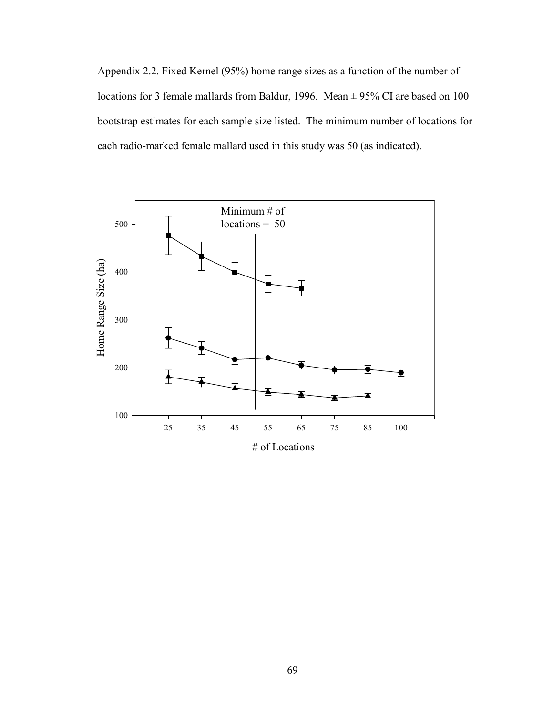Appendix 2.2. Fixed Kernel (95%) home range sizes as a function of the number of locations for 3 female mallards from Baldur, 1996. Mean  $\pm$  95% CI are based on 100 bootstrap estimates for each sample size listed. The minimum number of locations for each radio-marked female mallard used in this study was 50 (as indicated).